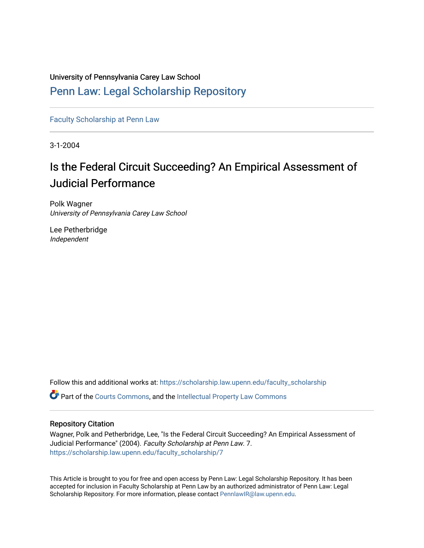#### University of Pennsylvania Carey Law School

### [Penn Law: Legal Scholarship Repository](https://scholarship.law.upenn.edu/)

[Faculty Scholarship at Penn Law](https://scholarship.law.upenn.edu/faculty_scholarship)

3-1-2004

## Is the Federal Circuit Succeeding? An Empirical Assessment of Judicial Performance

Polk Wagner University of Pennsylvania Carey Law School

Lee Petherbridge Independent

Follow this and additional works at: [https://scholarship.law.upenn.edu/faculty\\_scholarship](https://scholarship.law.upenn.edu/faculty_scholarship?utm_source=scholarship.law.upenn.edu%2Ffaculty_scholarship%2F7&utm_medium=PDF&utm_campaign=PDFCoverPages) 

Part of the [Courts Commons,](https://network.bepress.com/hgg/discipline/839?utm_source=scholarship.law.upenn.edu%2Ffaculty_scholarship%2F7&utm_medium=PDF&utm_campaign=PDFCoverPages) and the [Intellectual Property Law Commons](https://network.bepress.com/hgg/discipline/896?utm_source=scholarship.law.upenn.edu%2Ffaculty_scholarship%2F7&utm_medium=PDF&utm_campaign=PDFCoverPages)

#### Repository Citation

Wagner, Polk and Petherbridge, Lee, "Is the Federal Circuit Succeeding? An Empirical Assessment of Judicial Performance" (2004). Faculty Scholarship at Penn Law. 7. [https://scholarship.law.upenn.edu/faculty\\_scholarship/7](https://scholarship.law.upenn.edu/faculty_scholarship/7?utm_source=scholarship.law.upenn.edu%2Ffaculty_scholarship%2F7&utm_medium=PDF&utm_campaign=PDFCoverPages) 

This Article is brought to you for free and open access by Penn Law: Legal Scholarship Repository. It has been accepted for inclusion in Faculty Scholarship at Penn Law by an authorized administrator of Penn Law: Legal Scholarship Repository. For more information, please contact [PennlawIR@law.upenn.edu.](mailto:PennlawIR@law.upenn.edu)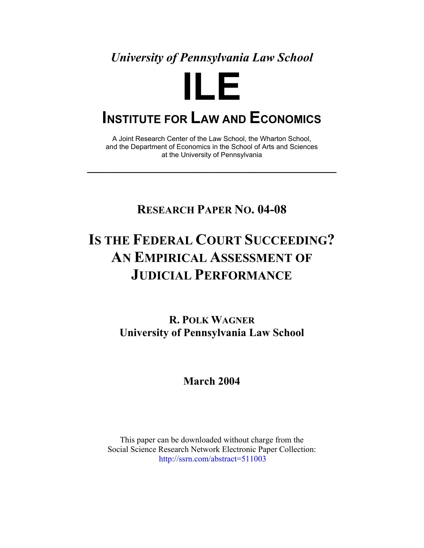*University of Pennsylvania Law School* 

# **ILE**

## **INSTITUTE FOR LAW AND ECONOMICS**

A Joint Research Center of the Law School, the Wharton School, and the Department of Economics in the School of Arts and Sciences at the University of Pennsylvania

**\_\_\_\_\_\_\_\_\_\_\_\_\_\_\_\_\_\_\_\_\_\_\_\_\_\_\_\_\_\_\_\_\_\_\_\_\_\_\_\_** 

**RESEARCH PAPER NO. 04-08** 

# **IS THE FEDERAL COURT SUCCEEDING? AN EMPIRICAL ASSESSMENT OF JUDICIAL PERFORMANCE**

**R. POLK WAGNER University of Pennsylvania Law School** 

## **March 2004**

This paper can be downloaded without charge from the Social Science Research Network Electronic Paper Collection: http://ssrn.com/abstract=511003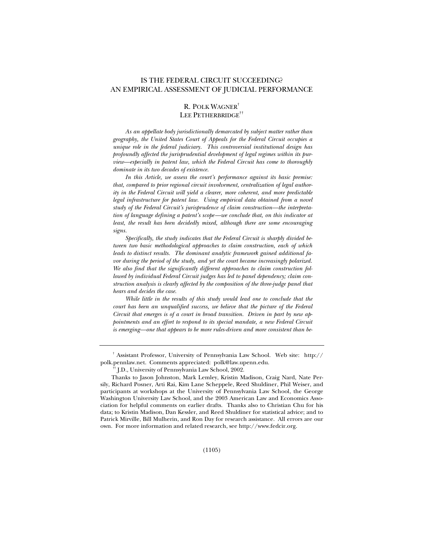#### IS THE FEDERAL CIRCUIT SUCCEEDING? AN EMPIRICAL ASSESSMENT OF JUDICIAL PERFORMANCE

#### R. POLK WAGNER† LEE PETHERBRIDGE<sup>††</sup>

*As an appellate body jurisdictionally demarcated by subject matter rather than geography, the United States Court of Appeals for the Federal Circuit occupies a unique role in the federal judiciary. This controversial institutional design has profoundly affected the jurisprudential development of legal regimes within its purview—especially in patent law, which the Federal Circuit has come to thoroughly dominate in its two decades of existence.*

*In this Article, we assess the court's performance against its basic premise: that, compared to prior regional circuit involvement, centralization of legal authority in the Federal Circuit will yield a clearer, more coherent, and more predictable legal infrastructure for patent law. Using empirical data obtained from a novel study of the Federal Circuit's jurisprudence of claim construction—the interpretation of language defining a patent's scope—we conclude that, on this indicator at least, the result has been decidedly mixed, although there are some encouraging signs.*

*Specifically, the study indicates that the Federal Circuit is sharply divided between two basic methodological approaches to claim construction, each of which leads to distinct results. The dominant analytic framework gained additional favor during the period of the study, and yet the court became increasingly polarized. We also find that the significantly different approaches to claim construction followed by individual Federal Circuit judges has led to panel dependency; claim construction analysis is clearly affected by the composition of the three-judge panel that hears and decides the case.*

*While little in the results of this study would lead one to conclude that the court has been an unqualified success, we believe that the picture of the Federal Circuit that emerges is of a court in broad transition. Driven in part by new appointments and an effort to respond to its special mandate, a new Federal Circuit is emerging—one that appears to be more rules-driven and more consistent than be-*

<sup>†</sup> Assistant Professor, University of Pennsylvania Law School. Web site: http:// polk.pennlaw.net. Comments appreciated: polk@law.upenn.edu.

<sup>††</sup> J.D., University of Pennsylvania Law School, 2002.

Thanks to Jason Johnston, Mark Lemley, Kristin Madison, Craig Nard, Nate Persily, Richard Posner, Arti Rai, Kim Lane Scheppele, Reed Shuldiner, Phil Weiser, and participants at workshops at the University of Pennsylvania Law School, the George Washington University Law School, and the 2003 American Law and Economics Association for helpful comments on earlier drafts. Thanks also to Christian Chu for his data; to Kristin Madison, Dan Kessler, and Reed Shuldiner for statistical advice; and to Patrick Mirville, Bill Mulherin, and Ron Day for research assistance. All errors are our own. For more information and related research, see http://www.fedcir.org.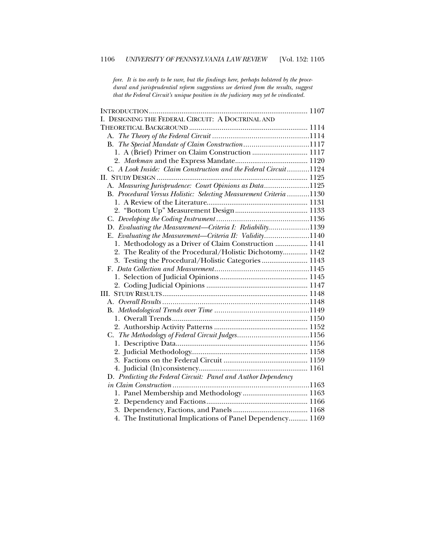*fore. It is too early to be sure, but the findings here, perhaps bolstered by the procedural and jurisprudential reform suggestions we derived from the results, suggest that the Federal Circuit's unique position in the judiciary may yet be vindicated.*

| I. DESIGNING THE FEDERAL CIRCUIT: A DOCTRINAL AND                  |  |
|--------------------------------------------------------------------|--|
|                                                                    |  |
|                                                                    |  |
| B. The Special Mandate of Claim Construction1117                   |  |
| 1. A (Brief) Primer on Claim Construction  1117                    |  |
|                                                                    |  |
| C. A Look Inside: Claim Construction and the Federal Circuit1124   |  |
|                                                                    |  |
| A. Measuring Jurisprudence: Court Opinions as Data1125             |  |
| B. Procedural Versus Holistic: Selecting Measurement Criteria 1130 |  |
|                                                                    |  |
|                                                                    |  |
|                                                                    |  |
| D. Evaluating the Measurement-Criteria I: Reliability1139          |  |
| E. Evaluating the Measurement-Criteria II: Validity1140            |  |
| 1. Methodology as a Driver of Claim Construction  1141             |  |
| 2. The Reality of the Procedural/Holistic Dichotomy 1142           |  |
| 3. Testing the Procedural/Holistic Categories  1143                |  |
|                                                                    |  |
|                                                                    |  |
|                                                                    |  |
|                                                                    |  |
|                                                                    |  |
|                                                                    |  |
|                                                                    |  |
|                                                                    |  |
| C. The Methodology of Federal Circuit Judges1156                   |  |
|                                                                    |  |
|                                                                    |  |
|                                                                    |  |
|                                                                    |  |
| D. Predicting the Federal Circuit: Panel and Author Dependency     |  |
|                                                                    |  |
|                                                                    |  |
|                                                                    |  |
|                                                                    |  |
| 4. The Institutional Implications of Panel Dependency 1169         |  |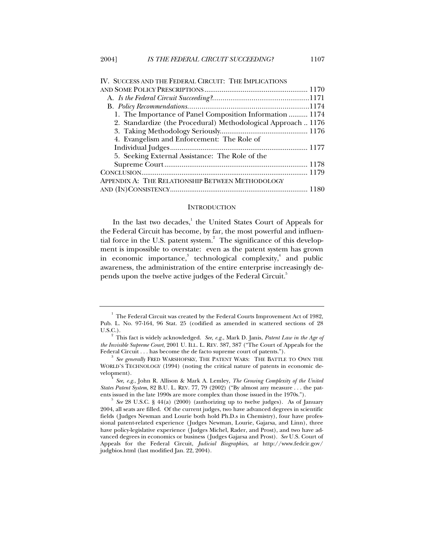| 1. The Importance of Panel Composition Information  1174      |  |
|---------------------------------------------------------------|--|
| 2. Standardize (the Procedural) Methodological Approach  1176 |  |
|                                                               |  |
| 4. Evangelism and Enforcement: The Role of                    |  |
|                                                               |  |
| 5. Seeking External Assistance: The Role of the               |  |
|                                                               |  |
|                                                               |  |
| APPENDIX A: THE RELATIONSHIP BETWEEN METHODOLOGY              |  |
|                                                               |  |

# IV. SUCCESS AND THE FEDERAL CIRCUIT: THE IMPLICATIONS

#### **INTRODUCTION**

In the last two decades,<sup>1</sup> the United States Court of Appeals for the Federal Circuit has become, by far, the most powerful and influential force in the U.S. patent system.<sup>2</sup> The significance of this development is impossible to overstate: even as the patent system has grown in economic importance,<sup>3</sup> technological complexity,<sup>4</sup> and public awareness, the administration of the entire enterprise increasingly depends upon the twelve active judges of the Federal Circuit.<sup>5</sup>

 $1$  The Federal Circuit was created by the Federal Courts Improvement Act of 1982, Pub. L. No. 97-164, 96 Stat. 25 (codified as amended in scattered sections of 28 U.S.C.). <sup>2</sup> This fact is widely acknowledged. *See, e.g.*, Mark D. Janis, *Patent Law in the Age of*

*the Invisible Supreme Court*, 2001 U. ILL. L. REV. 387, 387 ("The Court of Appeals for the Federal Circuit . . . has become the de facto supreme court of patents.").

See generally FRED WARSHOFSKY, THE PATENT WARS: THE BATTLE TO OWN THE WORLD'S TECHNOLOGY (1994) (noting the critical nature of patents in economic development).

See, e.g., John R. Allison & Mark A. Lemley, *The Growing Complexity of the United States Patent System*, 82 B.U. L. REV. 77, 79 (2002) ("By almost any measure . . . the patents issued in the late 1990s are more complex than those issued in the 1970s.").

See 28 U.S.C. § 44(a) (2000) (authorizing up to twelve judges). As of January 2004, all seats are filled. Of the current judges, two have advanced degrees in scientific fields (Judges Newman and Lourie both hold Ph.D.s in Chemistry), four have professional patent-related experience (Judges Newman, Lourie, Gajarsa, and Linn), three have policy-legislative experience (Judges Michel, Rader, and Prost), and two have advanced degrees in economics or business (Judges Gajarsa and Prost). *See* U.S. Court of Appeals for the Federal Circuit, *Judicial Biographies*, *at* http://www.fedcir.gov/ judgbios.html (last modified Jan. 22, 2004).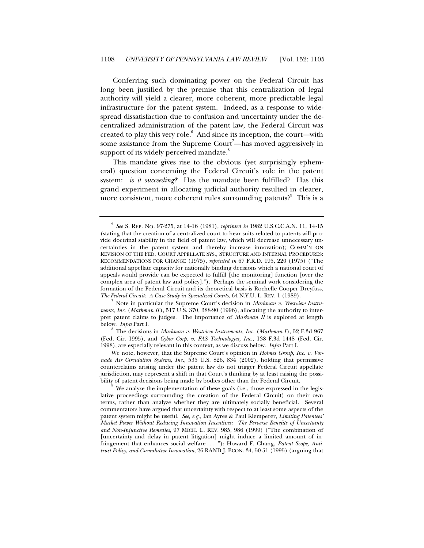Conferring such dominating power on the Federal Circuit has long been justified by the premise that this centralization of legal authority will yield a clearer, more coherent, more predictable legal infrastructure for the patent system. Indeed, as a response to widespread dissatisfaction due to confusion and uncertainty under the decentralized administration of the patent law, the Federal Circuit was created to play this very role.<sup>6</sup> And since its inception, the court—with some assistance from the Supreme Court<sup>7</sup>—has moved aggressively in support of its widely perceived mandate.<sup>8</sup>

This mandate gives rise to the obvious (yet surprisingly ephemeral) question concerning the Federal Circuit's role in the patent system: *is it succeeding?* Has the mandate been fulfilled? Has this grand experiment in allocating judicial authority resulted in clearer, more consistent, more coherent rules surrounding patents? $^9$  This is a

<sup>6</sup> *See* S. REP. NO. 97-275, at 14-16 (1981), *reprinted in* 1982 U.S.C.C.A.N. 11, 14-15 (stating that the creation of a centralized court to hear suits related to patents will provide doctrinal stability in the field of patent law, which will decrease unnecessary uncertainties in the patent system and thereby increase innovation); COMM'N ON REVISION OF THE FED. COURT APPELLATE SYS., STRUCTURE AND INTERNAL PROCEDURES: RECOMMENDATIONS FOR CHANGE (1975), *reprinted in* 67 F.R.D. 195, 220 (1975) ("The additional appellate capacity for nationally binding decisions which a national court of appeals would provide can be expected to fulfill [the monitoring] function [over the complex area of patent law and policy]."). Perhaps the seminal work considering the formation of the Federal Circuit and its theoretical basis is Rochelle Cooper Dreyfuss, The Federal Circuit: A Case Study in Specialized Courts, 64 N.Y.U. L. REV. 1 (1989).

Note in particular the Supreme Court's decision in *Markman v. Westview Instruments, Inc.* (*Markman II* ), 517 U.S. 370, 388-90 (1996), allocating the authority to interpret patent claims to judges. The importance of *Markman II* is explored at length

below. *Infra* Part I. <sup>8</sup> The decisions in *Markman v. Westview Instruments, Inc.* (*Markman I* ), 52 F.3d 967 (Fed. Cir. 1995), and *Cybor Corp. v. FAS Technologies, Inc.*, 138 F.3d 1448 (Fed. Cir. 1998), are especially relevant in this context, as we discuss below. *Infra* Part I.

We note, however, that the Supreme Court's opinion in *Holmes Group, Inc. v. Vornado Air Circulation Systems, Inc.*, 535 U.S. 826, 834 (2002), holding that permissive counterclaims arising under the patent law do not trigger Federal Circuit appellate jurisdiction, may represent a shift in that Court's thinking by at least raising the possi-

bility of patent decisions being made by bodies other than the Federal Circuit.<br><sup>9</sup> We analyze the implementation of these goals (i.e., those expressed in the legislative proceedings surrounding the creation of the Federal Circuit) on their own terms, rather than analyze whether they are ultimately socially beneficial. Several commentators have argued that uncertainty with respect to at least some aspects of the patent system might be useful. *See, e.g.*, Ian Ayres & Paul Klemperer, *Limiting Patentees' Market Power Without Reducing Innovation Incentives: The Perverse Benefits of Uncertainty and Non-Injunctive Remedies*, 97 MICH. L. REV. 985, 986 (1999) ("The combination of [uncertainty and delay in patent litigation] might induce a limited amount of infringement that enhances social welfare . . . ."); Howard F. Chang, *Patent Scope, Antitrust Policy, and Cumulative Innovation*, 26 RAND J. ECON. 34, 50-51 (1995) (arguing that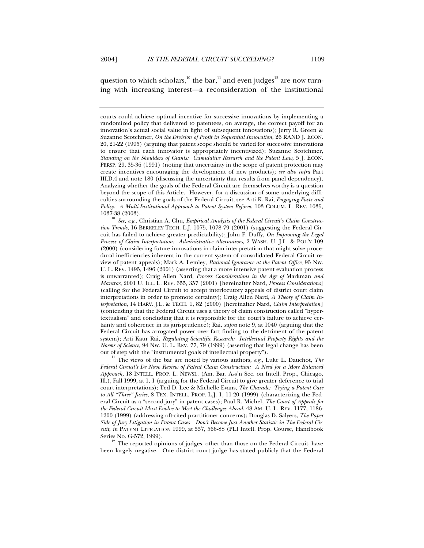question to which scholars,<sup>10</sup> the bar,<sup>11</sup> and even judges<sup>12</sup> are now turning with increasing interest—a reconsideration of the institutional

*tion Trends*, 16 BERKELEY TECH. L.J. 1075, 1078-79 (2001) (suggesting the Federal Circuit has failed to achieve greater predictability); John F. Duffy, *On Improving the Legal Process of Claim Interpretation: Administrative Alternatives*, 2 WASH. U. J.L. & POL'Y 109 (2000) (considering future innovations in claim interpretation that might solve procedural inefficiencies inherent in the current system of consolidated Federal Circuit review of patent appeals); Mark A. Lemley, *Rational Ignorance at the Patent Office*, 95 NW. U. L. REV. 1495, 1496 (2001) (asserting that a more intensive patent evaluation process is unwarranted); Craig Allen Nard, *Process Considerations in the Age of* Markman *and Mantras*, 2001 U. ILL. L. REV. 355, 357 (2001) [hereinafter Nard, *Process Considerations*] (calling for the Federal Circuit to accept interlocutory appeals of district court claim interpretations in order to promote certainty); Craig Allen Nard, *A Theory of Claim Interpretation*, 14 HARV. J.L. & TECH. 1, 82 (2000) [hereinafter Nard, *Claim Interpretation*] (contending that the Federal Circuit uses a theory of claim construction called "hypertextualism" and concluding that it is responsible for the court's failure to achieve certainty and coherence in its jurisprudence); Rai, *supra* note 9, at 1040 (arguing that the Federal Circuit has arrogated power over fact finding to the detriment of the patent system); Arti Kaur Rai, *Regulating Scientific Research: Intellectual Property Rights and the Norms of Science*, 94 NW. U. L. REV. 77, 79 (1999) (asserting that legal change has been out of step with the "instrumental goals of intellectual property"). <sup>11</sup> The views of the bar are noted by various authors, *e.g.*, Luke L. Dauchot, *The*

*Federal Circuit's De Novo Review of Patent Claim Construction: A Need for a More Balanced Approach*, 18 INTELL. PROP. L. NEWSL. (Am. Bar. Ass'n Sec. on Intell. Prop., Chicago, Ill.), Fall 1999, at 1, 1 (arguing for the Federal Circuit to give greater deference to trial court interpretations); Ted D. Lee & Michelle Evans, *The Charade: Trying a Patent Case to All "Three" Juries*, 8 TEX. INTELL. PROP. L.J. 1, 11-20 (1999) (characterizing the Federal Circuit as a "second jury" in patent cases); Paul R. Michel, *The Court of Appeals for the Federal Circuit Must Evolve to Meet the Challenges Ahead*, 48 AM. U. L. REV. 1177, 1186- 1200 (1999) (addressing oft-cited practitioner concerns); Douglas D. Salyers, *The Paper Side of Jury Litigation in Patent Cases—Don't Become Just Another Statistic in The Federal Circuit*, *in* PATENT LITIGATION 1999, at 557, 566-88 (PLI Intell. Prop. Course, Handbook

Series No. G-572, 1999).<br><sup>12</sup> The reported opinions of judges, other than those on the Federal Circuit, have been largely negative. One district court judge has stated publicly that the Federal

courts could achieve optimal incentive for successive innovations by implementing a randomized policy that delivered to patentees, on average, the correct payoff for an innovation's actual social value in light of subsequent innovations); Jerry R. Green & Suzanne Scotchmer, *On the Division of Profit in Sequential Innovation*, 26 RAND J. ECON. 20, 21-22 (1995) (arguing that patent scope should be varied for successive innovations to ensure that each innovator is appropriately incentivized); Suzanne Scotchmer, *Standing on the Shoulders of Giants: Cumulative Research and the Patent Law*, 5 J. ECON. PERSP. 29, 35-36 (1991) (noting that uncertainty in the scope of patent protection may create incentives encouraging the development of new products); *see also infra* Part III.D.4 and note 180 (discussing the uncertainty that results from panel dependency). Analyzing whether the goals of the Federal Circuit are themselves worthy is a question beyond the scope of this Article. However, for a discussion of some underlying difficulties surrounding the goals of the Federal Circuit, see Arti K. Rai, *Engaging Facts and Policy: A Multi-Institutional Approach to Patent System Reform*, 103 COLUM. L. REV. 1035, 1037-38 (2003). <sup>10</sup> *See, e.g*., Christian A. Chu, *Empirical Analysis of the Federal Circuit's Claim Construc-*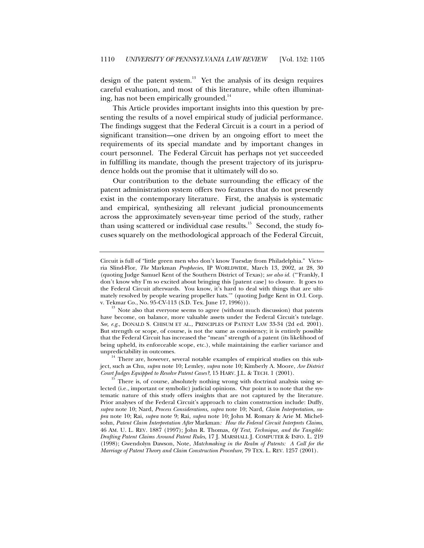design of the patent system.<sup>13</sup> Yet the analysis of its design requires careful evaluation, and most of this literature, while often illuminating, has not been empirically grounded.<sup>14</sup>

This Article provides important insights into this question by presenting the results of a novel empirical study of judicial performance. The findings suggest that the Federal Circuit is a court in a period of significant transition—one driven by an ongoing effort to meet the requirements of its special mandate and by important changes in court personnel. The Federal Circuit has perhaps not yet succeeded in fulfilling its mandate, though the present trajectory of its jurisprudence holds out the promise that it ultimately will do so.

Our contribution to the debate surrounding the efficacy of the patent administration system offers two features that do not presently exist in the contemporary literature. First, the analysis is systematic and empirical, synthesizing all relevant judicial pronouncements across the approximately seven-year time period of the study, rather than using scattered or individual case results.<sup>15</sup> Second, the study focuses squarely on the methodological approach of the Federal Circuit,

unpredictability in outcomes.<br> $14$  There are, however, several notable examples of empirical studies on this subject, such as Chu, *supra* note 10; Lemley, *supra* note 10; Kimberly A. Moore, *Are District Court Judges Equipped to Resolve Patent Cases?*, 15 HARV. J.L. & TECH. 1 (2001).

Circuit is full of "little green men who don't know Tuesday from Philadelphia." Victoria Slind-Flor, *The* Markman *Prophecies*, IP WORLDWIDE, March 13, 2002, at 28, 30 (quoting Judge Samuel Kent of the Southern District of Texas); *see also id.* ("'Frankly, I don't know why I'm so excited about bringing this [patent case] to closure. It goes to the Federal Circuit afterwards. You know, it's hard to deal with things that are ultimately resolved by people wearing propeller hats.'" (quoting Judge Kent in O.I. Corp.

v. Tekmar Co., No. 95-CV-113 (S.D. Tex. June 17, 1996))). <sup>13</sup> Note also that everyone seems to agree (without much discussion) that patents have become, on balance, more valuable assets under the Federal Circuit's tutelage. *See, e.g.*, DONALD S. CHISUM ET AL., PRINCIPLES OF PATENT LAW 33-34 (2d ed. 2001). But strength or scope, of course, is not the same as consistency; it is entirely possible that the Federal Circuit has increased the "mean" strength of a patent (its likelihood of being upheld, its enforceable scope, etc.), while maintaining the earlier variance and

There is, of course, absolutely nothing wrong with doctrinal analysis using selected (i.e., important or symbolic) judicial opinions. Our point is to note that the systematic nature of this study offers insights that are not captured by the literature. Prior analyses of the Federal Circuit's approach to claim construction include: Duffy, *supra* note 10; Nard, *Process Considerations*, *supra* note 10; Nard, *Claim Interpretation*, *supra* note 10; Rai, *supra* note 9; Rai, *supra* note 10; John M. Romary & Arie M. Michelsohn, *Patent Claim Interpretation After* Markman*: How the Federal Circuit Interprets Claims*, 46 AM. U. L. REV. 1887 (1997); John R. Thomas, *Of Text, Technique, and the Tangible: Drafting Patent Claims Around Patent Rules*, 17 J. MARSHALL J. COMPUTER & INFO. L. 219 (1998); Gwendolyn Dawson, Note, *Matchmaking in the Realm of Patents: A Call for the Marriage of Patent Theory and Claim Construction Procedure*, 79 TEX. L. REV. 1257 (2001).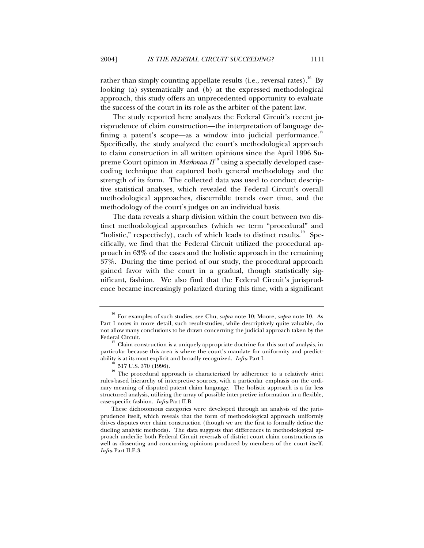rather than simply counting appellate results (i.e., reversal rates).<sup>16</sup> By looking (a) systematically and (b) at the expressed methodological approach, this study offers an unprecedented opportunity to evaluate the success of the court in its role as the arbiter of the patent law.

The study reported here analyzes the Federal Circuit's recent jurisprudence of claim construction—the interpretation of language defining a patent's scope—as a window into judicial performance.<sup>17</sup> Specifically, the study analyzed the court's methodological approach to claim construction in all written opinions since the April 1996 Supreme Court opinion in *Markman*  $II^3$  using a specially developed casecoding technique that captured both general methodology and the strength of its form. The collected data was used to conduct descriptive statistical analyses, which revealed the Federal Circuit's overall methodological approaches, discernible trends over time, and the methodology of the court's judges on an individual basis.

The data reveals a sharp division within the court between two distinct methodological approaches (which we term "procedural" and "holistic," respectively), each of which leads to distinct results.<sup>19</sup> Specifically, we find that the Federal Circuit utilized the procedural approach in 63% of the cases and the holistic approach in the remaining 37%. During the time period of our study, the procedural approach gained favor with the court in a gradual, though statistically significant, fashion. We also find that the Federal Circuit's jurisprudence became increasingly polarized during this time, with a significant

<sup>16</sup> For examples of such studies, see Chu, *supra* note 10; Moore, *supra* note 10. As Part I notes in more detail, such result-studies, while descriptively quite valuable, do not allow many conclusions to be drawn concerning the judicial approach taken by the

Federal Circuit.<br><sup>17</sup> Claim construction is a uniquely appropriate doctrine for this sort of analysis, in particular because this area is where the court's mandate for uniformity and predict-

ability is at its most explicit and broadly recognized. *Infra* Part I.<br><sup>18</sup> 517 U.S. 370 (1996). The procedural approach is characterized by adherence to a relatively strict rules-based hierarchy of interpretive sources, with a particular emphasis on the ordinary meaning of disputed patent claim language. The holistic approach is a far less structured analysis, utilizing the array of possible interpretive information in a flexible, case-specific fashion. *Infra* Part II.B.

These dichotomous categories were developed through an analysis of the jurisprudence itself, which reveals that the form of methodological approach uniformly drives disputes over claim construction (though we are the first to formally define the dueling analytic methods). The data suggests that differences in methodological approach underlie both Federal Circuit reversals of district court claim constructions as well as dissenting and concurring opinions produced by members of the court itself. *Infra* Part II.E.3.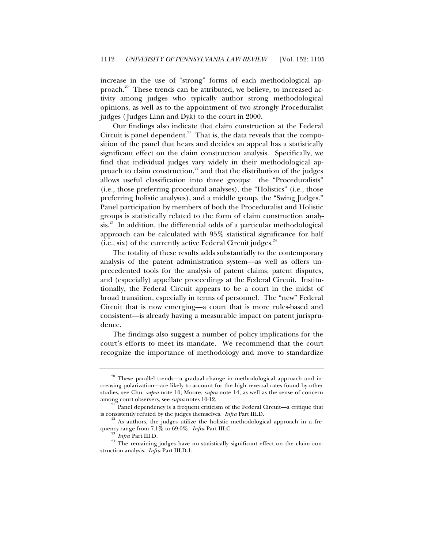increase in the use of "strong" forms of each methodological approach.<sup>20</sup> These trends can be attributed, we believe, to increased activity among judges who typically author strong methodological opinions, as well as to the appointment of two strongly Proceduralist judges ( Judges Linn and Dyk) to the court in 2000.

Our findings also indicate that claim construction at the Federal Circuit is panel dependent.<sup>21</sup> That is, the data reveals that the composition of the panel that hears and decides an appeal has a statistically significant effect on the claim construction analysis. Specifically, we find that individual judges vary widely in their methodological approach to claim construction, $^{22}$  and that the distribution of the judges allows useful classification into three groups: the "Proceduralists" (i.e., those preferring procedural analyses), the "Holistics" (i.e., those preferring holistic analyses), and a middle group, the "Swing Judges." Panel participation by members of both the Proceduralist and Holistic groups is statistically related to the form of claim construction analysis.<sup>23</sup> In addition, the differential odds of a particular methodological approach can be calculated with 95% statistical significance for half  $(i.e., six)$  of the currently active Federal Circuit judges.<sup>24</sup>

The totality of these results adds substantially to the contemporary analysis of the patent administration system—as well as offers unprecedented tools for the analysis of patent claims, patent disputes, and (especially) appellate proceedings at the Federal Circuit. Institutionally, the Federal Circuit appears to be a court in the midst of broad transition, especially in terms of personnel. The "new" Federal Circuit that is now emerging—a court that is more rules-based and consistent—is already having a measurable impact on patent jurisprudence.

The findings also suggest a number of policy implications for the court's efforts to meet its mandate. We recommend that the court recognize the importance of methodology and move to standardize

<sup>&</sup>lt;sup>20</sup> These parallel trends—a gradual change in methodological approach and increasing polarization—are likely to account for the high reversal rates found by other studies, see Chu, *supra* note 10; Moore, *supra* note 14, as well as the sense of concern

among court observers, see *supra* notes 10-12.<br><sup>21</sup> Panel dependency is a frequent criticism of the Federal Circuit—a critique that is consistently refuted by the judges themselves. *Infra* Part III.D.

<sup>&</sup>lt;sup>22</sup> As authors, the judges utilize the holistic methodological approach in a frequency range from 7.1% to 69.0%. *Infra* Part III.C.

<sup>&</sup>lt;sup>23</sup> *Infra* Part III.D. <sup>24</sup> The remaining judges have no statistically significant effect on the claim construction analysis. *Infra* Part III.D.1.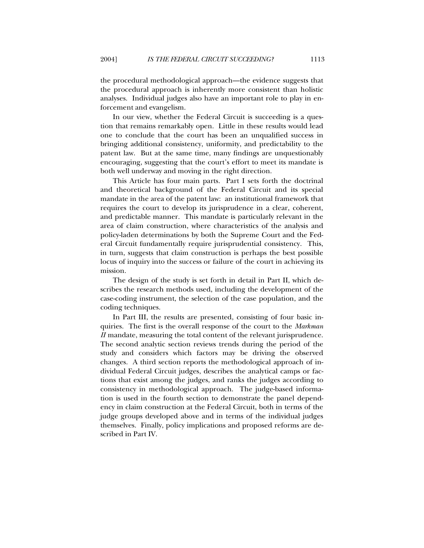the procedural methodological approach—the evidence suggests that the procedural approach is inherently more consistent than holistic analyses. Individual judges also have an important role to play in enforcement and evangelism.

In our view, whether the Federal Circuit is succeeding is a question that remains remarkably open. Little in these results would lead one to conclude that the court has been an unqualified success in bringing additional consistency, uniformity, and predictability to the patent law. But at the same time, many findings are unquestionably encouraging, suggesting that the court's effort to meet its mandate is both well underway and moving in the right direction.

This Article has four main parts. Part I sets forth the doctrinal and theoretical background of the Federal Circuit and its special mandate in the area of the patent law: an institutional framework that requires the court to develop its jurisprudence in a clear, coherent, and predictable manner. This mandate is particularly relevant in the area of claim construction, where characteristics of the analysis and policy-laden determinations by both the Supreme Court and the Federal Circuit fundamentally require jurisprudential consistency. This, in turn, suggests that claim construction is perhaps the best possible locus of inquiry into the success or failure of the court in achieving its mission.

The design of the study is set forth in detail in Part II, which describes the research methods used, including the development of the case-coding instrument, the selection of the case population, and the coding techniques.

In Part III, the results are presented, consisting of four basic inquiries. The first is the overall response of the court to the *Markman II* mandate, measuring the total content of the relevant jurisprudence. The second analytic section reviews trends during the period of the study and considers which factors may be driving the observed changes. A third section reports the methodological approach of individual Federal Circuit judges, describes the analytical camps or factions that exist among the judges, and ranks the judges according to consistency in methodological approach. The judge-based information is used in the fourth section to demonstrate the panel dependency in claim construction at the Federal Circuit, both in terms of the judge groups developed above and in terms of the individual judges themselves. Finally, policy implications and proposed reforms are described in Part IV.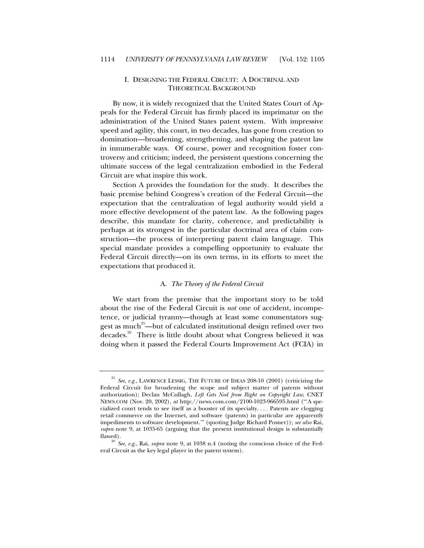#### I. DESIGNING THE FEDERAL CIRCUIT: A DOCTRINAL AND THEORETICAL BACKGROUND

By now, it is widely recognized that the United States Court of Appeals for the Federal Circuit has firmly placed its imprimatur on the administration of the United States patent system. With impressive speed and agility, this court, in two decades, has gone from creation to domination—broadening, strengthening, and shaping the patent law in innumerable ways. Of course, power and recognition foster controversy and criticism; indeed, the persistent questions concerning the ultimate success of the legal centralization embodied in the Federal Circuit are what inspire this work.

Section A provides the foundation for the study. It describes the basic premise behind Congress's creation of the Federal Circuit—the expectation that the centralization of legal authority would yield a more effective development of the patent law. As the following pages describe, this mandate for clarity, coherence, and predictability is perhaps at its strongest in the particular doctrinal area of claim construction—the process of interpreting patent claim language. This special mandate provides a compelling opportunity to evaluate the Federal Circuit directly—on its own terms, in its efforts to meet the expectations that produced it.

#### A. *The Theory of the Federal Circuit*

We start from the premise that the important story to be told about the rise of the Federal Circuit is *not* one of accident, incompetence, or judicial tyranny—though at least some commentators suggest as much<sup>25</sup>—but of calculated institutional design refined over two decades.<sup>26</sup> There is little doubt about what Congress believed it was doing when it passed the Federal Courts Improvement Act (FCIA) in

<sup>&</sup>lt;sup>25</sup> See, e.g., LAWRENCE LESSIG, THE FUTURE OF IDEAS 208-10 (2001) (criticizing the Federal Circuit for broadening the scope and subject matter of patents without authorization); Declan McCullagh, *Left Gets Nod from Right on Copyright Law*, CNET NEWS.COM (Nov. 20, 2002), *at* http://news.com.com/2100-1023-966595.html ("'A specialized court tends to see itself as a booster of its specialty. . . . Patents are clogging retail commerce on the Internet, and software (patents) in particular are apparently impediments to software development.'" (quoting Judge Richard Posner)); *see also* Rai, *supra* note 9, at 1035-65 (arguing that the present institutional design is substantially flawed).<br><sup>26</sup> *See, e.g.*, Rai, *supra* note 9, at 1038 n.4 (noting the conscious choice of the Fed-

eral Circuit as the key legal player in the patent system).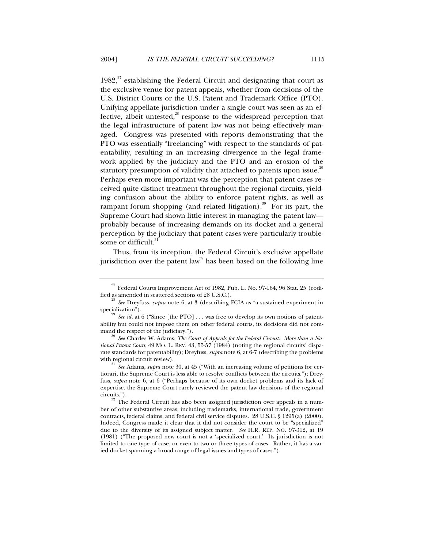$1982$ ,<sup>27</sup> establishing the Federal Circuit and designating that court as the exclusive venue for patent appeals, whether from decisions of the U.S. District Courts or the U.S. Patent and Trademark Office (PTO). Unifying appellate jurisdiction under a single court was seen as an effective, albeit untested, $28$  response to the widespread perception that the legal infrastructure of patent law was not being effectively managed. Congress was presented with reports demonstrating that the PTO was essentially "freelancing" with respect to the standards of patentability, resulting in an increasing divergence in the legal framework applied by the judiciary and the PTO and an erosion of the statutory presumption of validity that attached to patents upon issue.<sup>29</sup> Perhaps even more important was the perception that patent cases received quite distinct treatment throughout the regional circuits, yielding confusion about the ability to enforce patent rights, as well as rampant forum shopping (and related litigation).<sup>30</sup> For its part, the Supreme Court had shown little interest in managing the patent law probably because of increasing demands on its docket and a general perception by the judiciary that patent cases were particularly troublesome or difficult.<sup>3</sup>

Thus, from its inception, the Federal Circuit's exclusive appellate jurisdiction over the patent law<sup>32</sup> has been based on the following line

<sup>30</sup> See Charles W. Adams, *The Court of Appeals for the Federal Circuit: More than a National Patent Court*, 49 MO. L. REV. 43, 55-57 (1984) (noting the regional circuits' disparate standards for patentability); Dreyfuss, *supra* note 6, at 6-7 (describing the problems with regional circuit review).<br><sup>31</sup> *See* Adams, *supra* note 30, at 45 ("With an increasing volume of petitions for cer-

tiorari, the Supreme Court is less able to resolve conflicts between the circuits."); Dreyfuss, *supra* note 6, at 6 ("Perhaps because of its own docket problems and its lack of expertise, the Supreme Court rarely reviewed the patent law decisions of the regional circuits.").  $32$  The Federal Circuit has also been assigned jurisdiction over appeals in a num-

ber of other substantive areas, including trademarks, international trade, government contracts, federal claims, and federal civil service disputes. 28 U.S.C. § 1295(a) (2000). Indeed, Congress made it clear that it did not consider the court to be "specialized" due to the diversity of its assigned subject matter. *See* H.R. REP. NO. 97-312, at 19 (1981) ("The proposed new court is not a 'specialized court.' Its jurisdiction is not limited to one type of case, or even to two or three types of cases. Rather, it has a varied docket spanning a broad range of legal issues and types of cases.").

 $^{27}$  Federal Courts Improvement Act of 1982, Pub. L. No. 97-164, 96 Stat. 25 (codi-<br>fied as amended in scattered sections of 28 U.S.C.).

<sup>&</sup>lt;sup>28</sup> See Dreyfuss, *supra* note 6, at 3 (describing FCIA as "a sustained experiment in specialization").

<sup>&</sup>lt;sup>29</sup> *See id.* at 6 ("Since [the PTO]  $\ldots$  was free to develop its own notions of patentability but could not impose them on other federal courts, its decisions did not com-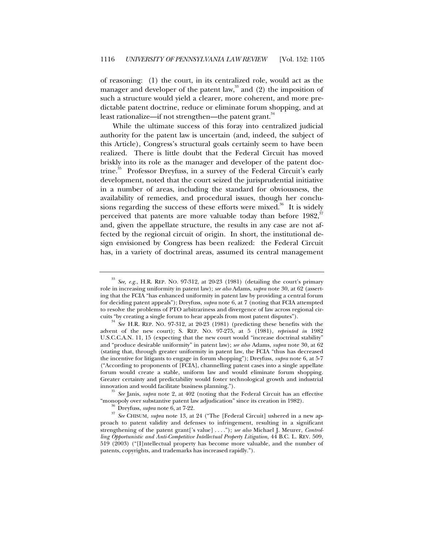of reasoning: (1) the court, in its centralized role, would act as the manager and developer of the patent law, $\frac{33}{3}$  and (2) the imposition of such a structure would yield a clearer, more coherent, and more predictable patent doctrine, reduce or eliminate forum shopping, and at least rationalize—if not strengthen—the patent grant.<sup>34</sup>

While the ultimate success of this foray into centralized judicial authority for the patent law is uncertain (and, indeed, the subject of this Article), Congress's structural goals certainly seem to have been realized. There is little doubt that the Federal Circuit has moved briskly into its role as the manager and developer of the patent doctrine.<sup>35</sup> Professor Dreyfuss, in a survey of the Federal Circuit's early development, noted that the court seized the jurisprudential initiative in a number of areas, including the standard for obviousness, the availability of remedies, and procedural issues, though her conclusions regarding the success of these efforts were mixed.<sup>36</sup> It is widely perceived that patents are more valuable today than before  $1982$ ,<sup>37</sup> and, given the appellate structure, the results in any case are not affected by the regional circuit of origin. In short, the institutional design envisioned by Congress has been realized: the Federal Circuit has, in a variety of doctrinal areas, assumed its central management

<sup>33</sup> *See, e.g.*, H.R. REP. NO. 97-312, at 20-23 (1981) (detailing the court's primary role in increasing uniformity in patent law); *see also* Adams, *supra* note 30, at 62 (asserting that the FCIA "has enhanced uniformity in patent law by providing a central forum for deciding patent appeals"); Dreyfuss, *supra* note 6, at 7 (noting that FCIA attempted to resolve the problems of PTO arbitrariness and divergence of law across regional cir-<br>cuits "by creating a single forum to hear appeals from most patent disputes").

 $34$  *See* H.R. REP. NO. 97-312, at 20-23 (1981) (predicting these benefits with the advent of the new court); S. REP. NO. 97-275, at 5 (1981), *reprinted in* 1982 U.S.C.C.A.N. 11, 15 (expecting that the new court would "increase doctrinal stability" and "produce desirable uniformity" in patent law); *see also* Adams, *supra* note 30, at 62 (stating that, through greater uniformity in patent law, the FCIA "thus has decreased the incentive for litigants to engage in forum shopping"); Dreyfuss, *supra* note 6, at 5-7 ("According to proponents of [FCIA], channelling patent cases into a single appellate forum would create a stable, uniform law and would eliminate forum shopping. Greater certainty and predictability would foster technological growth and industrial

innovation and would facilitate business planning.").<br><sup>35</sup> *See* Janis, *supra* note 2, at 402 (noting that the Federal Circuit has an effective "monopoly over substantive patent law adjudication" since its creation in 198

<sup>&</sup>lt;sup>36</sup> Dreyfuss, *supra* note 6, at 7-22.<br><sup>37</sup> *See* CHISUM, *supra* note 13, at 24 ("The [Federal Circuit] ushered in a new approach to patent validity and defenses to infringement, resulting in a significant strengthening of the patent grant['s value] . . . ."); *see also* Michael J. Meurer, *Controlling Opportunistic and Anti-Competitive Intellectual Property Litigation*, 44 B.C. L. REV. 509, 519 (2003) ("[I]ntellectual property has become more valuable, and the number of patents, copyrights, and trademarks has increased rapidly.").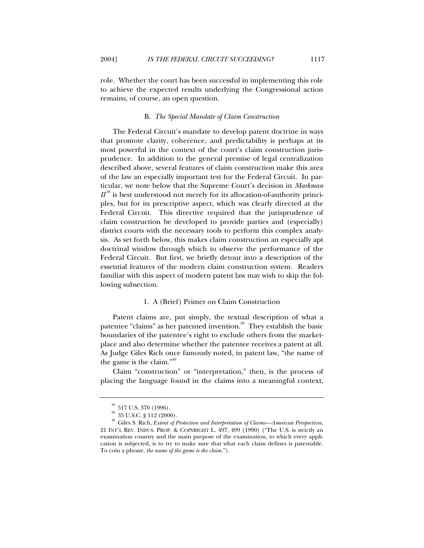role. Whether the court has been successful in implementing this role to achieve the expected results underlying the Congressional action remains, of course, an open question.

#### B. *The Special Mandate of Claim Construction*

The Federal Circuit's mandate to develop patent doctrine in ways that promote clarity, coherence, and predictability is perhaps at its most powerful in the context of the court's claim construction jurisprudence. In addition to the general premise of legal centralization described above, several features of claim construction make this area of the law an especially important test for the Federal Circuit. In particular, we note below that the Supreme Court's decision in *Markman*  $I\!I$ <sup>38</sup> is best understood not merely for its allocation-of-authority principles, but for its prescriptive aspect, which was clearly directed at the Federal Circuit. This directive required that the jurisprudence of claim construction be developed to provide parties and (especially) district courts with the necessary tools to perform this complex analysis. As set forth below, this makes claim construction an especially apt doctrinal window through which to observe the performance of the Federal Circuit. But first, we briefly detour into a description of the essential features of the modern claim construction system. Readers familiar with this aspect of modern patent law may wish to skip the following subsection.

#### 1. A (Brief) Primer on Claim Construction

Patent claims are, put simply, the textual description of what a patentee "claims" as her patented invention.<sup>39</sup> They establish the basic boundaries of the patentee's right to exclude others from the marketplace and also determine whether the patentee receives a patent at all. As Judge Giles Rich once famously noted, in patent law, "the name of the game is the claim."<sup>40</sup>

Claim "construction" or "interpretation," then, is the process of placing the language found in the claims into a meaningful context,

<sup>38</sup> 517 U.S. 370 (1996). <sup>39</sup> 35 U.S.C. § 112 (2000). <sup>40</sup> Giles S. Rich, *Extent of Protection and Interpretation of Claims—American Perspectives*, 21 INT'L REV. INDUS. PROP. & COPYRIGHT L. 497, 499 (1990) ("The U.S. is strictly an examination country and the main purpose of the examination, to which every application is subjected, is to try to make sure that what each claim defines is patentable. To coin a phrase, *the name of the game is the claim*.").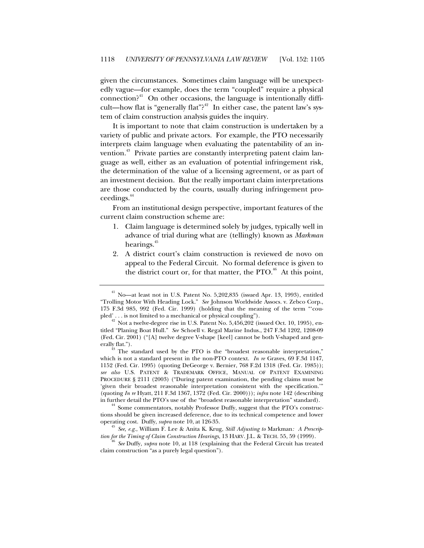given the circumstances. Sometimes claim language will be unexpectedly vague—for example, does the term "coupled" require a physical  $connection<sup>41</sup>$  On other occasions, the language is intentionally difficult—how flat is "generally flat"?<sup>42</sup> In either case, the patent law's system of claim construction analysis guides the inquiry.

It is important to note that claim construction is undertaken by a variety of public and private actors. For example, the PTO necessarily interprets claim language when evaluating the patentability of an invention.<sup>43</sup> Private parties are constantly interpreting patent claim language as well, either as an evaluation of potential infringement risk, the determination of the value of a licensing agreement, or as part of an investment decision. But the really important claim interpretations are those conducted by the courts, usually during infringement proceedings.44

From an institutional design perspective, important features of the current claim construction scheme are:

- 1. Claim language is determined solely by judges, typically well in advance of trial during what are (tellingly) known as *Markman* hearings. $4$
- 2. A district court's claim construction is reviewed de novo on appeal to the Federal Circuit. No formal deference is given to the district court or, for that matter, the  $PTO<sup>46</sup>$ . At this point,

tions should be given increased deference, due to its technical competence and lower operating cost. Duffy, *supra* note 10, at 126-35. <sup>45</sup> *See, e.g.*, William F. Lee & Anita K. Krug, *Still Adjusting to* Markman*: A Prescrip-*

claim construction "as a purely legal question").

<sup>41</sup> No—at least not in U.S. Patent No. 5,202,835 (issued Apr. 13, 1993), entitled "Trolling Motor With Heading Lock." *See* Johnson Worldwide Assocs. v. Zebco Corp., 175 F.3d 985, 992 (Fed. Cir. 1999) (holding that the meaning of the term "'coupled' . . . is not limited to a mechanical or physical coupling").<br><sup>42</sup> Not a twelve-degree rise in U.S. Patent No. 5,456,202 (issued Oct. 10, 1995), en-

titled "Planing Boat Hull." *See* Schoell v. Regal Marine Indus., 247 F.3d 1202, 1208-09 (Fed. Cir. 2001) ("[A] twelve degree V-shape [keel] cannot be both V-shaped and generally flat.").  $43$  The standard used by the PTO is the "broadest reasonable interpretation,"

which is not a standard present in the non-PTO context. *In re* Graves, 69 F.3d 1147, 1152 (Fed. Cir. 1995) (quoting DeGeorge v. Bernier, 768 F.2d 1318 (Fed. Cir. 1985)); *see also* U.S. PATENT & TRADEMARK OFFICE, MANUAL OF PATENT EXAMINING PROCEDURE § 2111 (2003) ("During patent examination, the pending claims must be 'given their broadest reasonable interpretation consistent with the specification.'" (quoting *In re* Hyatt, 211 F.3d 1367, 1372 (Fed. Cir. 2000))); *infra* note 142 (describing in further detail the PTO's use of the "broadest reasonable interpretation" standard).<br><sup>44</sup> Some commentators, notably Professor Duffy, suggest that the PTO's construc-

*tion for the Timing of Claim Construction Hearings*, 13 HARV. J.L. & TECH. 55, 59 (1999). <sup>46</sup> *See* Duffy, *supra* note 10, at 118 (explaining that the Federal Circuit has treated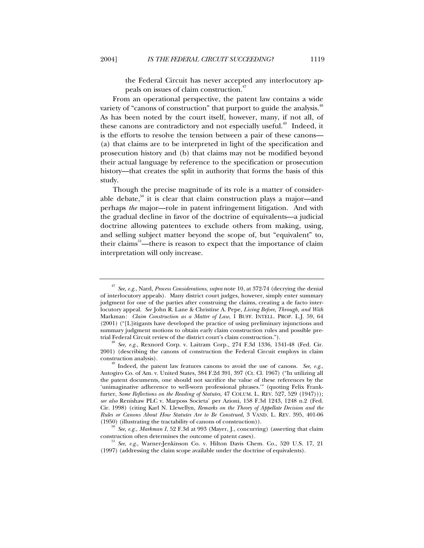the Federal Circuit has never accepted any interlocutory appeals on issues of claim construction.<sup>47</sup>

From an operational perspective, the patent law contains a wide variety of "canons of construction" that purport to guide the analysis.<sup>48</sup> As has been noted by the court itself, however, many, if not all, of these canons are contradictory and not especially useful.<sup>49</sup> Indeed, it is the efforts to resolve the tension between a pair of these canons— (a) that claims are to be interpreted in light of the specification and prosecution history and (b) that claims may not be modified beyond their actual language by reference to the specification or prosecution history—that creates the split in authority that forms the basis of this study.

Though the precise magnitude of its role is a matter of considerable debate, $50$  it is clear that claim construction plays a major—and perhaps *the* major—role in patent infringement litigation. And with the gradual decline in favor of the doctrine of equivalents—a judicial doctrine allowing patentees to exclude others from making, using, and selling subject matter beyond the scope of, but "equivalent" to, their claims<sup>51</sup>—there is reason to expect that the importance of claim interpretation will only increase.

<sup>47</sup> *See, e.g.*, Nard, *Process Considerations*, *supra* note 10, at 372-74 (decrying the denial of interlocutory appeals). Many district court judges, however, simply enter summary judgment for one of the parties after construing the claims, creating a de facto interlocutory appeal. *See* John R. Lane & Christine A. Pepe, *Living Before, Through, and With* Markman*: Claim Construction as a Matter of Law*, 1 BUFF. INTELL. PROP. L.J. 59, 64 (2001) ("[L]itigants have developed the practice of using preliminary injunctions and summary judgment motions to obtain early claim construction rules and possible pre-

trial Federal Circuit review of the district court's claim construction."). <sup>48</sup> *See, e.g.*, Rexnord Corp. v. Laitram Corp., 274 F.3d 1336, 1341-48 (Fed. Cir. 2001) (describing the canons of construction the Federal Circuit employs in claim construction analysis). <sup>49</sup> Indeed, the patent law features canons to avoid the use of canons. *See, e.g.*,

Autogiro Co. of Am. v. United States, 384 F.2d 391, 397 (Ct. Cl. 1967) ("In utilizing all the patent documents, one should not sacrifice the value of these references by the 'unimaginative adherence to well-worn professional phrases.'" (quoting Felix Frankfurter, *Some Reflections on the Reading of Statutes*, 47 COLUM. L. REV. 527, 529 (1947))); *see also* Renishaw PLC v. Marposs Societa' per Azioni, 158 F.3d 1243, 1248 n.2 (Fed. Cir. 1998) (citing Karl N. Llewellyn, *Remarks on the Theory of Appellate Decision and the Rules or Canons About How Statutes Are to Be Construed*, 3 VAND. L. REV. 395, 401-06 (1950) (illustrating the tractability of canons of construction)).

See, e.g., *Markman I*, 52 F.3d at 993 (Mayer, J., concurring) (asserting that claim

construction often determines the outcome of patent cases). <sup>51</sup> *See, e.g.*, Warner-Jenkinson Co. v. Hilton Davis Chem. Co., 520 U.S. 17, 21 (1997) (addressing the claim scope available under the doctrine of equivalents).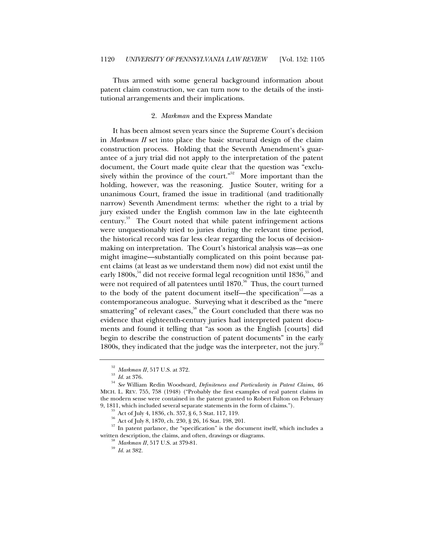Thus armed with some general background information about patent claim construction, we can turn now to the details of the institutional arrangements and their implications.

#### 2. *Markman* and the Express Mandate

It has been almost seven years since the Supreme Court's decision in *Markman II* set into place the basic structural design of the claim construction process. Holding that the Seventh Amendment's guarantee of a jury trial did not apply to the interpretation of the patent document, the Court made quite clear that the question was "exclusively within the province of the court."<sup>52</sup> More important than the holding, however, was the reasoning. Justice Souter, writing for a unanimous Court, framed the issue in traditional (and traditionally narrow) Seventh Amendment terms: whether the right to a trial by jury existed under the English common law in the late eighteenth century.53 The Court noted that while patent infringement actions were unquestionably tried to juries during the relevant time period, the historical record was far less clear regarding the locus of decisionmaking on interpretation. The Court's historical analysis was—as one might imagine—substantially complicated on this point because patent claims (at least as we understand them now) did not exist until the early  $1800s$ ,<sup>54</sup> did not receive formal legal recognition until  $1836$ ,<sup>55</sup> and were not required of all patentees until  $1870$ <sup>56</sup> Thus, the court turned to the body of the patent document itself—the specification<sup>57</sup>—as a contemporaneous analogue. Surveying what it described as the "mere smattering" of relevant cases, $58$  the Court concluded that there was no evidence that eighteenth-century juries had interpreted patent documents and found it telling that "as soon as the English [courts] did begin to describe the construction of patent documents" in the early 1800s, they indicated that the judge was the interpreter, not the jury. $55$ 

<sup>52</sup> *Markman II*, 517 U.S. at 372. <sup>53</sup> *Id.* at 376. <sup>54</sup> *See* William Redin Woodward, *Definiteness and Particularity in Patent Claims*, 46 MICH. L. REV. 755, 758 (1948) ("Probably the first examples of real patent claims in the modern sense were contained in the patent granted to Robert Fulton on February<br>9, 1811, which included several separate statements in the form of claims.").

<sup>&</sup>lt;sup>55</sup> Act of July 4, 1836, ch. 357, § 6, 5 Stat. 117, 119.<br><sup>56</sup> Act of July 8, 1870, ch. 230, § 26, 16 Stat. 198, 201.<br><sup>57</sup> In patent parlance, the "specification" is the document itself, which includes a written description, the claims, and often, drawings or diagrams. <sup>58</sup> *Markman II*, 517 U.S. at 379-81. <sup>59</sup> *Id.* at 382.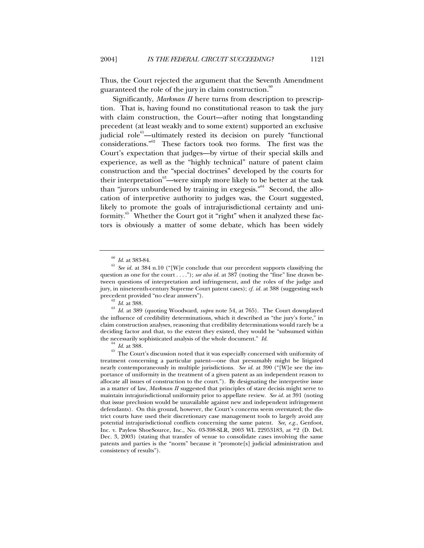Thus, the Court rejected the argument that the Seventh Amendment guaranteed the role of the jury in claim construction.<sup><sup>60</sup></sup>

Significantly, *Markman II* here turns from description to prescription. That is, having found no constitutional reason to task the jury with claim construction, the Court—after noting that longstanding precedent (at least weakly and to some extent) supported an exclusive judicial role<sup>61</sup>—ultimately rested its decision on purely "functional considerations."<sup>62</sup> These factors took two forms. The first was the Court's expectation that judges—by virtue of their special skills and experience, as well as the "highly technical" nature of patent claim construction and the "special doctrines" developed by the courts for their interpretation<sup>63</sup>—were simply more likely to be better at the task than "jurors unburdened by training in exegesis."<sup>64</sup> Second, the allocation of interpretive authority to judges was, the Court suggested, likely to promote the goals of intrajurisdictional certainty and uniformity.<sup>65</sup> Whether the Court got it "right" when it analyzed these factors is obviously a matter of some debate, which has been widely

<sup>60</sup> *Id.* at 383-84. <sup>61</sup> *See id.* at 384 n.10 ("[W]e conclude that our precedent supports classifying the question as one for the court . . . ."); see also *id.* at 387 (noting the "fine" line drawn between questions of interpretation and infringement, and the roles of the judge and jury, in nineteenth-century Supreme Court patent cases); *cf. id.* at 388 (suggesting such

precedent provided "no clear answers"). <sup>62</sup> *Id.* at 388. <sup>63</sup> *Id.* at 389 (quoting Woodward, *supra* note 54, at 765). The Court downplayed the influence of credibility determinations, which it described as "the jury's forte," in claim construction analyses, reasoning that credibility determinations would rarely be a deciding factor and that, to the extent they existed, they would be "subsumed within the necessarily sophisticated analysis of the whole document."  $Id$ .

<sup>&</sup>lt;sup>64</sup> *Id.* at 388. **IDE.** 64 *Id.* at 388. **IDE.** 65 The Court's discussion noted that it was especially concerned with uniformity of treatment concerning a particular patent—one that presumably might be litigated nearly contemporaneously in multiple jurisdictions. *See id.* at 390 ("[W]e see the importance of uniformity in the treatment of a given patent as an independent reason to allocate all issues of construction to the court."). By designating the interpretive issue as a matter of law, *Markman II* suggested that principles of stare decisis might serve to maintain intrajurisdictional uniformity prior to appellate review. *See id.* at 391 (noting that issue preclusion would be unavailable against new and independent infringement defendants). On this ground, however, the Court's concerns seem overstated; the district courts have used their discretionary case management tools to largely avoid any potential intrajurisdictional conflicts concerning the same patent. *See, e.g.*, Genfoot, Inc. v. Payless ShoeSource, Inc., No. 03-398-SLR, 2003 WL 22953183, at \*2 (D. Del. Dec. 3, 2003) (stating that transfer of venue to consolidate cases involving the same patents and parties is the "norm" because it "promote[s] judicial administration and consistency of results").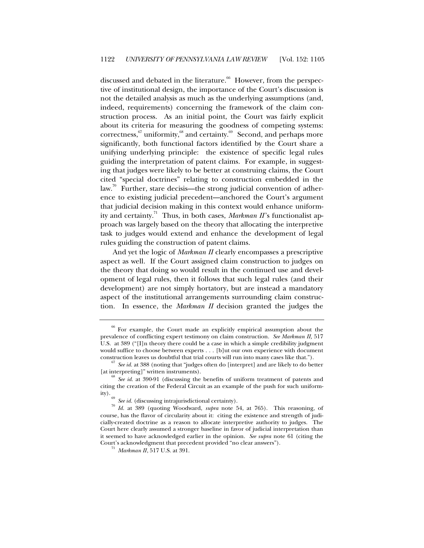discussed and debated in the literature.<sup>66</sup> However, from the perspective of institutional design, the importance of the Court's discussion is not the detailed analysis as much as the underlying assumptions (and, indeed, requirements) concerning the framework of the claim construction process. As an initial point, the Court was fairly explicit about its criteria for measuring the goodness of competing systems: correctness,<sup>67</sup> uniformity,<sup>68</sup> and certainty.<sup>69</sup> Second, and perhaps more significantly, both functional factors identified by the Court share a unifying underlying principle: the existence of specific legal rules guiding the interpretation of patent claims. For example, in suggesting that judges were likely to be better at construing claims, the Court cited "special doctrines" relating to construction embedded in the law.<sup>70</sup> Further, stare decisis—the strong judicial convention of adherence to existing judicial precedent—anchored the Court's argument that judicial decision making in this context would enhance uniformity and certainty.<sup>71</sup> Thus, in both cases, *Markman II*'s functionalist approach was largely based on the theory that allocating the interpretive task to judges would extend and enhance the development of legal rules guiding the construction of patent claims.

And yet the logic of *Markman II* clearly encompasses a prescriptive aspect as well. If the Court assigned claim construction to judges on the theory that doing so would result in the continued use and development of legal rules, then it follows that such legal rules (and their development) are not simply hortatory, but are instead a mandatory aspect of the institutional arrangements surrounding claim construction. In essence, the *Markman II* decision granted the judges the

<sup>66</sup> For example, the Court made an explicitly empirical assumption about the prevalence of conflicting expert testimony on claim construction. *See Markman II,* 517 U.S. at 389 ("[I]n theory there could be a case in which a simple credibility judgment would suffice to choose between experts . . . [b]ut our own experience with document

construction leaves us doubtful that trial courts will run into many cases like that."). <sup>67</sup> *See id.* at 388 (noting that "judges often do [interpret] and are likely to do better [at interpreting]" written instruments). <sup>68</sup> *See id.* at 390-91 (discussing the benefits of uniform treatment of patents and

citing the creation of the Federal Circuit as an example of the push for such uniform-

ity). <sup>69</sup> *See id.* (discussing intrajurisdictional certainty). <sup>70</sup> *Id.* at 389 (quoting Woodward, *supra* note 54, at 765). This reasoning, of course, has the flavor of circularity about it: citing the existence and strength of judicially-created doctrine as a reason to allocate interpretive authority to judges. The Court here clearly assumed a stronger baseline in favor of judicial interpretation than it seemed to have acknowledged earlier in the opinion. *See supra* note 61 (citing the Court's acknowledgment that precedent provided "no clear answers"). <sup>71</sup> *Markman II*, 517 U.S. at 391.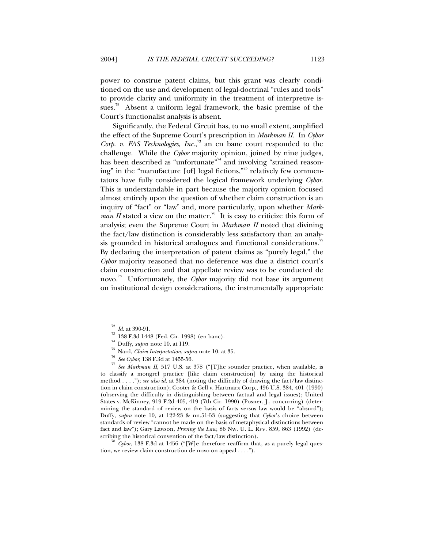power to construe patent claims, but this grant was clearly conditioned on the use and development of legal-doctrinal "rules and tools" to provide clarity and uniformity in the treatment of interpretive issues.<sup>72</sup> Absent a uniform legal framework, the basic premise of the Court's functionalist analysis is absent.

Significantly, the Federal Circuit has, to no small extent, amplified the effect of the Supreme Court's prescription in *Markman II*. In *Cybor* Corp. v. FAS Technologies, Inc.,<sup>73</sup> an en banc court responded to the challenge. While the *Cybor* majority opinion, joined by nine judges, has been described as "unfortunate"<sup> $74$ </sup> and involving "strained reasoning" in the "manufacture [of] legal fictions,"<sup>75</sup> relatively few commentators have fully considered the logical framework underlying *Cybor*. This is understandable in part because the majority opinion focused almost entirely upon the question of whether claim construction is an inquiry of "fact" or "law" and, more particularly, upon whether *Markman II* stated a view on the matter.<sup>76</sup> It is easy to criticize this form of analysis; even the Supreme Court in *Markman II* noted that divining the fact/law distinction is considerably less satisfactory than an analysis grounded in historical analogues and functional considerations.<sup>77</sup> By declaring the interpretation of patent claims as "purely legal," the *Cybor* majority reasoned that no deference was due a district court's claim construction and that appellate review was to be conducted de novo.78 Unfortunately, the *Cybor* majority did not base its argument on institutional design considerations, the instrumentally appropriate

<sup>72</sup> *Id.* at 390-91.<br>
<sup>73</sup> 138 F.3d 1448 (Fed. Cir. 1998) (en banc).<br>
<sup>74</sup> Duffy, *supra* note 10, at 119.<br>
<sup>75</sup> Nard, *Claim Interpretation*, *supra* note 10, at 35.<br>
<sup>76</sup> *See Cybor*, 138 F.3d at 1455-56.<br>
<sup>77</sup> *See Ma* to classify a mongrel practice [like claim construction] by using the historical method . . . ."); *see also id.* at 384 (noting the difficulty of drawing the fact/law distinction in claim construction); Cooter & Gell v. Hartmarx Corp., 496 U.S. 384, 401 (1990) (observing the difficulty in distinguishing between factual and legal issues); United States v. McKinney, 919 F.2d 405, 419 (7th Cir. 1990) (Posner, J., concurring) (determining the standard of review on the basis of facts versus law would be "absurd"); Duffy, *supra* note 10, at 122-23 & nn.51-53 (suggesting that *Cybor*'s choice between standards of review "cannot be made on the basis of metaphysical distinctions between fact and law"); Gary Lawson, *Proving the Law*, 86 NW. U. L. REV. 859, 863 (1992) (de-

scribing the historical convention of the fact/law distinction).<br><sup>78</sup> *Cybor*, 138 F.3d at 1456 ("[W]e therefore reaffirm that, as a purely legal question, we review claim construction de novo on appeal . . . .").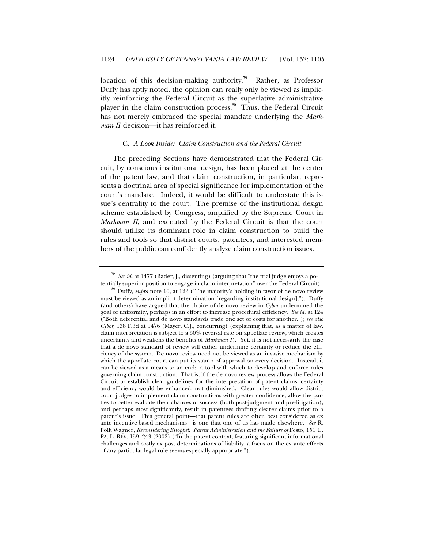location of this decision-making authority.<sup>79</sup> Rather, as Professor Duffy has aptly noted, the opinion can really only be viewed as implicitly reinforcing the Federal Circuit as the superlative administrative player in the claim construction process.<sup>80</sup> Thus, the Federal Circuit has not merely embraced the special mandate underlying the *Markman II* decision—it has reinforced it.

#### C. *A Look Inside: Claim Construction and the Federal Circuit*

The preceding Sections have demonstrated that the Federal Circuit, by conscious institutional design, has been placed at the center of the patent law, and that claim construction, in particular, represents a doctrinal area of special significance for implementation of the court's mandate. Indeed, it would be difficult to understate this issue's centrality to the court. The premise of the institutional design scheme established by Congress, amplified by the Supreme Court in *Markman II*, and executed by the Federal Circuit is that the court should utilize its dominant role in claim construction to build the rules and tools so that district courts, patentees, and interested members of the public can confidently analyze claim construction issues.

<sup>79</sup> *See id.* at 1477 (Rader, J., dissenting) (arguing that "the trial judge enjoys a potentially superior position to engage in claim interpretation" over the Federal Circuit).

<sup>80</sup> Duffy, *supra* note 10, at 123 ("The majority's holding in favor of de novo review must be viewed as an implicit determination [regarding institutional design]."). Duffy (and others) have argued that the choice of de novo review in *Cybor* undermined the goal of uniformity, perhaps in an effort to increase procedural efficiency. *See id.* at 124 ("Both deferential and de novo standards trade one set of costs for another."); *see also Cybor*, 138 F.3d at 1476 (Mayer, C.J., concurring) (explaining that, as a matter of law, claim interpretation is subject to a 50% reversal rate on appellate review, which creates uncertainty and weakens the benefits of *Markman I*). Yet, it is not necessarily the case that a de novo standard of review will either undermine certainty or reduce the efficiency of the system. De novo review need not be viewed as an invasive mechanism by which the appellate court can put its stamp of approval on every decision. Instead, it can be viewed as a means to an end: a tool with which to develop and enforce rules governing claim construction. That is, if the de novo review process allows the Federal Circuit to establish clear guidelines for the interpretation of patent claims, certainty and efficiency would be enhanced, not diminished. Clear rules would allow district court judges to implement claim constructions with greater confidence, allow the parties to better evaluate their chances of success (both post-judgment and pre-litigation), and perhaps most significantly, result in patentees drafting clearer claims prior to a patent's issue. This general point—that patent rules are often best considered as ex ante incentive-based mechanisms—is one that one of us has made elsewhere. *See* R. Polk Wagner, *Reconsidering Estoppel: Patent Administration and the Failure of Festo*, 151 U. PA. L. REV. 159, 243 (2002) ("In the patent context, featuring significant informational challenges and costly ex post determinations of liability, a focus on the ex ante effects of any particular legal rule seems especially appropriate.").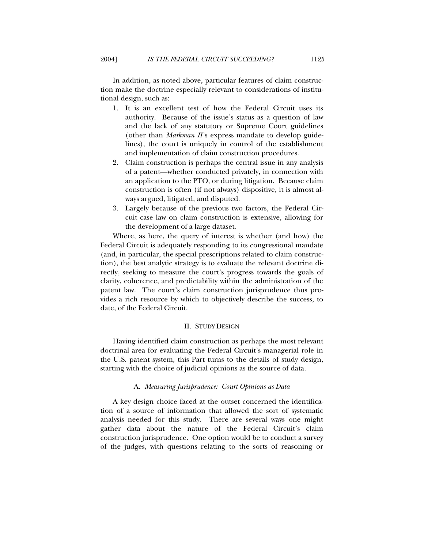In addition, as noted above, particular features of claim construction make the doctrine especially relevant to considerations of institutional design, such as:

- 1. It is an excellent test of how the Federal Circuit uses its authority. Because of the issue's status as a question of law and the lack of any statutory or Supreme Court guidelines (other than *Markman II*'s express mandate to develop guidelines), the court is uniquely in control of the establishment and implementation of claim construction procedures.
- 2. Claim construction is perhaps the central issue in any analysis of a patent—whether conducted privately, in connection with an application to the PTO, or during litigation. Because claim construction is often (if not always) dispositive, it is almost always argued, litigated, and disputed.
- 3. Largely because of the previous two factors, the Federal Circuit case law on claim construction is extensive, allowing for the development of a large dataset.

Where, as here, the query of interest is whether (and how) the Federal Circuit is adequately responding to its congressional mandate (and, in particular, the special prescriptions related to claim construction), the best analytic strategy is to evaluate the relevant doctrine directly, seeking to measure the court's progress towards the goals of clarity, coherence, and predictability within the administration of the patent law. The court's claim construction jurisprudence thus provides a rich resource by which to objectively describe the success, to date, of the Federal Circuit.

#### II. STUDY DESIGN

Having identified claim construction as perhaps the most relevant doctrinal area for evaluating the Federal Circuit's managerial role in the U.S. patent system, this Part turns to the details of study design, starting with the choice of judicial opinions as the source of data.

#### A. *Measuring Jurisprudence: Court Opinions as Data*

A key design choice faced at the outset concerned the identification of a source of information that allowed the sort of systematic analysis needed for this study. There are several ways one might gather data about the nature of the Federal Circuit's claim construction jurisprudence. One option would be to conduct a survey of the judges, with questions relating to the sorts of reasoning or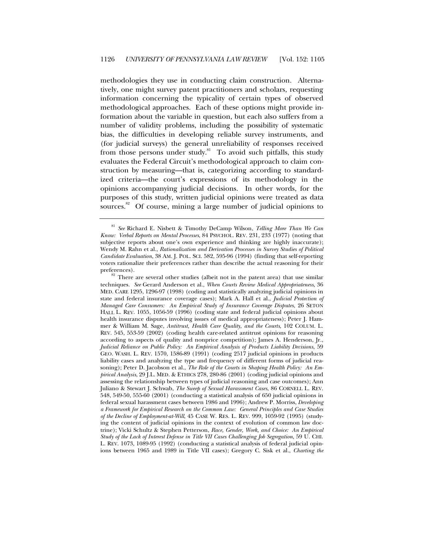methodologies they use in conducting claim construction. Alternatively, one might survey patent practitioners and scholars, requesting information concerning the typicality of certain types of observed methodological approaches. Each of these options might provide information about the variable in question, but each also suffers from a number of validity problems, including the possibility of systematic bias, the difficulties in developing reliable survey instruments, and (for judicial surveys) the general unreliability of responses received from those persons under study.<sup>81</sup> To avoid such pitfalls, this study evaluates the Federal Circuit's methodological approach to claim construction by measuring—that is, categorizing according to standardized criteria—the court's expressions of its methodology in the opinions accompanying judicial decisions. In other words, for the purposes of this study, written judicial opinions were treated as data sources.<sup>82</sup> Of course, mining a large number of judicial opinions to

<sup>81</sup> *See* Richard E. Nisbett & Timothy DeCamp Wilson, *Telling More Than We Can Know: Verbal Reports on Mental Processes*, 84 PSYCHOL. REV. 231, 233 (1977) (noting that subjective reports about one's own experience and thinking are highly inaccurate); Wendy M. Rahn et al., *Rationalization and Derivation Processes in Survey Studies of Political Candidate Evaluation*, 38 AM. J. POL. SCI. 582, 595-96 (1994) (finding that self-reporting voters rationalize their preferences rather than describe the actual reasoning for their

preferences).<br><sup>82</sup> There are several other studies (albeit not in the patent area) that use similar techniques. *See* Gerard Anderson et al., *When Courts Review Medical Appropriateness*, 36 MED. CARE 1295, 1296-97 (1998) (coding and statistically analyzing judicial opinions in state and federal insurance coverage cases); Mark A. Hall et al., *Judicial Protection of Managed Care Consumers: An Empirical Study of Insurance Coverage Disputes*, 26 SETON HALL L. REV. 1055, 1056-59 (1996) (coding state and federal judicial opinions about health insurance disputes involving issues of medical appropriateness); Peter J. Hammer & William M. Sage, *Antitrust, Health Care Quality, and the Courts*, 102 COLUM. L. REV. 545, 553-59 (2002) (coding health care-related antitrust opinions for reasoning according to aspects of quality and nonprice competition); James A. Henderson, Jr., *Judicial Reliance on Public Policy: An Empirical Analysis of Products Liability Decisions*, 59 GEO. WASH. L. REV. 1570, 1586-89 (1991) (coding 2517 judicial opinions in products liability cases and analyzing the type and frequency of different forms of judicial reasoning); Peter D. Jacobson et al., *The Role of the Courts in Shaping Health Policy: An Empirical Analysis*, 29 J.L. MED. & ETHICS 278, 280-86 (2001) (coding judicial opinions and assessing the relationship between types of judicial reasoning and case outcomes); Ann Juliano & Stewart J. Schwab, *The Sweep of Sexual Harassment Cases*, 86 CORNELL L. REV. 548, 549-50, 555-60 (2001) (conducting a statistical analysis of 650 judicial opinions in federal sexual harassment cases between 1986 and 1996); Andrew P. Morriss, *Developing a Framework for Empirical Research on the Common Law: General Principles and Case Studies of the Decline of Employment-at-Will*, 45 CASE W. RES. L. REV. 999, 1059-92 (1995) (studying the content of judicial opinions in the context of evolution of common law doctrine); Vicki Schultz & Stephen Petterson, *Race, Gender, Work, and Choice: An Empirical Study of the Lack of Interest Defense in Title VII Cases Challenging Job Segregation*, 59 U. CHI. L. REV. 1073, 1089-95 (1992) (conducting a statistical analysis of federal judicial opinions between 1965 and 1989 in Title VII cases); Gregory C. Sisk et al., *Charting the*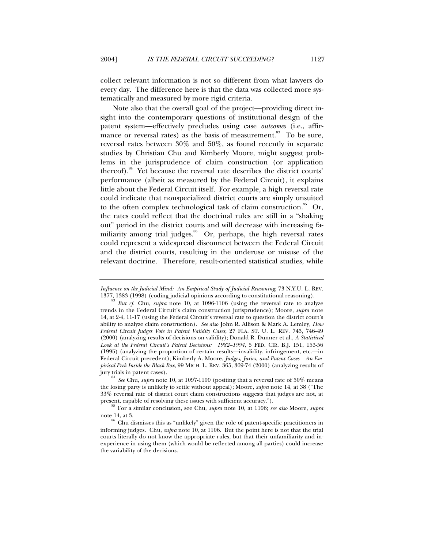collect relevant information is not so different from what lawyers do every day. The difference here is that the data was collected more systematically and measured by more rigid criteria.

Note also that the overall goal of the project—providing direct insight into the contemporary questions of institutional design of the patent system—effectively precludes using case *outcomes* (i.e., affirmance or reversal rates) as the basis of measurement. $83$  To be sure, reversal rates between 30% and 50%, as found recently in separate studies by Christian Chu and Kimberly Moore, might suggest problems in the jurisprudence of claim construction (or application thereof).<sup>84</sup> Yet because the reversal rate describes the district courts' performance (albeit as measured by the Federal Circuit), it explains little about the Federal Circuit itself. For example, a high reversal rate could indicate that nonspecialized district courts are simply unsuited to the often complex technological task of claim construction.<sup>85</sup> Or, the rates could reflect that the doctrinal rules are still in a "shaking out" period in the district courts and will decrease with increasing familiarity among trial judges.<sup>86</sup> Or, perhaps, the high reversal rates could represent a widespread disconnect between the Federal Circuit and the district courts, resulting in the underuse or misuse of the relevant doctrine. Therefore, result-oriented statistical studies, while

*Influence on the Judicial Mind: An Empirical Study of Judicial Reasoning*, 73 N.Y.U. L. REV. 1377, 1383 (1998) (coding judicial opinions according to constitutional reasoning).

<sup>&</sup>lt;sup>83</sup> But cf. Chu, *supra* note 10, at 1096-1106 (using the reversal rate to analyze trends in the Federal Circuit's claim construction jurisprudence); Moore, *supra* note 14, at 2-4, 11-17 (using the Federal Circuit's reversal rate to question the district court's ability to analyze claim construction). *See also* John R. Allison & Mark A. Lemley, *How Federal Circuit Judges Vote in Patent Validity Cases*, 27 FLA. ST. U. L. REV. 745, 746-49 (2000) (analyzing results of decisions on validity); Donald R. Dunner et al., *A Statistical Look at the Federal Circuit's Patent Decisions: 1982–1994*, 5 FED. CIR. B.J. 151, 153-56 (1995) (analyzing the proportion of certain results—invalidity, infringement, etc.—in Federal Circuit precedent); Kimberly A. Moore, *Judges, Juries, and Patent Cases—An Empirical Peek Inside the Black Box*, 99 MICH. L. REV. 365, 369-74 (2000) (analyzing results of jury trials in patent cases). <sup>84</sup> *See* Chu, *supra* note 10, at 1097-1100 (positing that a reversal rate of 50% means

the losing party is unlikely to settle without appeal); Moore, *supra* note 14, at 38 ("The 33% reversal rate of district court claim constructions suggests that judges are not, at

present, capable of resolving these issues with sufficient accuracy."). <sup>85</sup> For a similar conclusion, see Chu, *supra* note 10, at 1106; *see also* Moore, *supra* note 14, at 3.  $^{86}$  Chu dismisses this as "unlikely" given the role of patent-specific practitioners in

informing judges. Chu, *supra* note 10, at 1106. But the point here is not that the trial courts literally do not know the appropriate rules, but that their unfamiliarity and inexperience in using them (which would be reflected among all parties) could increase the variability of the decisions.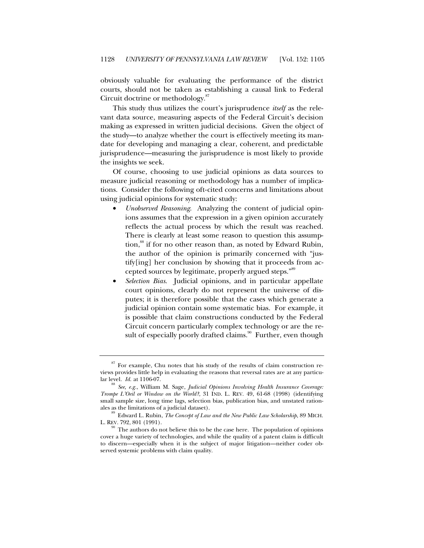obviously valuable for evaluating the performance of the district courts, should not be taken as establishing a causal link to Federal Circuit doctrine or methodology.<sup>87</sup>

This study thus utilizes the court's jurisprudence *itself* as the relevant data source, measuring aspects of the Federal Circuit's decision making as expressed in written judicial decisions. Given the object of the study—to analyze whether the court is effectively meeting its mandate for developing and managing a clear, coherent, and predictable jurisprudence—measuring the jurisprudence is most likely to provide the insights we seek.

Of course, choosing to use judicial opinions as data sources to measure judicial reasoning or methodology has a number of implications. Consider the following oft-cited concerns and limitations about using judicial opinions for systematic study:

- *Unobserved Reasoning*. Analyzing the content of judicial opinions assumes that the expression in a given opinion accurately reflects the actual process by which the result was reached. There is clearly at least some reason to question this assumption,<sup>88</sup> if for no other reason than, as noted by Edward Rubin, the author of the opinion is primarily concerned with "justify[ing] her conclusion by showing that it proceeds from accepted sources by legitimate, properly argued steps."89
- *Selection Bias*. Judicial opinions, and in particular appellate court opinions, clearly do not represent the universe of disputes; it is therefore possible that the cases which generate a judicial opinion contain some systematic bias. For example, it is possible that claim constructions conducted by the Federal Circuit concern particularly complex technology or are the result of especially poorly drafted claims.<sup>90</sup> Further, even though

 $87$  For example, Chu notes that his study of the results of claim construction reviews provides little help in evaluating the reasons that reversal rates are at any particular level. *Id.* at 1106-07. <sup>88</sup> *See, e.g.*, William M. Sage, *Judicial Opinions Involving Health Insurance Coverage:*

*Trompe L'Oeil or Window on the World?*, 31 IND. L. REV. 49, 61-68 (1998) (identifying small sample size, long time lags, selection bias, publication bias, and unstated ration-<br>ales as the limitations of a judicial dataset).

<sup>&</sup>lt;sup>89</sup> Edward L. Rubin, *The Concept of Law and the New Public Law Scholarship*, 89 MICH.<br>L. REV. 792, 801 (1991).

<sup>&</sup>lt;sup>90</sup> The authors do not believe this to be the case here. The population of opinions cover a huge variety of technologies, and while the quality of a patent claim is difficult to discern—especially when it is the subject of major litigation—neither coder observed systemic problems with claim quality.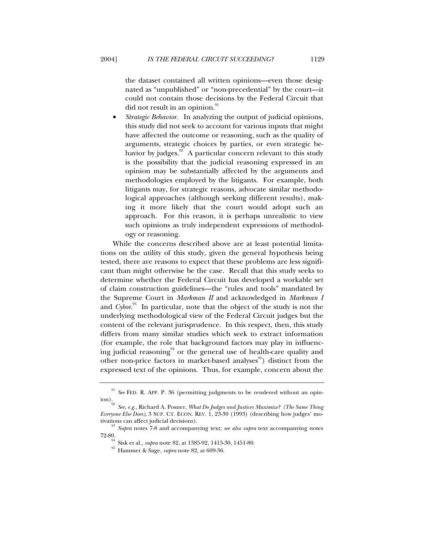the dataset contained all written opinions—even those designated as "unpublished" or "non-precedential" by the court—it could not contain those decisions by the Federal Circuit that did not result in an opinion.<sup>91</sup>

• *Strategic Behavior.* In analyzing the output of judicial opinions, this study did not seek to account for various inputs that might have affected the outcome or reasoning, such as the quality of arguments, strategic choices by parties, or even strategic behavior by judges.<sup>92</sup> A particular concern relevant to this study is the possibility that the judicial reasoning expressed in an opinion may be substantially affected by the arguments and methodologies employed by the litigants. For example, both litigants may, for strategic reasons, advocate similar methodological approaches (although seeking different results), making it more likely that the court would adopt such an approach. For this reason, it is perhaps unrealistic to view such opinions as truly independent expressions of methodology or reasoning.

While the concerns described above are at least potential limitations on the utility of this study, given the general hypothesis being tested, there are reasons to expect that these problems are less significant than might otherwise be the case. Recall that this study seeks to determine whether the Federal Circuit has developed a workable set of claim construction guidelines—the "rules and tools" mandated by the Supreme Court in *Markman II* and acknowledged in *Markman I* and *Cybor*. 93 In particular, note that the object of the study is not the underlying methodological view of the Federal Circuit judges but the content of the relevant jurisprudence. In this respect, then, this study differs from many similar studies which seek to extract information (for example, the role that background factors may play in influencing judicial reasoning  $94$  or the general use of health-care quality and other non-price factors in market-based analyses<sup>95</sup>) distinct from the expressed text of the opinions. Thus, for example, concern about the

<sup>&</sup>lt;sup>91</sup> *See* FED. R. APP. P. 36 (permitting judgments to be rendered without an opin-<br>ion).

ion).92 *See, e.g.*, Richard A. Posner, *What Do Judges and Justices Maximize? (The Same Thing Everyone Else Does)*, 3 SUP. CT. ECON. REV. 1, 23-30 (1993) (describing how judges' motivations can affect judicial decisions). <sup>93</sup> *Supra* notes 7-8 and accompanying text; *see also supra* text accompanying notes

<sup>72-80.</sup> <sup>94</sup> Sisk et al., *supra* note 82, at 1385-92, 1415-30, 1451-80. <sup>95</sup> Hammer & Sage, *supra* note 82, at 609-36.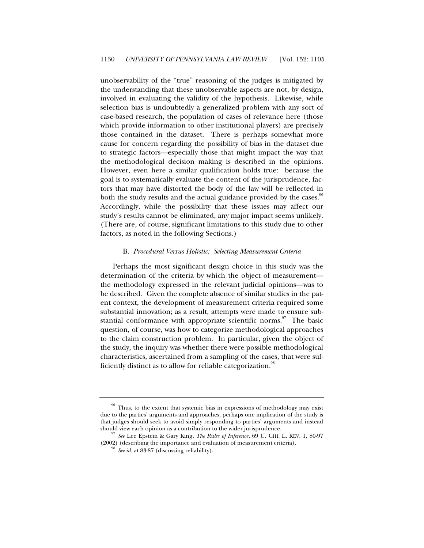unobservability of the "true" reasoning of the judges is mitigated by the understanding that these unobservable aspects are not, by design, involved in evaluating the validity of the hypothesis. Likewise, while selection bias is undoubtedly a generalized problem with any sort of case-based research, the population of cases of relevance here (those which provide information to other institutional players) are precisely those contained in the dataset. There is perhaps somewhat more cause for concern regarding the possibility of bias in the dataset due to strategic factors—especially those that might impact the way that the methodological decision making is described in the opinions. However, even here a similar qualification holds true: because the goal is to systematically evaluate the content of the jurisprudence, factors that may have distorted the body of the law will be reflected in both the study results and the actual guidance provided by the cases.<sup>96</sup> Accordingly, while the possibility that these issues may affect our study's results cannot be eliminated, any major impact seems unlikely. (There are, of course, significant limitations to this study due to other factors, as noted in the following Sections.)

#### B. *Procedural Versus Holistic: Selecting Measurement Criteria*

Perhaps the most significant design choice in this study was the determination of the criteria by which the object of measurement the methodology expressed in the relevant judicial opinions—was to be described. Given the complete absence of similar studies in the patent context, the development of measurement criteria required some substantial innovation; as a result, attempts were made to ensure substantial conformance with appropriate scientific norms. $97$  The basic question, of course, was how to categorize methodological approaches to the claim construction problem. In particular, given the object of the study, the inquiry was whether there were possible methodological characteristics, ascertained from a sampling of the cases, that were sufficiently distinct as to allow for reliable categorization.<sup>98</sup>

<sup>&</sup>lt;sup>96</sup> Thus, to the extent that systemic bias in expressions of methodology may exist due to the parties' arguments and approaches, perhaps one implication of the study is that judges should seek to avoid simply responding to parties' arguments and instead should view each opinion as a contribution to the wider jurisprudence. <sup>97</sup> *See* Lee Epstein & Gary King, *The Rules of Inference*, 69 U. CHI. L. REV. 1, 80-97

<sup>(2002) (</sup>describing the importance and evaluation of measurement criteria). <sup>98</sup> *See id.* at 83-87 (discussing reliability).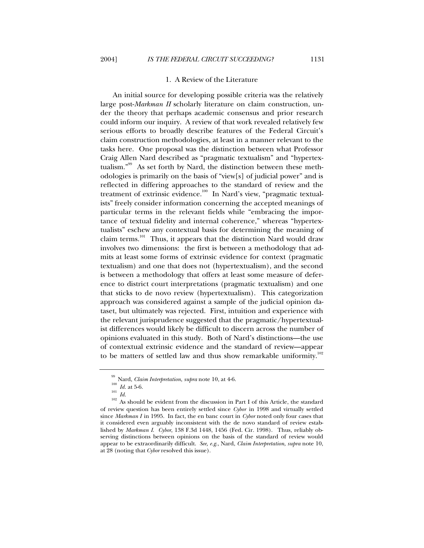#### 1. A Review of the Literature

An initial source for developing possible criteria was the relatively large post-*Markman II* scholarly literature on claim construction, under the theory that perhaps academic consensus and prior research could inform our inquiry. A review of that work revealed relatively few serious efforts to broadly describe features of the Federal Circuit's claim construction methodologies, at least in a manner relevant to the tasks here. One proposal was the distinction between what Professor Craig Allen Nard described as "pragmatic textualism" and "hypertextualism."99 As set forth by Nard, the distinction between these methodologies is primarily on the basis of "view[s] of judicial power" and is reflected in differing approaches to the standard of review and the treatment of extrinsic evidence.<sup>100</sup> In Nard's view, "pragmatic textualists" freely consider information concerning the accepted meanings of particular terms in the relevant fields while "embracing the importance of textual fidelity and internal coherence," whereas "hypertextualists" eschew any contextual basis for determining the meaning of claim terms.<sup>101</sup> Thus, it appears that the distinction Nard would draw involves two dimensions: the first is between a methodology that admits at least some forms of extrinsic evidence for context (pragmatic textualism) and one that does not (hypertextualism), and the second is between a methodology that offers at least some measure of deference to district court interpretations (pragmatic textualism) and one that sticks to de novo review (hypertextualism). This categorization approach was considered against a sample of the judicial opinion dataset, but ultimately was rejected. First, intuition and experience with the relevant jurisprudence suggested that the pragmatic/hypertextualist differences would likely be difficult to discern across the number of opinions evaluated in this study. Both of Nard's distinctions—the use of contextual extrinsic evidence and the standard of review—appear to be matters of settled law and thus show remarkable uniformity.<sup>102</sup>

<sup>&</sup>lt;sup>99</sup> Nard, *Claim Interpretation*, *supra* note 10, at 4-6.<br><sup>100</sup> *Id.* at 5-6.<br><sup>101</sup> *Id.* 102 As should be evident from the discussion in Part I of this Article, the standard of review question has been entirely settled since *Cybor* in 1998 and virtually settled since *Markman I* in 1995. In fact, the en banc court in *Cybor* noted only four cases that it considered even arguably inconsistent with the de novo standard of review established by *Markman I*. *Cybor*, 138 F.3d 1448, 1456 (Fed. Cir. 1998). Thus, reliably observing distinctions between opinions on the basis of the standard of review would appear to be extraordinarily difficult. *See, e.g*., Nard, *Claim Interpretation*, *supra* note 10, at 28 (noting that *Cybor* resolved this issue).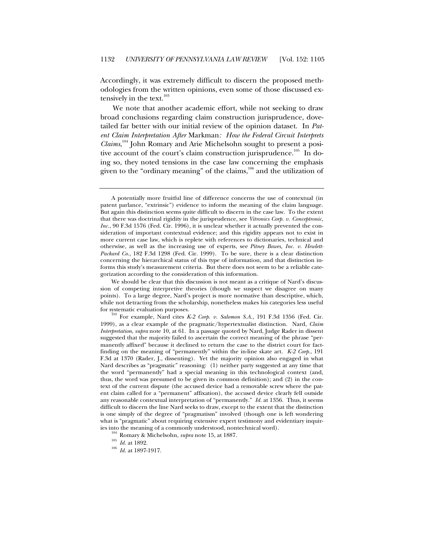Accordingly, it was extremely difficult to discern the proposed methodologies from the written opinions, even some of those discussed extensively in the text.<sup>103</sup>

We note that another academic effort, while not seeking to draw broad conclusions regarding claim construction jurisprudence, dovetailed far better with our initial review of the opinion dataset. In *Patent Claim Interpretation After* Markman*: How the Federal Circuit Interprets Claims*, 104 John Romary and Arie Michelsohn sought to present a positive account of the court's claim construction jurisprudence.<sup>105</sup> In doing so, they noted tensions in the case law concerning the emphasis given to the "ordinary meaning" of the claims,<sup>106</sup> and the utilization of

A potentially more fruitful line of difference concerns the use of contextual (in patent parlance, "extrinsic") evidence to inform the meaning of the claim language. But again this distinction seems quite difficult to discern in the case law. To the extent that there was doctrinal rigidity in the jurisprudence, see *Vitronics Corp. v. Conceptronic, Inc.*, 90 F.3d 1576 (Fed. Cir. 1996), it is unclear whether it actually prevented the consideration of important contextual evidence; and this rigidity appears not to exist in more current case law, which is replete with references to dictionaries, technical and otherwise, as well as the increasing use of experts, see *Pitney Bowes, Inc. v. Hewlett-Packard Co.*, 182 F.3d 1298 (Fed. Cir. 1999). To be sure, there is a clear distinction concerning the hierarchical status of this type of information, and that distinction informs this study's measurement criteria. But there does not seem to be a reliable categorization according to the consideration of this information.

We should be clear that this discussion is not meant as a critique of Nard's discussion of competing interpretive theories (though we suspect we disagree on many points). To a large degree, Nard's project is more normative than descriptive, which, while not detracting from the scholarship, nonetheless makes his categories less useful

for systematic evaluation purposes. <sup>103</sup> For example, Nard cites *K-2 Corp. v. Salomon S.A.*, 191 F.3d 1356 (Fed. Cir. 1999), as a clear example of the pragmatic/hypertextualist distinction. Nard, *Claim Interpretation*, *supra* note 10, at 61. In a passage quoted by Nard, Judge Rader in dissent suggested that the majority failed to ascertain the correct meaning of the phrase "permanently affixed" because it declined to return the case to the district court for factfinding on the meaning of "permanently" within the in-line skate art. *K-2 Corp.*, 191 F.3d at 1370 (Rader, J., dissenting). Yet the majority opinion also engaged in what Nard describes as "pragmatic" reasoning: (1) neither party suggested at any time that the word "permanently" had a special meaning in this technological context (and, thus, the word was presumed to be given its common definition); and (2) in the context of the current dispute (the accused device had a removable screw where the patent claim called for a "permanent" affixation), the accused device clearly fell outside any reasonable contextual interpretation of "permanently." *Id.* at 1356. Thus, it seems difficult to discern the line Nard seeks to draw, except to the extent that the distinction is one simply of the degree of "pragmatism" involved (though one is left wondering what is "pragmatic" about requiring extensive expert testimony and evidentiary inquiries into the meaning of a commonly understood, nontechnical word).<br>
<sup>104</sup> Romary & Michelsohn, *supra* note 15, at 1887.<br>
<sup>105</sup> *Id.* at 1892.<br>
<sup>106</sup> *Id.* at 1897-1917.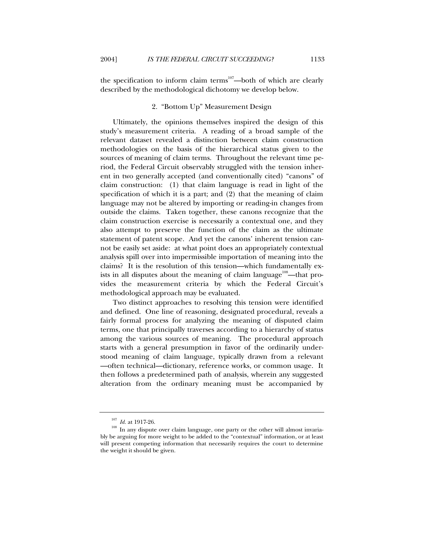the specification to inform claim terms<sup>107</sup>—both of which are clearly described by the methodological dichotomy we develop below.

#### 2. "Bottom Up" Measurement Design

Ultimately, the opinions themselves inspired the design of this study's measurement criteria. A reading of a broad sample of the relevant dataset revealed a distinction between claim construction methodologies on the basis of the hierarchical status given to the sources of meaning of claim terms. Throughout the relevant time period, the Federal Circuit observably struggled with the tension inherent in two generally accepted (and conventionally cited) "canons" of claim construction: (1) that claim language is read in light of the specification of which it is a part; and (2) that the meaning of claim language may not be altered by importing or reading-in changes from outside the claims. Taken together, these canons recognize that the claim construction exercise is necessarily a contextual one, and they also attempt to preserve the function of the claim as the ultimate statement of patent scope. And yet the canons' inherent tension cannot be easily set aside: at what point does an appropriately contextual analysis spill over into impermissible importation of meaning into the claims? It is the resolution of this tension—which fundamentally exists in all disputes about the meaning of claim language $108$ —that provides the measurement criteria by which the Federal Circuit's methodological approach may be evaluated.

Two distinct approaches to resolving this tension were identified and defined. One line of reasoning, designated procedural, reveals a fairly formal process for analyzing the meaning of disputed claim terms, one that principally traverses according to a hierarchy of status among the various sources of meaning. The procedural approach starts with a general presumption in favor of the ordinarily understood meaning of claim language, typically drawn from a relevant —often technical—dictionary, reference works, or common usage. It then follows a predetermined path of analysis, wherein any suggested alteration from the ordinary meaning must be accompanied by

 $107$  *Id.* at 1917-26.<br><sup>108</sup> In any dispute over claim language, one party or the other will almost invariably be arguing for more weight to be added to the "contextual" information, or at least will present competing information that necessarily requires the court to determine the weight it should be given.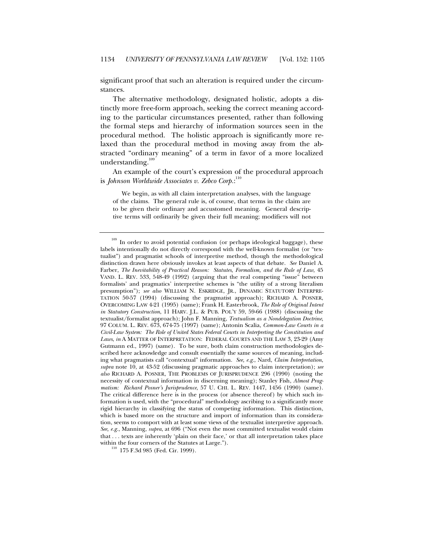significant proof that such an alteration is required under the circumstances.

The alternative methodology, designated holistic, adopts a distinctly more free-form approach, seeking the correct meaning according to the particular circumstances presented, rather than following the formal steps and hierarchy of information sources seen in the procedural method. The holistic approach is significantly more relaxed than the procedural method in moving away from the abstracted "ordinary meaning" of a term in favor of a more localized understanding.<sup>109</sup>

An example of the court's expression of the procedural approach is *Johnson Worldwide Associates v. Zebco Corp.*: 110

We begin, as with all claim interpretation analyses, with the language of the claims. The general rule is, of course, that terms in the claim are to be given their ordinary and accustomed meaning. General descriptive terms will ordinarily be given their full meaning; modifiers will not

<sup>&</sup>lt;sup>109</sup> In order to avoid potential confusion (or perhaps ideological baggage), these labels intentionally do not directly correspond with the well-known formalist (or "textualist") and pragmatist schools of interpretive method, though the methodological distinction drawn here obviously invokes at least aspects of that debate. *See* Daniel A. Farber, *The Inevitability of Practical Reason: Statutes, Formalism, and the Rule of Law*, 45 VAND. L. REV. 533, 548-49 (1992) (arguing that the real competing "issue" between formalists' and pragmatics' interpretive schemes is "the utility of a strong literalism presumption"); *see also* WILLIAM N. ESKRIDGE, JR., DYNAMIC STATUTORY INTERPRE-TATION 50-57 (1994) (discussing the pragmatist approach); RICHARD A. POSNER, OVERCOMING LAW 4-21 (1995) (same); Frank H. Easterbrook, *The Role of Original Intent in Statutory Construction*, 11 HARV. J.L. & PUB. POL'Y 59, 59-66 (1988) (discussing the textualist/formalist approach); John F. Manning, *Textualism as a Nondelegation Doctrine*, 97 COLUM. L. REV. 673, 674-75 (1997) (same); Antonin Scalia, *Common-Law Courts in a Civil-Law System: The Role of United States Federal Courts in Interpreting the Constitution and Laws*, *in* A MATTER OF INTERPRETATION: FEDERAL COURTS AND THE LAW 3, 23-29 (Amy Gutmann ed., 1997) (same). To be sure, both claim construction methodologies described here acknowledge and consult essentially the same sources of meaning, including what pragmatists call "contextual" information. *See, e.g.*, Nard, *Claim Interpretation*, *supra* note 10, at 43-52 (discussing pragmatic approaches to claim interpretation); *see also* RICHARD A. POSNER, THE PROBLEMS OF JURISPRUDENCE 296 (1990) (noting the necessity of contextual information in discerning meaning); Stanley Fish, *Almost Pragmatism: Richard Posner's Jurisprudence*, 57 U. CHI. L. REV. 1447, 1456 (1990) (same). The critical difference here is in the process (or absence thereof) by which such information is used, with the "procedural" methodology ascribing to a significantly more rigid hierarchy in classifying the status of competing information. This distinction, which is based more on the structure and import of information than its consideration, seems to comport with at least some views of the textualist interpretive approach. *See, e.g.*, Manning, *supra*, at 696 ("Not even the most committed textualist would claim that . . . texts are inherently 'plain on their face,' or that all interpretation takes place within the four corners of the Statutes at Large.").<br> $^{110}$  175 F.3d 985 (Fed. Cir. 1999).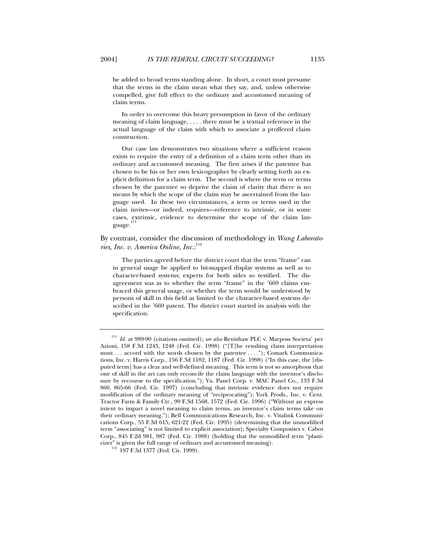be added to broad terms standing alone. In short, a court must presume that the terms in the claim mean what they say, and, unless otherwise compelled, give full effect to the ordinary and accustomed meaning of claim terms.

In order to overcome this heavy presumption in favor of the ordinary meaning of claim language, . . . . there must be a textual reference in the actual language of the claim with which to associate a proffered claim construction.

Our case law demonstrates two situations where a sufficient reason exists to require the entry of a definition of a claim term other than its ordinary and accustomed meaning. The first arises if the patentee has chosen to be his or her own lexicographer by clearly setting forth an explicit definition for a claim term. The second is where the term or terms chosen by the patentee so deprive the claim of clarity that there is no means by which the scope of the claim may be ascertained from the language used. In these two circumstances, a term or terms used in the claim invites—or indeed, requires—reference to intrinsic, or in some cases, extrinsic, evidence to determine the scope of the claim language.

By contrast, consider the discussion of methodology in *Wang Laborato*ries, Inc. v. America Online, Inc.:<sup>112</sup>

The parties agreed before the district court that the term "frame" can in general usage be applied to bit-mapped display systems as well as to character-based systems; experts for both sides so testified. The disagreement was as to whether the term "frame" in the '669 claims embraced this general usage, or whether the term would be understood by persons of skill in this field as limited to the character-based systems described in the '669 patent. The district court started its analysis with the specification.

<sup>111</sup> *Id.* at 989-90 (citations omitted); *see also* Renishaw PLC v. Marposs Societa' per Azioni, 158 F.3d 1243, 1248 (Fed. Cir. 1998) ("[T]he resulting claim interpretation must . . . accord with the words chosen by the patentee . . . ."); Comark Communications, Inc. v. Harris Corp., 156 F.3d 1182, 1187 (Fed. Cir. 1998) ("In this case, the [disputed term] has a clear and well-defined meaning. This term is not so amorphous that one of skill in the art can only reconcile the claim language with the inventor's disclosure by recourse to the specification."); Va. Panel Corp. v. MAC Panel Co., 133 F.3d 860, 865-66 (Fed. Cir. 1997) (concluding that intrinsic evidence does not require modification of the ordinary meaning of "reciprocating"); York Prods., Inc. v. Cent. Tractor Farm & Family Ctr., 99 F.3d 1568, 1572 (Fed. Cir. 1996) ("Without an express intent to impart a novel meaning to claim terms, an inventor's claim terms take on their ordinary meaning."); Bell Communications Research, Inc. v. Vitalink Communications Corp., 55 F.3d 615, 621-22 (Fed. Cir. 1995) (determining that the unmodified term "associating" is not limited to explicit association); Specialty Composites v. Cabot Corp., 845 F.2d 981, 987 (Fed. Cir. 1988) (holding that the unmodified term "plasticizer" is given the full range of ordinary and accustomed meaning). <sup>112</sup> 197 F.3d 1377 (Fed. Cir. 1999).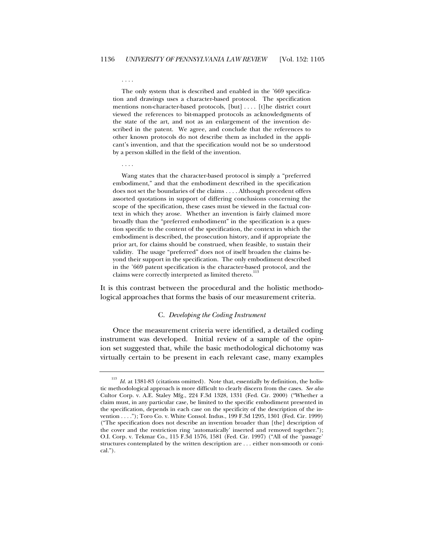The only system that is described and enabled in the '669 specification and drawings uses a character-based protocol. The specification mentions non-character-based protocols, [but] . . . . [t]he district court viewed the references to bit-mapped protocols as acknowledgments of the state of the art, and not as an enlargement of the invention described in the patent. We agree, and conclude that the references to other known protocols do not describe them as included in the applicant's invention, and that the specification would not be so understood by a person skilled in the field of the invention.

. . . .

. . . .

Wang states that the character-based protocol is simply a "preferred embodiment," and that the embodiment described in the specification does not set the boundaries of the claims . . . . Although precedent offers assorted quotations in support of differing conclusions concerning the scope of the specification, these cases must be viewed in the factual context in which they arose. Whether an invention is fairly claimed more broadly than the "preferred embodiment" in the specification is a question specific to the content of the specification, the context in which the embodiment is described, the prosecution history, and if appropriate the prior art, for claims should be construed, when feasible, to sustain their validity. The usage "preferred" does not of itself broaden the claims beyond their support in the specification. The only embodiment described in the '669 patent specification is the character-based protocol, and the claims were correctly interpreted as limited thereto.<sup>1</sup>

It is this contrast between the procedural and the holistic methodological approaches that forms the basis of our measurement criteria.

#### C. *Developing the Coding Instrument*

Once the measurement criteria were identified, a detailed coding instrument was developed. Initial review of a sample of the opinion set suggested that, while the basic methodological dichotomy was virtually certain to be present in each relevant case, many examples

<sup>&</sup>lt;sup>113</sup> *Id.* at 1381-83 (citations omitted). Note that, essentially by definition, the holistic methodological approach is more difficult to clearly discern from the cases. *See also* Cultor Corp. v. A.E. Staley Mfg., 224 F.3d 1328, 1331 (Fed. Cir. 2000) ("Whether a claim must, in any particular case, be limited to the specific embodiment presented in the specification, depends in each case on the specificity of the description of the invention . . . ."); Toro Co. v. White Consol. Indus., 199 F.3d 1295, 1301 (Fed. Cir. 1999) ("The specification does not describe an invention broader than [the] description of the cover and the restriction ring 'automatically' inserted and removed together."); O.I. Corp. v. Tekmar Co., 115 F.3d 1576, 1581 (Fed. Cir. 1997) ("All of the 'passage' structures contemplated by the written description are . . . either non-smooth or conical.").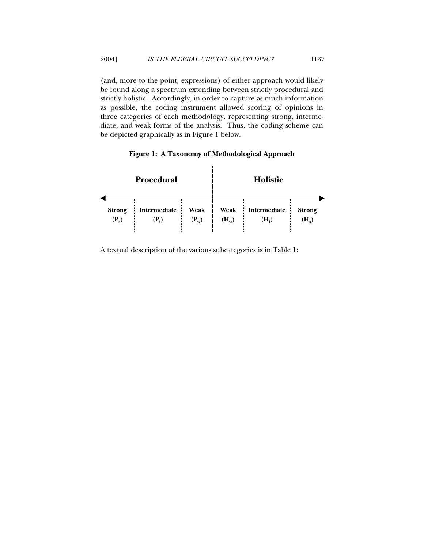(and, more to the point, expressions) of either approach would likely be found along a spectrum extending between strictly procedural and strictly holistic. Accordingly, in order to capture as much information as possible, the coding instrument allowed scoring of opinions in three categories of each methodology, representing strong, intermediate, and weak forms of the analysis. Thus, the coding scheme can be depicted graphically as in Figure 1 below.





A textual description of the various subcategories is in Table 1: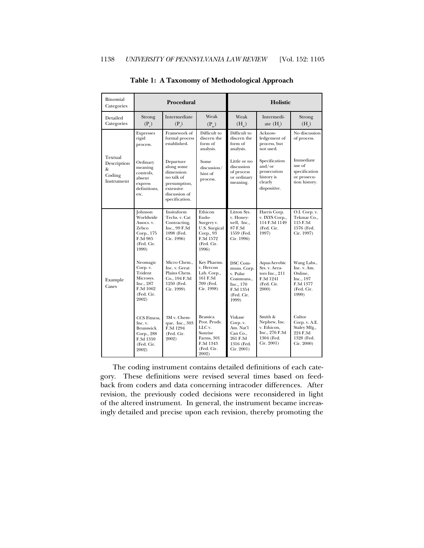| Binomial<br>Categories                              | Procedural                                                                                           |                                                                                                                     |                                                                                                        | Holistic                                                                                          |                                                                                      |                                                                                        |
|-----------------------------------------------------|------------------------------------------------------------------------------------------------------|---------------------------------------------------------------------------------------------------------------------|--------------------------------------------------------------------------------------------------------|---------------------------------------------------------------------------------------------------|--------------------------------------------------------------------------------------|----------------------------------------------------------------------------------------|
| Detailed<br>Categories                              | Strong<br>$(P_2)$                                                                                    | Intermediate<br>$(P_1)$                                                                                             | Weak<br>$(P_{\omega})$                                                                                 | Weak<br>$(H_{\ldots})$                                                                            | Intermedi-<br>ate $(H_0)$                                                            | Strong<br>$(H_{\alpha})$                                                               |
| Textual<br>Description<br>&<br>Coding<br>Instrument | <b>Expresses</b><br>rigid<br>process.                                                                | Framework of<br>formal process<br>established.                                                                      | Difficult to<br>discern the<br>form of<br>analysis.                                                    | Difficult to<br>discern the<br>form of<br>analysis.                                               | Acknow-<br>ledgement of<br>process, but<br>not used.                                 | No discussion<br>of process.                                                           |
|                                                     | Ordinary<br>meaning<br>controls.<br>absent<br>express<br>definitions.<br>etc.                        | Departure<br>along some<br>dimension:<br>no talk of<br>presumption,<br>extensive<br>discussion of<br>specification. | Some<br>discussion/<br>hint of<br>process.                                                             | Little or no<br>discussion<br>of process<br>or ordinary<br>meaning.                               | Specification<br>and/or<br>prosecution<br>history is<br>clearly<br>dispositive.      | Immediate<br>use of<br>specification<br>or prosecu-<br>tion history.                   |
| Example<br>Cases                                    | Johnson<br>Worldwide<br>Assocs. v.<br>Zebco<br>Corp., 175<br>F.3d 985<br>(Fed. Cir.<br>1999)         | Insituform<br>Techs. v. Cat<br>Contracting,<br>Inc., 99 F.3d<br>1098 (Fed.<br>Cir. 1996)                            | Ethicon<br>Endo-<br>Surgery v.<br>U.S. Surgical<br>Corp., 93<br>F.3d 1572<br>(Fed. Cir.<br>1996)       | Litton Sys.<br>v. Honey-<br>well, Inc.,<br>87 F.3d<br>1559 (Fed.<br>Cir. 1996)                    | Harris Corp.<br>v. IXYS Corp.,<br>114 F.3d 1149<br>(Fed. Cir.<br>1997)               | O.I. Corp. v.<br>Tekmar Co.,<br>115 F.3d<br>1576 (Fed.<br>Cir. 1997)                   |
|                                                     | Neomagic<br>Corp. v.<br>Trident<br>Microsys.<br>Inc., 287<br>F.3d 1062<br>(Fed. Cir.<br>2002)        | Micro Chem<br>Inc. v. Great<br>Plains Chem.<br>Co., 194 F.3d<br>1250 (Fed.<br>Cir. 1999)                            | Key Pharms.<br>v. Hercon<br>Lab. Corp.,<br>161 F.3d<br>709 (Fed.<br>Cir. 1998)                         | DSC Com-<br>muns. Corp.<br>v. Pulse<br>Communs.,<br>Inc., 170<br>F.3d 1354<br>(Fed. Cir.<br>1999) | Aqua-Aerobic<br>Sys. v. Aera-<br>tors Inc., 211<br>F.3d 1241<br>(Fed. Cir.<br>2000)  | Wang Labs.,<br>Inc. v. Am.<br>Online.<br>Inc., 197<br>F.3d 1377<br>(Fed. Cir.<br>1999) |
|                                                     | <b>CCS</b> Fitness.<br>Inc. v.<br><b>Brunswick</b><br>Corp., 288<br>F.3d 1359<br>(Fed. Cir.<br>2002) | 3M v. Chem-<br>que, Inc., 303<br>F.3d 1294<br>(Fed. Cir.<br>2002)                                                   | <b>Brassica</b><br>Prot. Prods.<br>LLC v.<br>Sunrise<br>Farms, 301<br>F.3d 1343<br>(Fed. Cir.<br>2002) | Viskase<br>Corp. v.<br>Am. Nat'l<br>Can Co.,<br>261 F.3d<br>1316 (Fed.<br>Cir. 2001)              | Smith &<br>Nephew, Inc.<br>v. Ethicon,<br>Inc., 276 F.3d<br>1304 (Fed.<br>Cir. 2001) | Cultor<br>Corp. v. A.E.<br>Staley Mfg.,<br>224 F.3d<br>1328 (Fed.<br>Cir. 2000)        |

**Table 1: A Taxonomy of Methodological Approach**

The coding instrument contains detailed definitions of each category. These definitions were revised several times based on feedback from coders and data concerning intracoder differences. After revision, the previously coded decisions were reconsidered in light of the altered instrument. In general, the instrument became increasingly detailed and precise upon each revision, thereby promoting the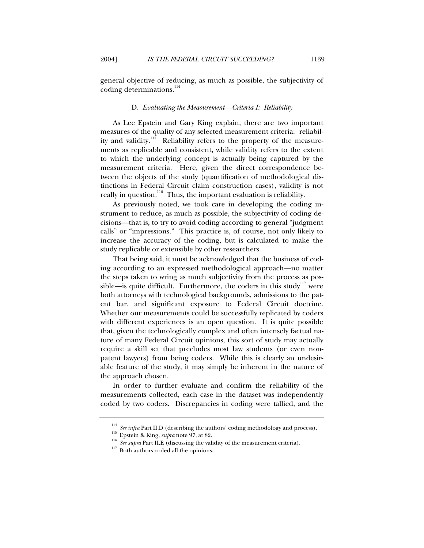general objective of reducing, as much as possible, the subjectivity of coding determinations.<sup>114</sup>

### D. *Evaluating the Measurement—Criteria I: Reliability*

As Lee Epstein and Gary King explain, there are two important measures of the quality of any selected measurement criteria: reliability and validity.<sup>115</sup> Reliability refers to the property of the measurements as replicable and consistent, while validity refers to the extent to which the underlying concept is actually being captured by the measurement criteria. Here, given the direct correspondence between the objects of the study (quantification of methodological distinctions in Federal Circuit claim construction cases), validity is not really in question.<sup>116</sup> Thus, the important evaluation is reliability.

As previously noted, we took care in developing the coding instrument to reduce, as much as possible, the subjectivity of coding decisions—that is, to try to avoid coding according to general "judgment calls" or "impressions." This practice is, of course, not only likely to increase the accuracy of the coding, but is calculated to make the study replicable or extensible by other researchers.

That being said, it must be acknowledged that the business of coding according to an expressed methodological approach—no matter the steps taken to wring as much subjectivity from the process as possible—is quite difficult. Furthermore, the coders in this study<sup>117</sup> were both attorneys with technological backgrounds, admissions to the patent bar, and significant exposure to Federal Circuit doctrine. Whether our measurements could be successfully replicated by coders with different experiences is an open question. It is quite possible that, given the technologically complex and often intensely factual nature of many Federal Circuit opinions, this sort of study may actually require a skill set that precludes most law students (or even nonpatent lawyers) from being coders. While this is clearly an undesirable feature of the study, it may simply be inherent in the nature of the approach chosen.

In order to further evaluate and confirm the reliability of the measurements collected, each case in the dataset was independently coded by two coders. Discrepancies in coding were tallied, and the

<sup>&</sup>lt;sup>114</sup> See infra Part II.D (describing the authors' coding methodology and process).<br><sup>115</sup> Epstein & King, *supra* note 97, at 82.<br><sup>116</sup> See supra Part II.E (discussing the validity of the measurement criteria).<br><sup>117</sup> Both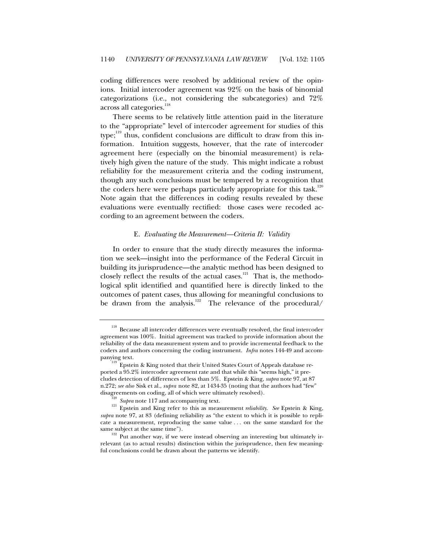coding differences were resolved by additional review of the opinions. Initial intercoder agreement was 92% on the basis of binomial categorizations (i.e., not considering the subcategories) and 72% across all categories.<sup>118</sup>

There seems to be relatively little attention paid in the literature to the "appropriate" level of intercoder agreement for studies of this type; $119$  thus, confident conclusions are difficult to draw from this information. Intuition suggests, however, that the rate of intercoder agreement here (especially on the binomial measurement) is relatively high given the nature of the study. This might indicate a robust reliability for the measurement criteria and the coding instrument, though any such conclusions must be tempered by a recognition that the coders here were perhaps particularly appropriate for this task.<sup>120</sup> Note again that the differences in coding results revealed by these evaluations were eventually rectified: those cases were recoded according to an agreement between the coders.

### E. *Evaluating the Measurement—Criteria II: Validity*

In order to ensure that the study directly measures the information we seek—insight into the performance of the Federal Circuit in building its jurisprudence—the analytic method has been designed to closely reflect the results of the actual cases.<sup>121</sup> That is, the methodological split identified and quantified here is directly linked to the outcomes of patent cases, thus allowing for meaningful conclusions to be drawn from the analysis.<sup>122</sup> The relevance of the procedural/

 $^{\rm 118}$  Because all intercoder differences were eventually resolved, the final intercoder agreement was 100%. Initial agreement was tracked to provide information about the reliability of the data measurement system and to provide incremental feedback to the coders and authors concerning the coding instrument. *Infra* notes 144-49 and accompanying text.<br><sup>119</sup> Epstein & King noted that their United States Court of Appeals database re-

ported a 95.2% intercoder agreement rate and that while this "seems high," it precludes detection of differences of less than 5%. Epstein & King, *supra* note 97, at 87 n.272; *see also* Sisk et al., *supra* note 82, at 1434-35 (noting that the authors had "few" disagreements on coding, all of which were ultimately resolved).<br> $\frac{120}{120}$  *Supra* note 117 and accompanying text.

<sup>&</sup>lt;sup>121</sup> Epstein and King refer to this as measurement *reliability*. *See* Epstein & King, *supra* note 97, at 83 (defining reliability as "the extent to which it is possible to replicate a measurement, reproducing the same value . . . on the same standard for the same subject at the same time").<br><sup>122</sup> Put another way, if we were instead observing an interesting but ultimately ir-

relevant (as to actual results) distinction within the jurisprudence, then few meaningful conclusions could be drawn about the patterns we identify.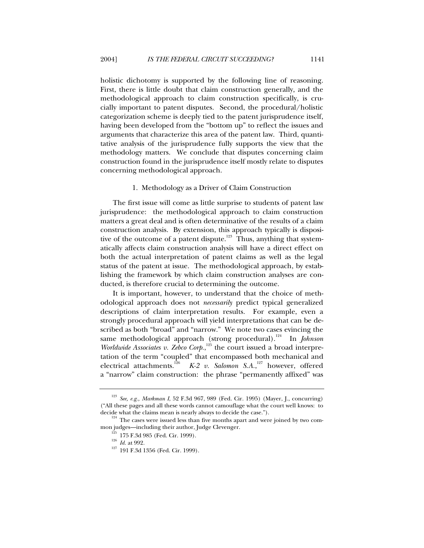holistic dichotomy is supported by the following line of reasoning. First, there is little doubt that claim construction generally, and the methodological approach to claim construction specifically, is crucially important to patent disputes. Second, the procedural/holistic categorization scheme is deeply tied to the patent jurisprudence itself, having been developed from the "bottom up" to reflect the issues and arguments that characterize this area of the patent law. Third, quantitative analysis of the jurisprudence fully supports the view that the methodology matters. We conclude that disputes concerning claim construction found in the jurisprudence itself mostly relate to disputes concerning methodological approach.

#### 1. Methodology as a Driver of Claim Construction

The first issue will come as little surprise to students of patent law jurisprudence: the methodological approach to claim construction matters a great deal and is often determinative of the results of a claim construction analysis. By extension, this approach typically is dispositive of the outcome of a patent dispute.<sup>123</sup> Thus, anything that systematically affects claim construction analysis will have a direct effect on both the actual interpretation of patent claims as well as the legal status of the patent at issue. The methodological approach, by establishing the framework by which claim construction analyses are conducted, is therefore crucial to determining the outcome.

It is important, however, to understand that the choice of methodological approach does not *necessarily* predict typical generalized descriptions of claim interpretation results. For example, even a strongly procedural approach will yield interpretations that can be described as both "broad" and "narrow." We note two cases evincing the same methodological approach (strong procedural).<sup>124</sup> In *Johnson* Worldwide Associates v. Zebco Corp.,<sup>125</sup> the court issued a broad interpretation of the term "coupled" that encompassed both mechanical and electrical attachments.<sup>126</sup> *K-2 v. Salomon S.A.*,<sup>127</sup> however, offered a "narrow" claim construction: the phrase "permanently affixed" was

<sup>123</sup> *See, e.g., Markman I*, 52 F.3d 967, 989 (Fed. Cir. 1995) (Mayer, J., concurring) ("All these pages and all these words cannot camouflage what the court well knows: to decide what the claims mean is nearly always to decide the case.").  $124$  The cases were issued less than five months apart and were joined by two com-

mon judges—including their author, Judge Clevenger.<br> $^{125}$  175 F.3d 985 (Fed. Cir. 1999).

<sup>&</sup>lt;sup>126</sup> *Id.* at 992.<br><sup>127</sup> 191 F.3d 1356 (Fed. Cir. 1999).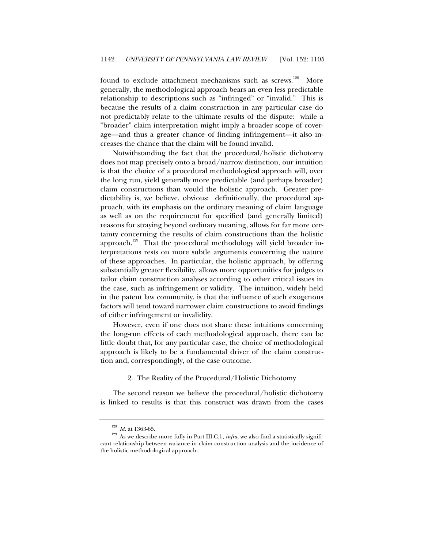found to exclude attachment mechanisms such as screws.<sup>128</sup> More generally, the methodological approach bears an even less predictable relationship to descriptions such as "infringed" or "invalid." This is because the results of a claim construction in any particular case do not predictably relate to the ultimate results of the dispute: while a "broader" claim interpretation might imply a broader scope of coverage—and thus a greater chance of finding infringement—it also increases the chance that the claim will be found invalid.

Notwithstanding the fact that the procedural/holistic dichotomy does not map precisely onto a broad/narrow distinction, our intuition is that the choice of a procedural methodological approach will, over the long run, yield generally more predictable (and perhaps broader) claim constructions than would the holistic approach. Greater predictability is, we believe, obvious: definitionally, the procedural approach, with its emphasis on the ordinary meaning of claim language as well as on the requirement for specified (and generally limited) reasons for straying beyond ordinary meaning, allows for far more certainty concerning the results of claim constructions than the holistic approach.<sup>129</sup> That the procedural methodology will yield broader interpretations rests on more subtle arguments concerning the nature of these approaches. In particular, the holistic approach, by offering substantially greater flexibility, allows more opportunities for judges to tailor claim construction analyses according to other critical issues in the case, such as infringement or validity. The intuition, widely held in the patent law community, is that the influence of such exogenous factors will tend toward narrower claim constructions to avoid findings of either infringement or invalidity.

However, even if one does not share these intuitions concerning the long-run effects of each methodological approach, there can be little doubt that, for any particular case, the choice of methodological approach is likely to be a fundamental driver of the claim construction and, correspondingly, of the case outcome.

2. The Reality of the Procedural/Holistic Dichotomy

The second reason we believe the procedural/holistic dichotomy is linked to results is that this construct was drawn from the cases

<sup>&</sup>lt;sup>128</sup> *Id.* at 1363-65. 129 As we describe more fully in Part III.C.1, *infra*, we also find a statistically significant relationship between variance in claim construction analysis and the incidence of the holistic methodological approach.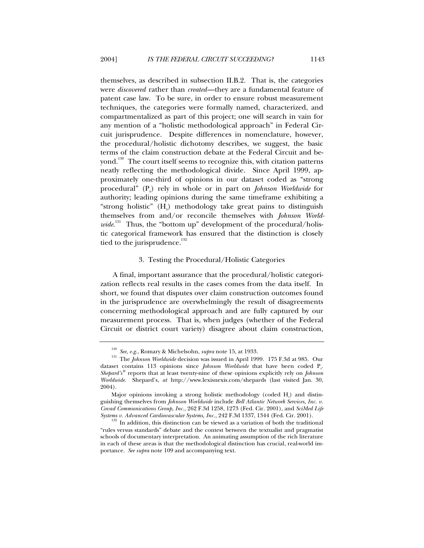themselves, as described in subsection II.B.2. That is, the categories were *discovered* rather than *created*—they are a fundamental feature of patent case law. To be sure, in order to ensure robust measurement techniques, the categories were formally named, characterized, and compartmentalized as part of this project; one will search in vain for any mention of a "holistic methodological approach" in Federal Circuit jurisprudence. Despite differences in nomenclature, however, the procedural/holistic dichotomy describes, we suggest, the basic terms of the claim construction debate at the Federal Circuit and beyond.<sup>130</sup> The court itself seems to recognize this, with citation patterns neatly reflecting the methodological divide. Since April 1999, approximately one-third of opinions in our dataset coded as "strong procedural" (P<sub>s</sub>) rely in whole or in part on *Johnson Worldwide* for authority; leading opinions during the same timeframe exhibiting a "strong holistic"  $(H<sub>s</sub>)$  methodology take great pains to distinguish themselves from and/or reconcile themselves with *Johnson World*wide.<sup>131</sup> Thus, the "bottom up" development of the procedural/holistic categorical framework has ensured that the distinction is closely tied to the jurisprudence. $132$ 

#### 3. Testing the Procedural/Holistic Categories

A final, important assurance that the procedural/holistic categorization reflects real results in the cases comes from the data itself. In short, we found that disputes over claim construction outcomes found in the jurisprudence are overwhelmingly the result of disagreements concerning methodological approach and are fully captured by our measurement process. That is, when judges (whether of the Federal Circuit or district court variety) disagree about claim construction,

<sup>&</sup>lt;sup>130</sup> *See, e.g.*, Romary & Michelsohn, *supra* note 15, at 1933.<br><sup>131</sup> The *Johnson Worldwide* decision was issued in April 1999. 175 F.3d at 985. Our dataset contains 113 opinions since *Johnson Worldwide* that have been coded P<sub>s</sub>. *Shepard's*<sup>Æ</sup> reports that at least twenty-nine of these opinions explicitly rely on *Johnson Worldwide*. Shepard's, *at* http://www.lexisnexis.com/shepards (last visited Jan. 30, 2004).

Major opinions invoking a strong holistic methodology (coded  $H_s$ ) and distinguishing themselves from *Johnson Worldwide* include *Bell Atlantic Network Services, Inc. v. Covad Communications Group, Inc.*, 262 F.3d 1258, 1273 (Fed. Cir. 2001), and *SciMed Life Systems v. Advanced Cardiovascular Systems, Inc.*, 242 F.3d 1337, 1344 (Fed. Cir. 2001). <sup>132</sup> In addition, this distinction can be viewed as a variation of both the traditional

<sup>&</sup>quot;rules versus standards" debate and the contest between the textualist and pragmatist schools of documentary interpretation. An animating assumption of the rich literature in each of these areas is that the methodological distinction has crucial, real-world importance. *See supra* note 109 and accompanying text.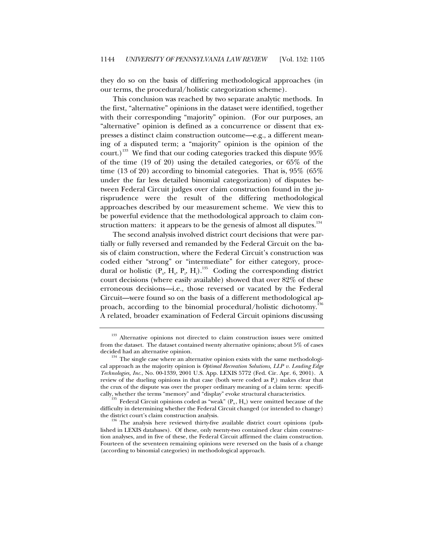they do so on the basis of differing methodological approaches (in our terms, the procedural/holistic categorization scheme).

This conclusion was reached by two separate analytic methods. In the first, "alternative" opinions in the dataset were identified, together with their corresponding "majority" opinion. (For our purposes, an "alternative" opinion is defined as a concurrence or dissent that expresses a distinct claim construction outcome—e.g., a different meaning of a disputed term; a "majority" opinion is the opinion of the court.)<sup>133</sup> We find that our coding categories tracked this dispute  $95\%$ of the time (19 of 20) using the detailed categories, or 65% of the time (13 of 20) according to binomial categories. That is, 95% (65% under the far less detailed binomial categorization) of disputes between Federal Circuit judges over claim construction found in the jurisprudence were the result of the differing methodological approaches described by our measurement scheme. We view this to be powerful evidence that the methodological approach to claim construction matters: it appears to be the genesis of almost all disputes. $134$ 

The second analysis involved district court decisions that were partially or fully reversed and remanded by the Federal Circuit on the basis of claim construction, where the Federal Circuit's construction was coded either "strong" or "intermediate" for either category, procedural or holistic  $(P_s, H_s, P_i, H_i)$ .<sup>135</sup> Coding the corresponding district court decisions (where easily available) showed that over 82% of these erroneous decisions—i.e., those reversed or vacated by the Federal Circuit—were found so on the basis of a different methodological approach, according to the binomial procedural/holistic dichotomy.<sup>13</sup> A related, broader examination of Federal Circuit opinions discussing

 $133$  Alternative opinions not directed to claim construction issues were omitted from the dataset. The dataset contained twenty alternative opinions; about 5% of cases

 $\frac{134}{134}$  The single case where an alternative opinion exists with the same methodological approach as the majority opinion is *Optimal Recreation Solutions, LLP v. Leading Edge Technologies, Inc.*, No. 00-1339, 2001 U.S. App. LEXIS 5772 (Fed. Cir. Apr. 6, 2001). A review of the dueling opinions in that case (both were coded as  $P_s$ ) makes clear that the crux of the dispute was over the proper ordinary meaning of a claim term: specifically, whether the terms "memory" and "display" evoke structural characteristics.<br><sup>135</sup> Federal Circuit opinions coded as "weak" (P<sub>w</sub>, H<sub>w</sub>) were omitted because of the

difficulty in determining whether the Federal Circuit changed (or intended to change) the district court's claim construction analysis.<br><sup>136</sup> The analysis here reviewed thirty-five available district court opinions (pub-

lished in LEXIS databases). Of these, only twenty-two contained clear claim construction analyses, and in five of these, the Federal Circuit affirmed the claim construction. Fourteen of the seventeen remaining opinions were reversed on the basis of a change (according to binomial categories) in methodological approach.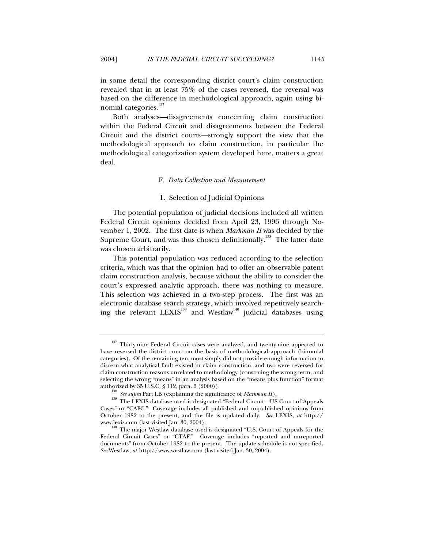in some detail the corresponding district court's claim construction revealed that in at least 75% of the cases reversed, the reversal was based on the difference in methodological approach, again using binomial categories.<sup>137</sup>

Both analyses—disagreements concerning claim construction within the Federal Circuit and disagreements between the Federal Circuit and the district courts—strongly support the view that the methodological approach to claim construction, in particular the methodological categorization system developed here, matters a great deal.

#### F. *Data Collection and Measurement*

## 1. Selection of Judicial Opinions

The potential population of judicial decisions included all written Federal Circuit opinions decided from April 23, 1996 through November 1, 2002. The first date is when *Markman II* was decided by the Supreme Court, and was thus chosen definitionally.<sup>138</sup> The latter date was chosen arbitrarily.

This potential population was reduced according to the selection criteria, which was that the opinion had to offer an observable patent claim construction analysis, because without the ability to consider the court's expressed analytic approach, there was nothing to measure. This selection was achieved in a two-step process. The first was an electronic database search strategy, which involved repetitively searching the relevant  $LEXIS^{139}$  and Westlaw<sup>140</sup> judicial databases using

<sup>&</sup>lt;sup>137</sup> Thirty-nine Federal Circuit cases were analyzed, and twenty-nine appeared to have reversed the district court on the basis of methodological approach (binomial categories). Of the remaining ten, most simply did not provide enough information to discern what analytical fault existed in claim construction, and two were reversed for claim construction reasons unrelated to methodology (construing the wrong term, and selecting the wrong "means" in an analysis based on the "means plus function" format authorized by  $35$  U.S.C. § 112, para. 6 (2000)).

<sup>&</sup>lt;sup>138</sup> See supra Part I.B (explaining the significance of *Markman II*).<br><sup>139</sup> The LEXIS database used is designated "Federal Circuit—US Court of Appeals Cases" or "CAFC." Coverage includes all published and unpublished opinions from October 1982 to the present, and the file is updated daily. *See* LEXIS, *at* http://

<sup>&</sup>lt;sup>140</sup> The major Westlaw database used is designated "U.S. Court of Appeals for the Federal Circuit Cases" or "CTAF." Coverage includes "reported and unreported documents" from October 1982 to the present. The update schedule is not specified. *See* Westlaw, *at* http://www.westlaw.com (last visited Jan. 30, 2004).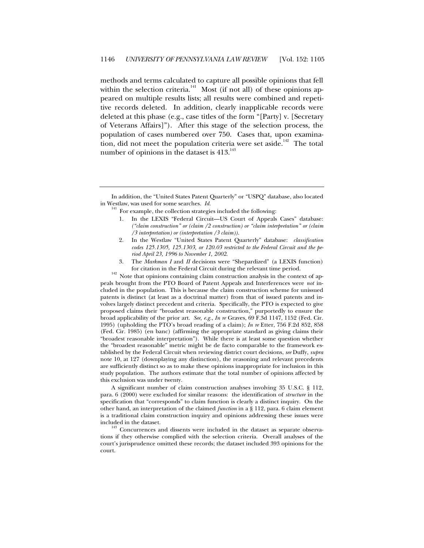methods and terms calculated to capture all possible opinions that fell within the selection criteria.<sup>141</sup> Most (if not all) of these opinions appeared on multiple results lists; all results were combined and repetitive records deleted. In addition, clearly inapplicable records were deleted at this phase (e.g., case titles of the form "[Party] v. [Secretary of Veterans Affairs]"). After this stage of the selection process, the population of cases numbered over 750. Cases that, upon examination, did not meet the population criteria were set aside.<sup>142</sup> The total number of opinions in the dataset is  $413.^{143}$ 

- 1. In the LEXIS "Federal Circuit—US Court of Appeals Cases" database: *("claim construction" or (claim /2 construction) or "claim interpretation" or (claim /3 interpretation) or (interpretation /3 claim))*.
- 2. In the Westlaw "United States Patent Quarterly" database: *classification codes 125.1305, 125.1303, or 120.03 restricted to the Federal Circuit and the period April 23, 1996 to November 1, 2002*.
- 3. The *Markman I* and *II* decisions were "Shepardized" (a LEXIS function)

for citation in the Federal Circuit during the relevant time period. Note that opinions containing claim construction analysis in the context of appeals brought from the PTO Board of Patent Appeals and Interferences were *not* included in the population. This is because the claim construction scheme for unissued patents is distinct (at least as a doctrinal matter) from that of issued patents and involves largely distinct precedent and criteria. Specifically, the PTO is expected to give proposed claims their "broadest reasonable construction," purportedly to ensure the broad applicability of the prior art. *See, e.g.*, *In re* Graves, 69 F.3d 1147, 1152 (Fed. Cir. 1995) (upholding the PTO's broad reading of a claim); *In re* Etter, 756 F.2d 852, 858 (Fed. Cir. 1985) (en banc) (affirming the appropriate standard as giving claims their "broadest reasonable interpretation"). While there is at least some question whether the "broadest reasonable" metric might be de facto comparable to the framework established by the Federal Circuit when reviewing district court decisions, *see* Duffy, *supra* note 10, at 127 (downplaying any distinction), the reasoning and relevant precedents are sufficiently distinct so as to make these opinions inappropriate for inclusion in this study population. The authors estimate that the total number of opinions affected by this exclusion was under twenty.

A significant number of claim construction analyses involving 35 U.S.C. § 112, para. 6 (2000) were excluded for similar reasons: the identification of *structure* in the specification that "corresponds" to claim function is clearly a distinct inquiry. On the other hand, an interpretation of the claimed *function* in a § 112, para. 6 claim element is a traditional claim construction inquiry and opinions addressing these issues were

 $143$  Concurrences and dissents were included in the dataset as separate observations if they otherwise complied with the selection criteria. Overall analyses of the court's jurisprudence omitted these records; the dataset included 393 opinions for the court.

In addition, the "United States Patent Quarterly" or "USPQ" database, also located in Westlaw, was used for some searches. *Id*. <sup>141</sup> For example, the collection strategies included the following: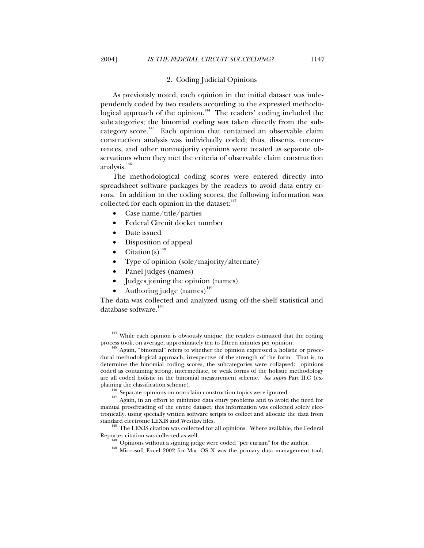### 2. Coding Judicial Opinions

As previously noted, each opinion in the initial dataset was independently coded by two readers according to the expressed methodological approach of the opinion.<sup>144</sup> The readers' coding included the subcategories; the binomial coding was taken directly from the subcategory score.<sup>145</sup> Each opinion that contained an observable claim construction analysis was individually coded; thus, dissents, concurrences, and other nonmajority opinions were treated as separate observations when they met the criteria of observable claim construction analysis.<sup>146</sup>

The methodological coding scores were entered directly into spreadsheet software packages by the readers to avoid data entry errors. In addition to the coding scores, the following information was collected for each opinion in the dataset: $147$ 

- Case name/title/parties
- Federal Circuit docket number
- Date issued
- Disposition of appeal
- $Citation(s)$ <sup>148</sup>
- Type of opinion (sole/majority/alternate)
- Panel judges (names)
- Judges joining the opinion (names)
- Authoring judge  $(names)^{149}$

The data was collected and analyzed using off-the-shelf statistical and database software. $150$ 

<sup>&</sup>lt;sup>144</sup> While each opinion is obviously unique, the readers estimated that the coding process took, on average, approximately ten to fifteen minutes per opinion. <sup>145</sup> Again, "binomial" refers to whether the opinion expressed a holistic or proce-

dural methodological approach, irrespective of the strength of the form. That is, to determine the binomial coding scores, the subcategories were collapsed: opinions coded as containing strong, intermediate, or weak forms of the holistic methodology are all coded holistic in the binomial measurement scheme. *See supra* Part II.C (ex-

plaining the classification scheme). 146 Separate opinions on non-claim construction topics were ignored. 147 Again, in an effort to minimize data entry problems and to avoid the need for manual proofreading of the entire dataset, this information was collected solely electronically, using specially written software scripts to collect and allocate the data from standard electronic LEXIS and Westlaw files.<br><sup>148</sup> The LEXIS citation was collected for all opinions. Where available, the Federal

Reporter citation was collected as well.<br>
<sup>149</sup> Opinions without a signing judge were coded "per curiam" for the author.<br>
<sup>150</sup> Microsoft Excel 2002 for Mac OS X was the primary data management tool;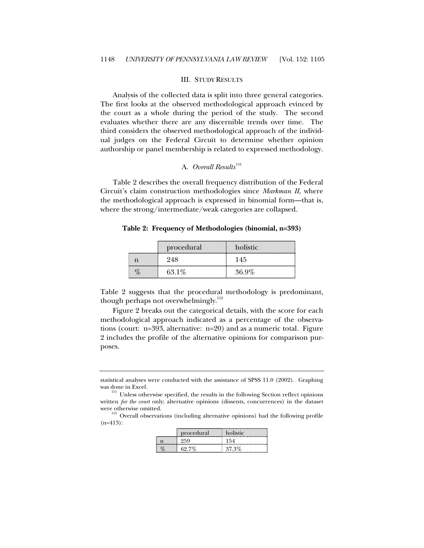# III. STUDY RESULTS

Analysis of the collected data is split into three general categories. The first looks at the observed methodological approach evinced by the court as a whole during the period of the study. The second evaluates whether there are any discernible trends over time. The third considers the observed methodological approach of the individual judges on the Federal Circuit to determine whether opinion authorship or panel membership is related to expressed methodology.

# A. *Overall Results*<sup>151</sup>

Table 2 describes the overall frequency distribution of the Federal Circuit's claim construction methodologies since *Markman II*, where the methodological approach is expressed in binomial form—that is, where the strong/intermediate/weak categories are collapsed.

**Table 2: Frequency of Methodologies (binomial, n=393)**

|                                | procedural | holistic |
|--------------------------------|------------|----------|
| ,,,,,,,,,,,,,,,,,,,,,,,,,,,,,, | 248        | 145      |
|                                | 63.1%      | 36.9%    |

Table 2 suggests that the procedural methodology is predominant, though perhaps not overwhelmingly.<sup>152</sup>

Figure 2 breaks out the categorical details, with the score for each methodological approach indicated as a percentage of the observations (court: n=393, alternative: n=20) and as a numeric total. Figure 2 includes the profile of the alternative opinions for comparison purposes.

were otherwise omitted.<br><sup>152</sup> Overall observations (including alternative opinions) had the following profile  $(n=413)$ :

| procedural | holistic |
|------------|----------|
|            | 154      |
| -69.7%     | 37.3%    |

statistical analyses were conducted with the assistance of SPSS 11.0 (2002). Graphing was done in Excel.

<sup>&</sup>lt;sup>151</sup> Unless otherwise specified, the results in the following Section reflect opinions written *for the court* only; alternative opinions (dissents, concurrences) in the dataset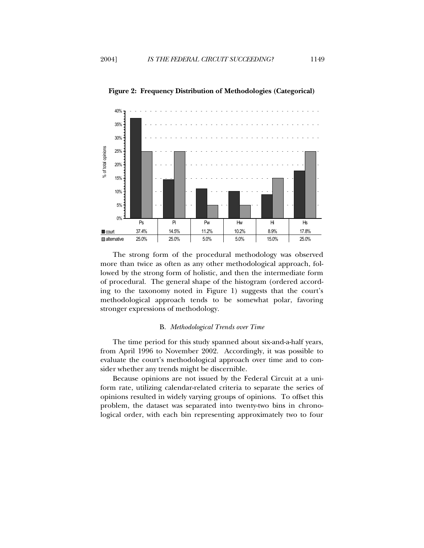

**Figure 2: Frequency Distribution of Methodologies (Categorical)**

The strong form of the procedural methodology was observed more than twice as often as any other methodological approach, followed by the strong form of holistic, and then the intermediate form of procedural. The general shape of the histogram (ordered according to the taxonomy noted in Figure 1) suggests that the court's methodological approach tends to be somewhat polar, favoring stronger expressions of methodology.

#### B. *Methodological Trends over Time*

The time period for this study spanned about six-and-a-half years, from April 1996 to November 2002. Accordingly, it was possible to evaluate the court's methodological approach over time and to consider whether any trends might be discernible.

Because opinions are not issued by the Federal Circuit at a uniform rate, utilizing calendar-related criteria to separate the series of opinions resulted in widely varying groups of opinions. To offset this problem, the dataset was separated into twenty-two bins in chronological order, with each bin representing approximately two to four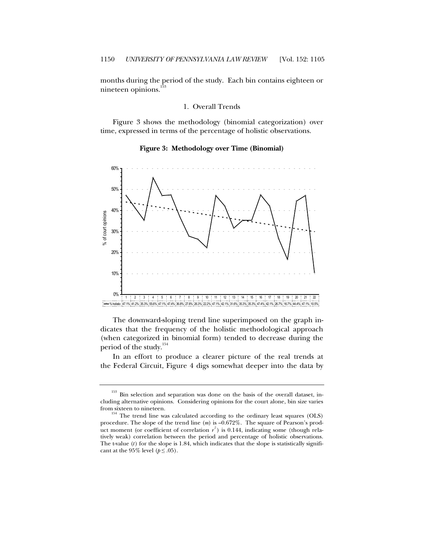months during the period of the study. Each bin contains eighteen or nineteen opinions.<sup>153</sup>

# 1. Overall Trends

Figure 3 shows the methodology (binomial categorization) over time, expressed in terms of the percentage of holistic observations.

# **Figure 3: Methodology over Time (Binomial)**



The downward-sloping trend line superimposed on the graph indicates that the frequency of the holistic methodological approach (when categorized in binomial form) tended to decrease during the period of the study.<sup>154</sup>

In an effort to produce a clearer picture of the real trends at the Federal Circuit, Figure 4 digs somewhat deeper into the data by

<sup>&</sup>lt;sup>153</sup> Bin selection and separation was done on the basis of the overall dataset, including alternative opinions. Considering opinions for the court alone, bin size varies

from sixteen to nineteen. 154 The trend line was calculated according to the ordinary least squares (OLS) procedure. The slope of the trend line (*m*) is –0.672%. The square of Pearson's product moment (or coefficient of correlation  $r^2$ ) is 0.144, indicating some (though relatively weak) correlation between the period and percentage of holistic observations. The t-value (*t*) for the slope is 1.84, which indicates that the slope is statistically significant at the 95% level ( $p \leq .05$ ).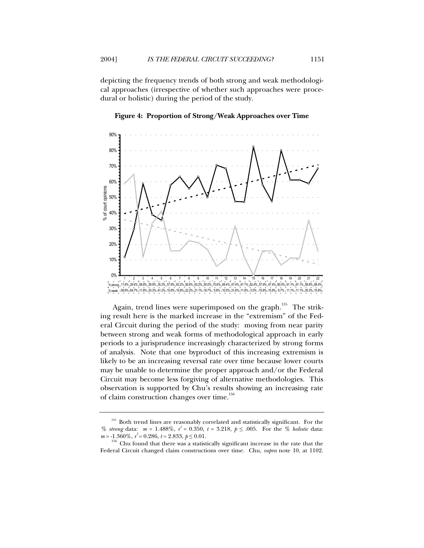depicting the frequency trends of both strong and weak methodological approaches (irrespective of whether such approaches were procedural or holistic) during the period of the study.



**Figure 4: Proportion of Strong/Weak Approaches over Time**

Again, trend lines were superimposed on the graph.<sup>155</sup> The striking result here is the marked increase in the "extremism" of the Federal Circuit during the period of the study: moving from near parity between strong and weak forms of methodological approach in early periods to a jurisprudence increasingly characterized by strong forms of analysis. Note that one byproduct of this increasing extremism is likely to be an increasing reversal rate over time because lower courts may be unable to determine the proper approach and/or the Federal Circuit may become less forgiving of alternative methodologies. This observation is supported by Chu's results showing an increasing rate of claim construction changes over time.<sup>156</sup>

<sup>&</sup>lt;sup>155</sup> Both trend lines are reasonably correlated and statistically significant. For the *% strong* data:  $m = 1.488\%, r^2 = 0.350, t = 3.218, p \le .005$ . For the *% holistic* data:  $m = -1.360\%$ ,  $r^2$ 

<sup>&</sup>lt;sup>156</sup> Chu found that there was a statistically significant increase in the rate that the Federal Circuit changed claim constructions over time. Chu, *supra* note 10, at 1102.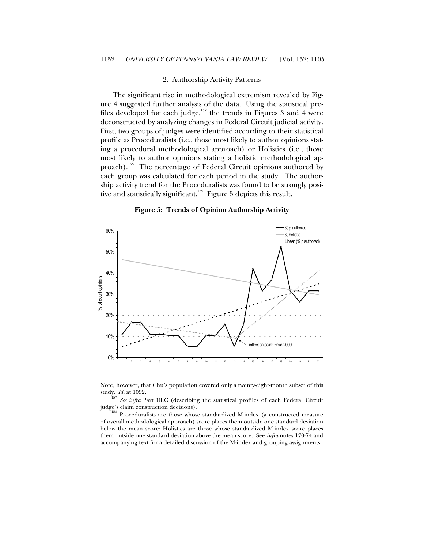### 2. Authorship Activity Patterns

The significant rise in methodological extremism revealed by Figure 4 suggested further analysis of the data. Using the statistical profiles developed for each judge, $157$  the trends in Figures 3 and 4 were deconstructed by analyzing changes in Federal Circuit judicial activity. First, two groups of judges were identified according to their statistical profile as Proceduralists (i.e., those most likely to author opinions stating a procedural methodological approach) or Holistics (i.e., those most likely to author opinions stating a holistic methodological approach).<sup>158</sup> The percentage of Federal Circuit opinions authored by each group was calculated for each period in the study. The authorship activity trend for the Proceduralists was found to be strongly positive and statistically significant.<sup>159</sup> Figure 5 depicts this result.





Note, however, that Chu's population covered only a twenty-eight-month subset of this study. *Id.* at 1092.

<sup>157</sup> *See infra* Part III.C (describing the statistical profiles of each Federal Circuit judge's claim construction decisions).

Proceduralists are those whose standardized M-index (a constructed measure of overall methodological approach) score places them outside one standard deviation below the mean score; Holistics are those whose standardized M-index score places them outside one standard deviation above the mean score. See *infra* notes 170-74 and accompanying text for a detailed discussion of the M-index and grouping assignments.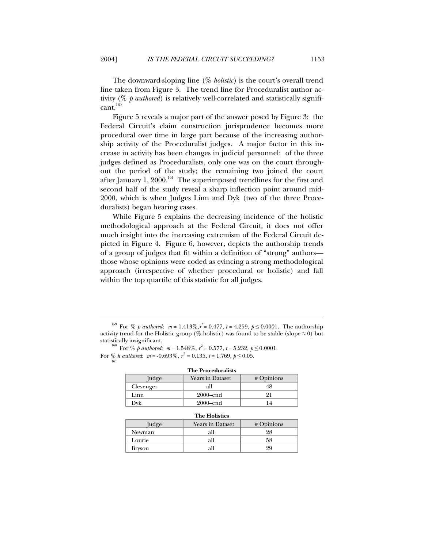The downward-sloping line (*% holistic*) is the court's overall trend line taken from Figure 3. The trend line for Proceduralist author activity (*% p authored*) is relatively well-correlated and statistically signifi $cant.<sup>160</sup>$ 

Figure 5 reveals a major part of the answer posed by Figure 3: the Federal Circuit's claim construction jurisprudence becomes more procedural over time in large part because of the increasing authorship activity of the Proceduralist judges. A major factor in this increase in activity has been changes in judicial personnel: of the three judges defined as Proceduralists, only one was on the court throughout the period of the study; the remaining two joined the court after January 1, 2000.<sup>161</sup> The superimposed trendlines for the first and second half of the study reveal a sharp inflection point around mid-2000, which is when Judges Linn and Dyk (two of the three Proceduralists) began hearing cases.

While Figure 5 explains the decreasing incidence of the holistic methodological approach at the Federal Circuit, it does not offer much insight into the increasing extremism of the Federal Circuit depicted in Figure 4. Figure 6, however, depicts the authorship trends of a group of judges that fit within a definition of "strong" authors those whose opinions were coded as evincing a strong methodological approach (irrespective of whether procedural or holistic) and fall within the top quartile of this statistic for all judges.

For  $\%$  *h* authored:  $m = -0.693\%$ ,  $r^2 = 0.135$ ,  $t = 1.769$ ,  $p \le 0.05$ .

| <b>The Proceduralists</b>                      |                |    |  |  |  |
|------------------------------------------------|----------------|----|--|--|--|
| <b>Years in Dataset</b><br># Opinions<br>Judge |                |    |  |  |  |
| Clevenger                                      | all            | 48 |  |  |  |
| Linn                                           | $2000$ – $end$ |    |  |  |  |
| Dvk                                            | $2000$ -end    |    |  |  |  |

| <b>The Holistics</b> |                         |            |  |
|----------------------|-------------------------|------------|--|
| Judge                | <b>Years in Dataset</b> | # Opinions |  |
| Newman               | all                     | 98         |  |
| Lourie               | all                     | 58         |  |
| Bryson               | all                     | 99         |  |

161

<sup>&</sup>lt;sup>159</sup> For % *p* authored:  $m = 1.413\%, r^2 = 0.477, t = 4.259, p \le 0.0001$ . The authorship activity trend for the Holistic group (% holistic) was found to be stable (slope  $\approx 0$ ) but statistically insignificant.<br><sup>160</sup> For % *p* authored:  $m = 1.548\%$ ,  $r^2 = 0.577$ ,  $t = 5.232$ ,  $p \le 0.0001$ .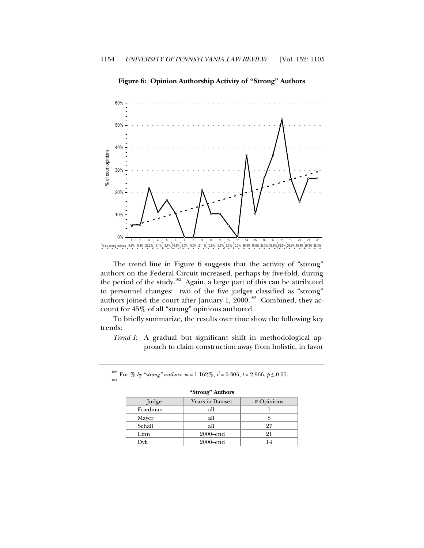

**Figure 6: Opinion Authorship Activity of "Strong" Authors**

The trend line in Figure 6 suggests that the activity of "strong" authors on the Federal Circuit increased, perhaps by five-fold, during the period of the study.<sup>162</sup> Again, a large part of this can be attributed to personnel changes: two of the five judges classified as "strong" authors joined the court after January 1,  $2000$ .<sup>163</sup> Combined, they account for 45% of all "strong" opinions authored.

To briefly summarize, the results over time show the following key trends:

*Trend 1*: A gradual but significant shift in methodological approach to claim construction away from holistic, in favor

<sup>162</sup> For  $\%$  by "strong" authors:  $m = 1.162\%$ ,  $r^2 = 0.305$ ,  $t = 2.966$ ,  $p \le 0.05$ . 163

| $54.012$ $14.01010$ |                         |            |  |  |
|---------------------|-------------------------|------------|--|--|
| Judge               | <b>Years in Dataset</b> | # Opinions |  |  |
| Friedman            | all                     |            |  |  |
| Mayer               | all                     |            |  |  |
| Schall              | all                     | 95         |  |  |
| Linn                | $2000$ -end             |            |  |  |
| Dvk                 | $2000$ – $end$          |            |  |  |

**"Strong" Authors**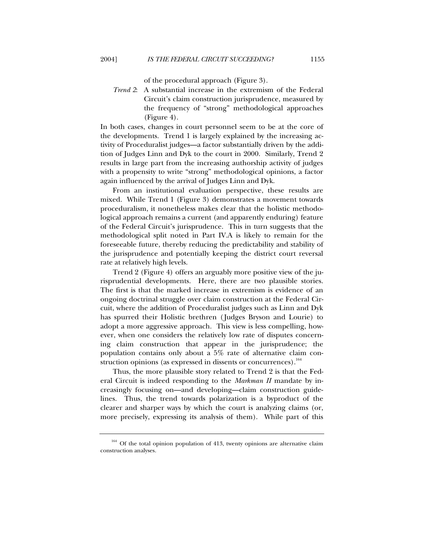of the procedural approach (Figure 3).

*Trend 2*: A substantial increase in the extremism of the Federal Circuit's claim construction jurisprudence, measured by the frequency of "strong" methodological approaches (Figure 4).

In both cases, changes in court personnel seem to be at the core of the developments. Trend 1 is largely explained by the increasing activity of Proceduralist judges—a factor substantially driven by the addition of Judges Linn and Dyk to the court in 2000. Similarly, Trend 2 results in large part from the increasing authorship activity of judges with a propensity to write "strong" methodological opinions, a factor again influenced by the arrival of Judges Linn and Dyk.

From an institutional evaluation perspective, these results are mixed. While Trend 1 (Figure 3) demonstrates a movement towards proceduralism, it nonetheless makes clear that the holistic methodological approach remains a current (and apparently enduring) feature of the Federal Circuit's jurisprudence. This in turn suggests that the methodological split noted in Part IV.A is likely to remain for the foreseeable future, thereby reducing the predictability and stability of the jurisprudence and potentially keeping the district court reversal rate at relatively high levels.

Trend 2 (Figure 4) offers an arguably more positive view of the jurisprudential developments. Here, there are two plausible stories. The first is that the marked increase in extremism is evidence of an ongoing doctrinal struggle over claim construction at the Federal Circuit, where the addition of Proceduralist judges such as Linn and Dyk has spurred their Holistic brethren (Judges Bryson and Lourie) to adopt a more aggressive approach. This view is less compelling, however, when one considers the relatively low rate of disputes concerning claim construction that appear in the jurisprudence; the population contains only about a 5% rate of alternative claim construction opinions (as expressed in dissents or concurrences).<sup>164</sup>

Thus, the more plausible story related to Trend 2 is that the Federal Circuit is indeed responding to the *Markman II* mandate by increasingly focusing on—and developing—claim construction guidelines. Thus, the trend towards polarization is a byproduct of the clearer and sharper ways by which the court is analyzing claims (or, more precisely, expressing its analysis of them). While part of this

<sup>&</sup>lt;sup>164</sup> Of the total opinion population of 413, twenty opinions are alternative claim construction analyses.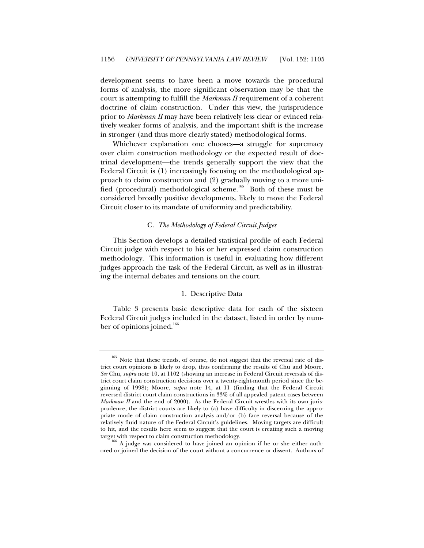development seems to have been a move towards the procedural forms of analysis, the more significant observation may be that the court is attempting to fulfill the *Markman II* requirement of a coherent doctrine of claim construction. Under this view, the jurisprudence prior to *Markman II* may have been relatively less clear or evinced relatively weaker forms of analysis, and the important shift is the increase in stronger (and thus more clearly stated) methodological forms.

Whichever explanation one chooses—a struggle for supremacy over claim construction methodology or the expected result of doctrinal development—the trends generally support the view that the Federal Circuit is (1) increasingly focusing on the methodological approach to claim construction and (2) gradually moving to a more unified (procedural) methodological scheme.<sup>165</sup> Both of these must be considered broadly positive developments, likely to move the Federal Circuit closer to its mandate of uniformity and predictability.

## C. *The Methodology of Federal Circuit Judges*

This Section develops a detailed statistical profile of each Federal Circuit judge with respect to his or her expressed claim construction methodology. This information is useful in evaluating how different judges approach the task of the Federal Circuit, as well as in illustrating the internal debates and tensions on the court.

# 1. Descriptive Data

Table 3 presents basic descriptive data for each of the sixteen Federal Circuit judges included in the dataset, listed in order by number of opinions joined. $166$ 

<sup>&</sup>lt;sup>165</sup> Note that these trends, of course, do not suggest that the reversal rate of district court opinions is likely to drop, thus confirming the results of Chu and Moore. *See* Chu, *supra* note 10, at 1102 (showing an increase in Federal Circuit reversals of district court claim construction decisions over a twenty-eight-month period since the beginning of 1998); Moore, *supra* note 14, at 11 (finding that the Federal Circuit reversed district court claim constructions in 33% of all appealed patent cases between *Markman II* and the end of 2000). As the Federal Circuit wrestles with its own jurisprudence, the district courts are likely to (a) have difficulty in discerning the appropriate mode of claim construction analysis and/or (b) face reversal because of the relatively fluid nature of the Federal Circuit's guidelines. Moving targets are difficult to hit, and the results here seem to suggest that the court is creating such a moving

target with respect to claim construction methodology.<br><sup>166</sup> A judge was considered to have joined an opinion if he or she either authored or joined the decision of the court without a concurrence or dissent. Authors of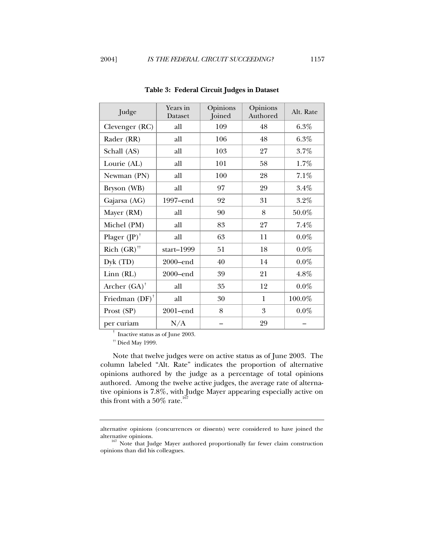|                                                                      | Years in    |                    |                      |           |
|----------------------------------------------------------------------|-------------|--------------------|----------------------|-----------|
| Judge                                                                | Dataset     | Opinions<br>Joined | Opinions<br>Authored | Alt. Rate |
|                                                                      | all         | 109                | 48                   |           |
| Clevenger (RC)                                                       |             |                    |                      | $6.3\%$   |
| Rader (RR)                                                           | all         | 106                | 48                   | $6.3\%$   |
| Schall (AS)                                                          | all         | 103                | 27                   | 3.7%      |
| Lourie (AL)                                                          | all         | 101                | 58                   | 1.7%      |
| Newman (PN)                                                          | all         | 100                | 28                   | 7.1%      |
| Bryson (WB)                                                          | all         | 97                 | 29                   | $3.4\%$   |
| Gajarsa (AG)                                                         | 1997-end    | 92                 | 31                   | 3.2%      |
| Mayer (RM)                                                           | all         | 90                 | 8                    | 50.0%     |
| Michel (PM)                                                          | all         | 83                 | 27                   | 7.4%      |
| Plager ${\rm (IP)}^{\dagger}$                                        | all         | 63                 | 11                   | $0.0\%$   |
| $\operatorname{Rich}\left(\operatorname{GR}\right)^{\dagger\dagger}$ | start-1999  | 51                 | 18                   | $0.0\%$   |
| Dyk (TD)                                                             | 2000-end    | 40                 | 14                   | $0.0\%$   |
| Linn (RL)                                                            | 2000-end    | 39                 | 21                   | $4.8\%$   |
| Archer ${\rm (GA)}^{\dagger}$                                        | all         | 35                 | 12                   | $0.0\%$   |
| Friedman $\left(\textrm{DF}\right)^{\dagger}$                        | all         | 30                 | $\mathbf{1}$         | 100.0%    |
| Prost (SP)                                                           | $2001$ -end | 8                  | 3                    | $0.0\%$   |

**Table 3: Federal Circuit Judges in Dataset**

† Inactive status as of June 2003.

per curiam  $N/A$  –  $-$  29

 $<sup>†</sup>$  Died May 1999.</sup>

Note that twelve judges were on active status as of June 2003. The column labeled "Alt. Rate" indicates the proportion of alternative opinions authored by the judge as a percentage of total opinions authored. Among the twelve active judges, the average rate of alternative opinions is 7.8%, with Judge Mayer appearing especially active on this front with a 50% rate.<sup>167</sup>

alternative opinions (concurrences or dissents) were considered to have joined the

alternative opinions. 167 Note that Judge Mayer authored proportionally far fewer claim construction opinions than did his colleagues.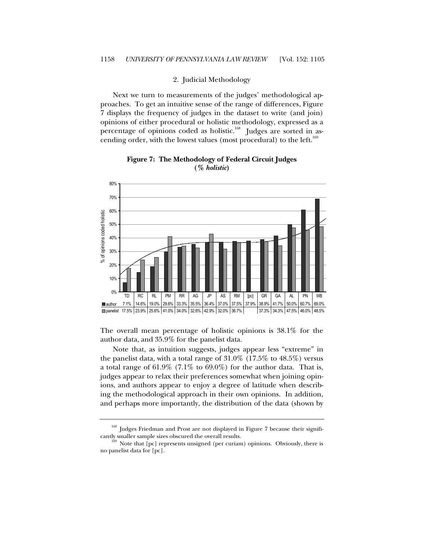# 2. Judicial Methodology

Next we turn to measurements of the judges' methodological approaches. To get an intuitive sense of the range of differences, Figure 7 displays the frequency of judges in the dataset to write (and join) opinions of either procedural or holistic methodology, expressed as a percentage of opinions coded as holistic.<sup>168</sup> Judges are sorted in ascending order, with the lowest values (most procedural) to the left.<sup>169</sup>





The overall mean percentage of holistic opinions is 38.1% for the author data, and 35.9% for the panelist data.

Note that, as intuition suggests, judges appear less "extreme" in the panelist data, with a total range of  $31.0\%$  (17.5% to  $48.5\%$ ) versus a total range of  $61.9\%$  (7.1% to  $69.0\%$ ) for the author data. That is, judges appear to relax their preferences somewhat when joining opinions, and authors appear to enjoy a degree of latitude when describing the methodological approach in their own opinions. In addition, and perhaps more importantly, the distribution of the data (shown by

<sup>&</sup>lt;sup>168</sup> Judges Friedman and Prost are not displayed in Figure 7 because their significantly smaller sample sizes obscured the overall results.<br>
<sup>169</sup> Note that [pc] represents unsigned (per curiam) opinions. Obviously, there is

no panelist data for [pc].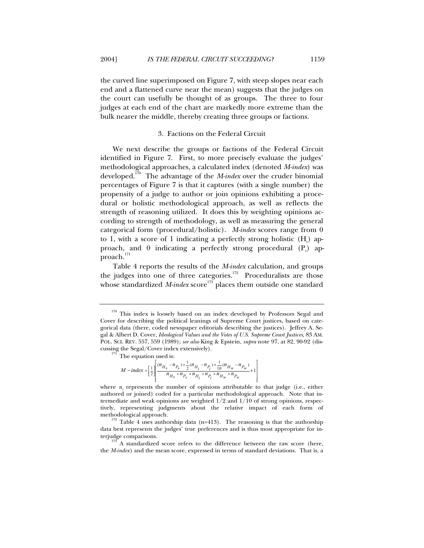the curved line superimposed on Figure 7, with steep slopes near each end and a flattened curve near the mean) suggests that the judges on the court can usefully be thought of as groups. The three to four judges at each end of the chart are markedly more extreme than the bulk nearer the middle, thereby creating three groups or factions.

# 3. Factions on the Federal Circuit

We next describe the groups or factions of the Federal Circuit identified in Figure 7. First, to more precisely evaluate the judges' methodological approaches, a calculated index (denoted *M-index*) was developed.170 The advantage of the *M-index* over the cruder binomial percentages of Figure 7 is that it captures (with a single number) the propensity of a judge to author or join opinions exhibiting a procedural or holistic methodological approach, as well as reflects the strength of reasoning utilized. It does this by weighting opinions according to strength of methodology, as well as measuring the general categorical form (procedural/holistic). *M-index* scores range from 0 to 1, with a score of 1 indicating a perfectly strong holistic  $(H_s)$  approach, and  $0$  indicating a perfectly strong procedural  $(P_s)$  approach.<sup>171</sup>

Table 4 reports the results of the *M-index* calculation, and groups the judges into one of three categories.<sup>172</sup> Proceduralists are those whose standardized *M-index* score<sup>173</sup> places them outside one standard

$$
M-index = \left[\frac{1}{2}\right] \left[\frac{(n_{H_s} - n_{P_s}) + \frac{1}{2}(n_{H_i} - n_{P_i}) + \frac{1}{10}(n_{H_w} - n_{P_w})}{n_{H_s} + n_{P_s} + n_{H_i} + n_{P_i} + n_{H_w} + n_{P_w}} + 1\right]
$$

<sup>&</sup>lt;sup>170</sup> This index is loosely based on an index developed by Professors Segal and Cover for describing the political leanings of Supreme Court justices, based on categorical data (there, coded newspaper editorials describing the justices). Jeffrey A. Segal & Albert D. Cover, *Ideological Values and the Votes of U.S. Supreme Court Justices*, 83 AM. POL. SCI. REV. 557, 559 (1989); *see also* King & Epstein, *supra* note 97, at 82, 90-92 (discussing the Segal/Cover index extensively).<br>The equation used is:

where  $n_x$  represents the number of opinions attributable to that judge (i.e., either authored or joined) coded for a particular methodological approach. Note that intermediate and weak opinions are weighted 1/2 and 1/10 of strong opinions, respectively, representing judgments about the relative impact of each form of methodological approach.<br><sup>172</sup> Table 4 uses authorship data (n=413). The reasoning is that the authorship

data best represents the judges' true preferences and is thus most appropriate for interjudge comparisons.<br> $173$  A standardized score refers to the difference between the raw score (here,

the *M-index*) and the mean score, expressed in terms of standard deviations. That is, a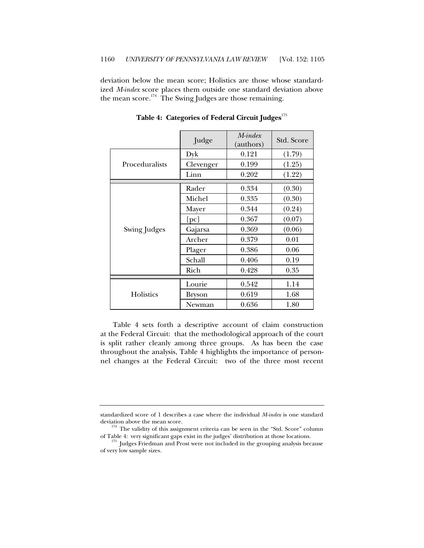deviation below the mean score; Holistics are those whose standardized *M-index* score places them outside one standard deviation above the mean score.<sup>174</sup> The Swing Judges are those remaining.

|                  | Judge     | $M$ -index<br>(authors) | Std. Score |
|------------------|-----------|-------------------------|------------|
|                  | Dyk       | 0.121                   | (1.79)     |
| Proceduralists   | Clevenger | 0.199                   | (1.25)     |
|                  | Linn      | 0.202                   | (1.22)     |
|                  | Rader     | 0.334                   | (0.30)     |
|                  | Michel    | 0.335                   | (0.30)     |
|                  | Mayer     | 0.344                   | (0.24)     |
|                  | [pc]      | 0.367                   | (0.07)     |
| Swing Judges     | Gajarsa   | 0.369                   | (0.06)     |
|                  | Archer    | 0.379                   | 0.01       |
|                  | Plager    | 0.386                   | 0.06       |
|                  | Schall    | 0.406                   | 0.19       |
|                  | Rich      | 0.428                   | 0.35       |
|                  | Lourie    | 0.542                   | 1.14       |
| <b>Holistics</b> | Bryson    | 0.619                   | 1.68       |
|                  | Newman    | 0.636                   | 1.80       |

Table 4: Categories of Federal Circuit Judges<sup>175</sup>

Table 4 sets forth a descriptive account of claim construction at the Federal Circuit: that the methodological approach of the court is split rather cleanly among three groups. As has been the case throughout the analysis, Table 4 highlights the importance of personnel changes at the Federal Circuit: two of the three most recent

standardized score of 1 describes a case where the individual *M-index* is one standard

 $^{174}$  The validity of this assignment criteria can be seen in the "Std. Score" column

of Table 4: very significant gaps exist in the judges' distribution at those locations.  $175$  Judges Friedman and Prost were not included in the grouping analysis because of very low sample sizes.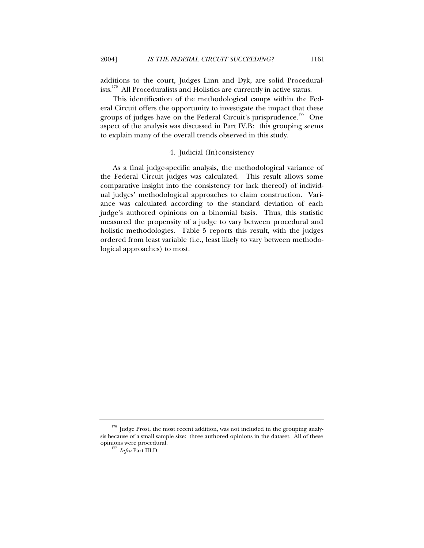additions to the court, Judges Linn and Dyk, are solid Proceduralists.<sup>176</sup> All Proceduralists and Holistics are currently in active status.

This identification of the methodological camps within the Federal Circuit offers the opportunity to investigate the impact that these groups of judges have on the Federal Circuit's jurisprudence.<sup>177</sup> One aspect of the analysis was discussed in Part IV.B: this grouping seems to explain many of the overall trends observed in this study.

# 4. Judicial (In)consistency

As a final judge-specific analysis, the methodological variance of the Federal Circuit judges was calculated. This result allows some comparative insight into the consistency (or lack thereof) of individual judges' methodological approaches to claim construction. Variance was calculated according to the standard deviation of each judge's authored opinions on a binomial basis. Thus, this statistic measured the propensity of a judge to vary between procedural and holistic methodologies. Table 5 reports this result, with the judges ordered from least variable (i.e., least likely to vary between methodological approaches) to most.

 $176$  Judge Prost, the most recent addition, was not included in the grouping analysis because of a small sample size: three authored opinions in the dataset. All of these opinions were procedural. <sup>177</sup> *Infra* Part III.D.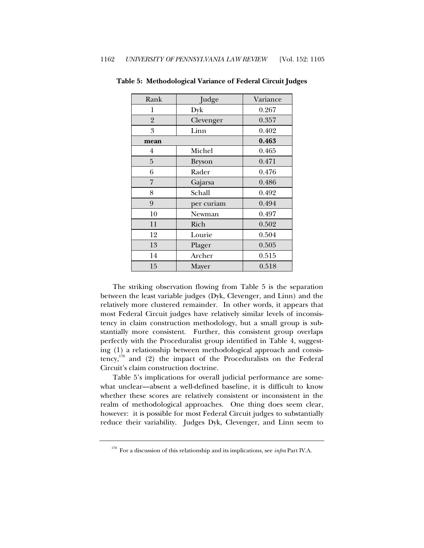| Rank           | Judge         | Variance |
|----------------|---------------|----------|
| 1              | Dyk           | 0.267    |
| 2              | Clevenger     | 0.357    |
| 3              | Linn          | 0.402    |
| mean           |               | 0.463    |
| 4              | Michel        | 0.465    |
| 5              | <b>Bryson</b> | 0.471    |
| 6              | Rader         | 0.476    |
| $\overline{7}$ | Gajarsa       | 0.486    |
| 8              | Schall        | 0.492    |
| 9              | per curiam    | 0.494    |
| 10             | Newman        | 0.497    |
| 11             | Rich          | 0.502    |
| 12             | Lourie        | 0.504    |
| 13             | Plager        | 0.505    |
| 14             | Archer        | 0.515    |
| 15             | Mayer         | 0.518    |

**Table 5: Methodological Variance of Federal Circuit Judges**

The striking observation flowing from Table 5 is the separation between the least variable judges (Dyk, Clevenger, and Linn) and the relatively more clustered remainder. In other words, it appears that most Federal Circuit judges have relatively similar levels of inconsistency in claim construction methodology, but a small group is substantially more consistent. Further, this consistent group overlaps perfectly with the Proceduralist group identified in Table 4, suggesting (1) a relationship between methodological approach and consistency, $178$  and (2) the impact of the Proceduralists on the Federal Circuit's claim construction doctrine.

Table 5's implications for overall judicial performance are somewhat unclear—absent a well-defined baseline, it is difficult to know whether these scores are relatively consistent or inconsistent in the realm of methodological approaches. One thing does seem clear, however: it is possible for most Federal Circuit judges to substantially reduce their variability. Judges Dyk, Clevenger, and Linn seem to

 $^{178}$  For a discussion of this relationship and its implications, see  $\it{infra}$  Part IV.A.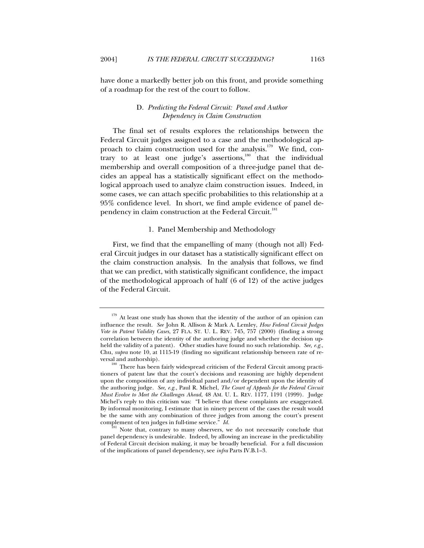have done a markedly better job on this front, and provide something of a roadmap for the rest of the court to follow.

# D. *Predicting the Federal Circuit: Panel and Author Dependency in Claim Construction*

The final set of results explores the relationships between the Federal Circuit judges assigned to a case and the methodological approach to claim construction used for the analysis.<sup>179</sup> We find, contrary to at least one judge's assertions, $180$  that the individual membership and overall composition of a three-judge panel that decides an appeal has a statistically significant effect on the methodological approach used to analyze claim construction issues. Indeed, in some cases, we can attach specific probabilities to this relationship at a 95% confidence level. In short, we find ample evidence of panel dependency in claim construction at the Federal Circuit.<sup>181</sup>

# 1. Panel Membership and Methodology

First, we find that the empanelling of many (though not all) Federal Circuit judges in our dataset has a statistically significant effect on the claim construction analysis. In the analysis that follows, we find that we can predict, with statistically significant confidence, the impact of the methodological approach of half (6 of 12) of the active judges of the Federal Circuit.

 $179$  At least one study has shown that the identity of the author of an opinion can influence the result. *See* John R. Allison & Mark A. Lemley, *How Federal Circuit Judges Vote in Patent Validity Cases*, 27 FLA. ST. U. L. REV. 745, 757 (2000) (finding a strong correlation between the identity of the authoring judge and whether the decision upheld the validity of a patent). Other studies have found no such relationship. *See, e.g.*, Chu, *supra* note 10, at 1115-19 (finding no significant relationship between rate of re-

versal and authorship).<br><sup>180</sup> There has been fairly widespread criticism of the Federal Circuit among practitioners of patent law that the court's decisions and reasoning are highly dependent upon the composition of any individual panel and/or dependent upon the identity of the authoring judge. *See, e.g.*, Paul R. Michel, *The Court of Appeals for the Federal Circuit Must Evolve to Meet the Challenges Ahead*, 48 AM. U. L. REV. 1177, 1191 (1999). Judge Michel's reply to this criticism was: "I believe that these complaints are exaggerated. By informal monitoring, I estimate that in ninety percent of the cases the result would be the same with any combination of three judges from among the court's present complement of ten judges in full-time service."  $Id$ .

Note that, contrary to many observers, we do not necessarily conclude that panel dependency is undesirable. Indeed, by allowing an increase in the predictability of Federal Circuit decision making, it may be broadly beneficial. For a full discussion of the implications of panel dependency, see *infra* Parts IV.B.1–3.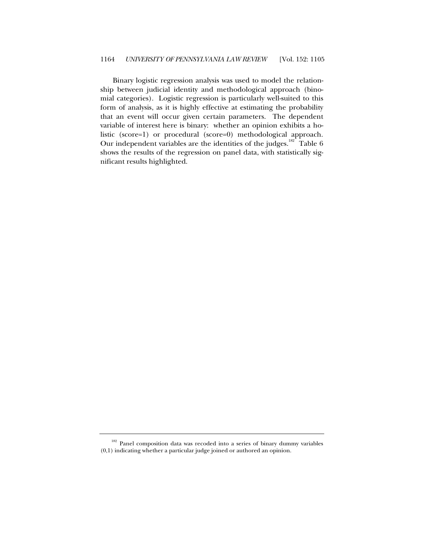Binary logistic regression analysis was used to model the relationship between judicial identity and methodological approach (binomial categories). Logistic regression is particularly well-suited to this form of analysis, as it is highly effective at estimating the probability that an event will occur given certain parameters. The dependent variable of interest here is binary: whether an opinion exhibits a holistic (score=1) or procedural (score=0) methodological approach. Our independent variables are the identities of the judges.<sup>182</sup> Table 6 shows the results of the regression on panel data, with statistically significant results highlighted.

<sup>&</sup>lt;sup>182</sup> Panel composition data was recoded into a series of binary dummy variables (0,1) indicating whether a particular judge joined or authored an opinion.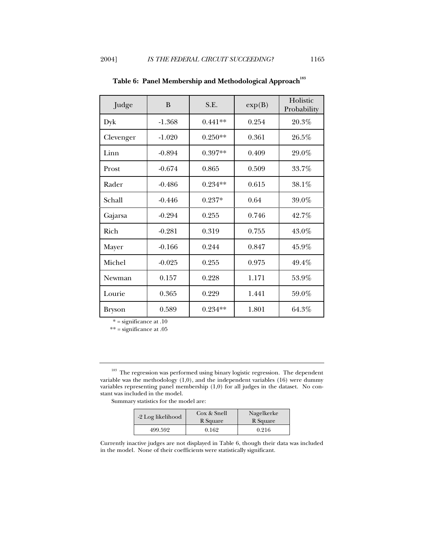| Judge         | B        | S.E.      | exp(B) | Holistic<br>Probability |
|---------------|----------|-----------|--------|-------------------------|
| Dyk           | $-1.368$ | $0.441**$ | 0.254  | 20.3%                   |
| Clevenger     | $-1.020$ | $0.250**$ | 0.361  | 26.5%                   |
| Linn          | $-0.894$ | $0.397**$ | 0.409  | 29.0%                   |
| Prost         | $-0.674$ | 0.865     | 0.509  | 33.7%                   |
| Rader         | $-0.486$ | $0.234**$ | 0.615  | 38.1%                   |
| Schall        | $-0.446$ | $0.237*$  | 0.64   | 39.0%                   |
| Gajarsa       | $-0.294$ | 0.255     | 0.746  | 42.7%                   |
| Rich          | $-0.281$ | 0.319     | 0.755  | 43.0%                   |
| Mayer         | $-0.166$ | 0.244     | 0.847  | 45.9%                   |
| Michel        | $-0.025$ | 0.255     | 0.975  | 49.4%                   |
| Newman        | 0.157    | 0.228     | 1.171  | 53.9%                   |
| Lourie        | 0.365    | 0.229     | 1.441  | 59.0%                   |
| <b>Bryson</b> | 0.589    | $0.234**$ | 1.801  | 64.3%                   |

Table 6: Panel Membership and Methodological Approach<sup>183</sup>

 $\text{*}$  = significance at .10

\*\* = significance at .05

<sup>183</sup> The regression was performed using binary logistic regression. The dependent variable was the methodology (1,0), and the independent variables (16) were dummy variables representing panel membership (1,0) for all judges in the dataset. No constant was included in the model.

Summary statistics for the model are:

| -2 Log likelihood | Cox & Snell<br>R Square | Nagelkerke<br>R Square |  |
|-------------------|-------------------------|------------------------|--|
| 499.592           | 0.162                   | 0.216                  |  |

Currently inactive judges are not displayed in Table 6, though their data was included in the model. None of their coefficients were statistically significant.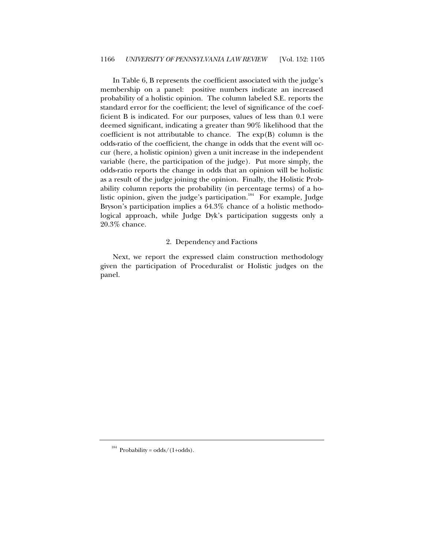In Table 6, B represents the coefficient associated with the judge's membership on a panel: positive numbers indicate an increased probability of a holistic opinion. The column labeled S.E. reports the standard error for the coefficient; the level of significance of the coefficient B is indicated. For our purposes, values of less than 0.1 were deemed significant, indicating a greater than 90% likelihood that the coefficient is not attributable to chance. The  $exp(B)$  column is the odds-ratio of the coefficient, the change in odds that the event will occur (here, a holistic opinion) given a unit increase in the independent variable (here, the participation of the judge). Put more simply, the odds-ratio reports the change in odds that an opinion will be holistic as a result of the judge joining the opinion. Finally, the Holistic Probability column reports the probability (in percentage terms) of a holistic opinion, given the judge's participation.<sup>184</sup> For example, Judge Bryson's participation implies a 64.3% chance of a holistic methodological approach, while Judge Dyk's participation suggests only a 20.3% chance.

### 2. Dependency and Factions

Next, we report the expressed claim construction methodology given the participation of Proceduralist or Holistic judges on the panel.

 $^{184}$  Probability = odds/(1+odds).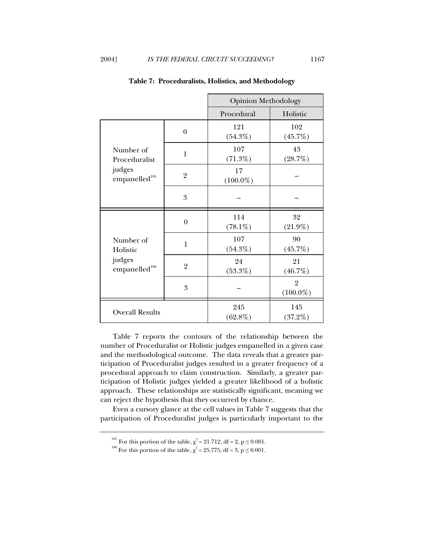|                                     |                  | <b>Opinion Methodology</b> |                               |
|-------------------------------------|------------------|----------------------------|-------------------------------|
|                                     |                  | Procedural                 | Holistic                      |
|                                     | $\overline{0}$   | 121<br>$(54.3\%)$          | 102<br>$(45.7\%)$             |
| Number of<br>Proceduralist          | $\mathbf{1}$     | 107<br>$(71.3\%)$          | 43<br>(28.7%)                 |
| judges<br>empanelled <sup>185</sup> | $\overline{2}$   | 17<br>$(100.0\%)$          |                               |
|                                     | 3                |                            |                               |
|                                     | $\boldsymbol{0}$ | 114<br>$(78.1\%)$          | 32<br>$(21.9\%)$              |
| Number of<br>Holistic               | $\mathbf{1}$     | 107<br>$(54.3\%)$          | 90<br>$(45.7\%)$              |
| judges<br>empanelled <sup>186</sup> | $\overline{2}$   | 24<br>$(53.3\%)$           | 21<br>$(46.7\%)$              |
|                                     | 3                |                            | $\overline{2}$<br>$(100.0\%)$ |
| <b>Overall Results</b>              |                  | 245<br>$(62.8\%)$          | 145<br>$(37.2\%)$             |

# **Table 7: Proceduralists, Holistics, and Methodology**

Table 7 reports the contours of the relationship between the number of Proceduralist or Holistic judges empanelled in a given case and the methodological outcome. The data reveals that a greater participation of Proceduralist judges resulted in a greater frequency of a procedural approach to claim construction. Similarly, a greater participation of Holistic judges yielded a greater likelihood of a holistic approach. These relationships are statistically significant, meaning we can reject the hypothesis that they occurred by chance.

Even a cursory glance at the cell values in Table 7 suggests that the participation of Proceduralist judges is particularly important to the

<sup>&</sup>lt;sup>185</sup> For this portion of the table,  $\chi^2 = 21.712$ , df = 2, p  $\leq 0.001$ .

<sup>&</sup>lt;sup>186</sup> For this portion of the table,  $\chi^2 = 25.775$ , df = 3, p  $\leq 0.001$ .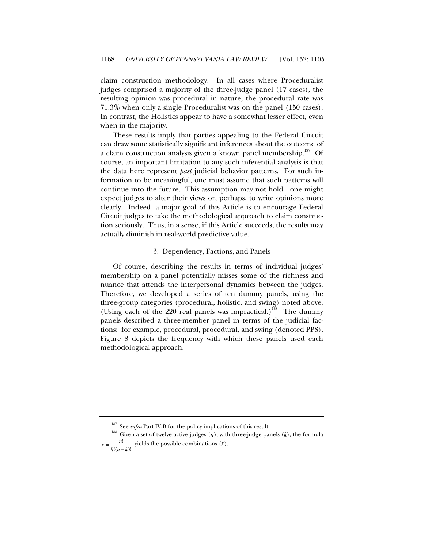claim construction methodology. In all cases where Proceduralist judges comprised a majority of the three-judge panel (17 cases), the resulting opinion was procedural in nature; the procedural rate was 71.3% when only a single Proceduralist was on the panel (150 cases). In contrast, the Holistics appear to have a somewhat lesser effect, even when in the majority.

These results imply that parties appealing to the Federal Circuit can draw some statistically significant inferences about the outcome of a claim construction analysis given a known panel membership.<sup>187</sup> Of course, an important limitation to any such inferential analysis is that the data here represent *past* judicial behavior patterns. For such information to be meaningful, one must assume that such patterns will continue into the future. This assumption may not hold: one might expect judges to alter their views or, perhaps, to write opinions more clearly. Indeed, a major goal of this Article is to encourage Federal Circuit judges to take the methodological approach to claim construction seriously. Thus, in a sense, if this Article succeeds, the results may actually diminish in real-world predictive value.

### 3. Dependency, Factions, and Panels

Of course, describing the results in terms of individual judges' membership on a panel potentially misses some of the richness and nuance that attends the interpersonal dynamics between the judges. Therefore, we developed a series of ten dummy panels, using the three-group categories (procedural, holistic, and swing) noted above. (Using each of the 220 real panels was impractical.)<sup>188</sup> The dummy panels described a three-member panel in terms of the judicial factions: for example, procedural, procedural, and swing (denoted PPS). Figure 8 depicts the frequency with which these panels used each methodological approach.

<sup>&</sup>lt;sup>187</sup> See *infra* Part IV.B for the policy implications of this result.

<sup>&</sup>lt;sup>188</sup> Given a set of twelve active judges  $(n)$ , with three-judge panels  $(k)$ , the formula  $!(n-k)!$ !  $x = \frac{n!}{k!(n-k)!}$  yields the possible combinations (*x*).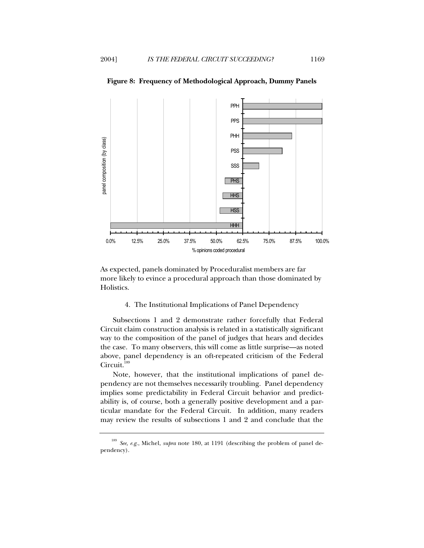

**Figure 8: Frequency of Methodological Approach, Dummy Panels**

As expected, panels dominated by Proceduralist members are far more likely to evince a procedural approach than those dominated by Holistics.

# 4. The Institutional Implications of Panel Dependency

Subsections 1 and 2 demonstrate rather forcefully that Federal Circuit claim construction analysis is related in a statistically significant way to the composition of the panel of judges that hears and decides the case. To many observers, this will come as little surprise—as noted above, panel dependency is an oft-repeated criticism of the Federal Circuit.

Note, however, that the institutional implications of panel dependency are not themselves necessarily troubling. Panel dependency implies some predictability in Federal Circuit behavior and predictability is, of course, both a generally positive development and a particular mandate for the Federal Circuit. In addition, many readers may review the results of subsections 1 and 2 and conclude that the

<sup>189</sup> *See, e.g.*, Michel, *supra* note 180, at 1191 (describing the problem of panel dependency).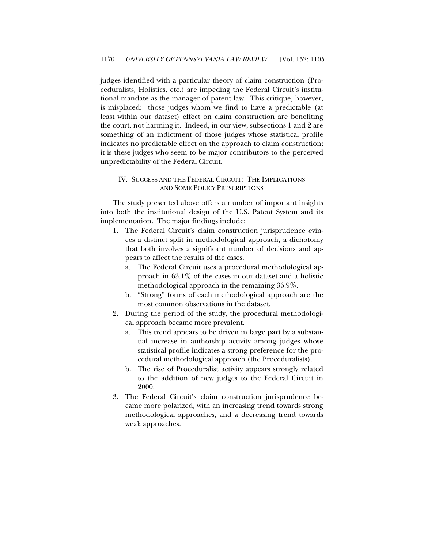judges identified with a particular theory of claim construction (Proceduralists, Holistics, etc.) are impeding the Federal Circuit's institutional mandate as the manager of patent law. This critique, however, is misplaced: those judges whom we find to have a predictable (at least within our dataset) effect on claim construction are benefiting the court, not harming it. Indeed, in our view, subsections 1 and 2 are something of an indictment of those judges whose statistical profile indicates no predictable effect on the approach to claim construction; it is these judges who seem to be major contributors to the perceived unpredictability of the Federal Circuit.

# IV. SUCCESS AND THE FEDERAL CIRCUIT: THE IMPLICATIONS AND SOME POLICY PRESCRIPTIONS

The study presented above offers a number of important insights into both the institutional design of the U.S. Patent System and its implementation. The major findings include:

- 1. The Federal Circuit's claim construction jurisprudence evinces a distinct split in methodological approach, a dichotomy that both involves a significant number of decisions and appears to affect the results of the cases.
	- a. The Federal Circuit uses a procedural methodological approach in 63.1% of the cases in our dataset and a holistic methodological approach in the remaining 36.9%.
	- b. "Strong" forms of each methodological approach are the most common observations in the dataset.
- 2. During the period of the study, the procedural methodological approach became more prevalent.
	- a. This trend appears to be driven in large part by a substantial increase in authorship activity among judges whose statistical profile indicates a strong preference for the procedural methodological approach (the Proceduralists).
	- b. The rise of Proceduralist activity appears strongly related to the addition of new judges to the Federal Circuit in 2000.
- 3. The Federal Circuit's claim construction jurisprudence became more polarized, with an increasing trend towards strong methodological approaches, and a decreasing trend towards weak approaches.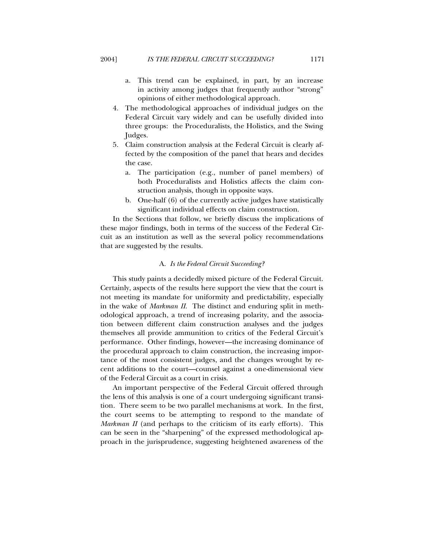- a. This trend can be explained, in part, by an increase in activity among judges that frequently author "strong" opinions of either methodological approach.
- 4. The methodological approaches of individual judges on the Federal Circuit vary widely and can be usefully divided into three groups: the Proceduralists, the Holistics, and the Swing Judges.
- 5. Claim construction analysis at the Federal Circuit is clearly affected by the composition of the panel that hears and decides the case.
	- a. The participation (e.g., number of panel members) of both Proceduralists and Holistics affects the claim construction analysis, though in opposite ways.
	- b. One-half (6) of the currently active judges have statistically significant individual effects on claim construction.

In the Sections that follow, we briefly discuss the implications of these major findings, both in terms of the success of the Federal Circuit as an institution as well as the several policy recommendations that are suggested by the results.

## A. *Is the Federal Circuit Succeeding?*

This study paints a decidedly mixed picture of the Federal Circuit. Certainly, aspects of the results here support the view that the court is not meeting its mandate for uniformity and predictability, especially in the wake of *Markman II*. The distinct and enduring split in methodological approach, a trend of increasing polarity, and the association between different claim construction analyses and the judges themselves all provide ammunition to critics of the Federal Circuit's performance. Other findings, however—the increasing dominance of the procedural approach to claim construction, the increasing importance of the most consistent judges, and the changes wrought by recent additions to the court—counsel against a one-dimensional view of the Federal Circuit as a court in crisis.

An important perspective of the Federal Circuit offered through the lens of this analysis is one of a court undergoing significant transition. There seem to be two parallel mechanisms at work. In the first, the court seems to be attempting to respond to the mandate of *Markman II* (and perhaps to the criticism of its early efforts). This can be seen in the "sharpening" of the expressed methodological approach in the jurisprudence, suggesting heightened awareness of the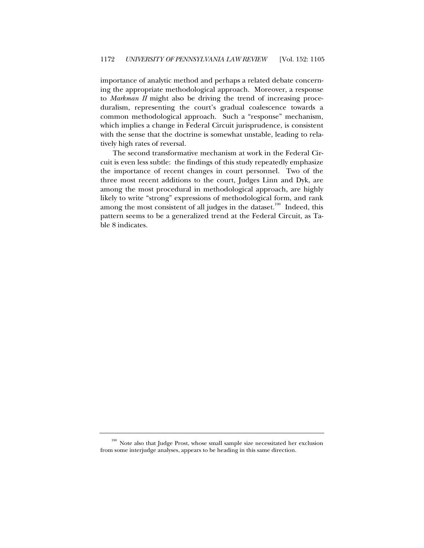importance of analytic method and perhaps a related debate concerning the appropriate methodological approach. Moreover, a response to *Markman II* might also be driving the trend of increasing proceduralism, representing the court's gradual coalescence towards a common methodological approach. Such a "response" mechanism, which implies a change in Federal Circuit jurisprudence, is consistent with the sense that the doctrine is somewhat unstable, leading to relatively high rates of reversal.

The second transformative mechanism at work in the Federal Circuit is even less subtle: the findings of this study repeatedly emphasize the importance of recent changes in court personnel. Two of the three most recent additions to the court, Judges Linn and Dyk, are among the most procedural in methodological approach, are highly likely to write "strong" expressions of methodological form, and rank among the most consistent of all judges in the dataset.<sup>190</sup> Indeed, this pattern seems to be a generalized trend at the Federal Circuit, as Table 8 indicates.

<sup>&</sup>lt;sup>190</sup> Note also that Judge Prost, whose small sample size necessitated her exclusion from some interjudge analyses, appears to be heading in this same direction.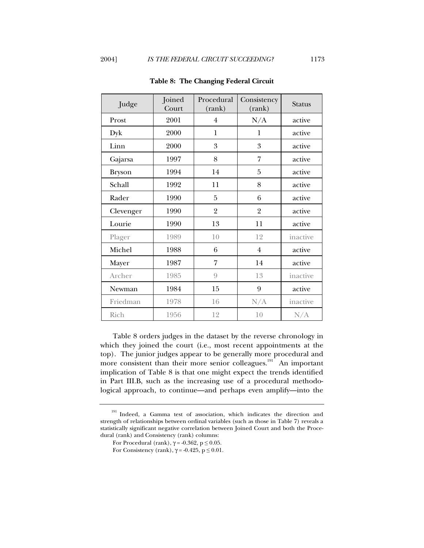| Judge     | Joined<br>Court | Procedural<br>(rank) | Consistency<br>(rank) | <b>Status</b> |
|-----------|-----------------|----------------------|-----------------------|---------------|
| Prost     | 2001            | 4                    | N/A                   | active        |
| Dyk       | 2000            | 1                    | 1                     | active        |
| Linn      | 2000            | 3                    | 3                     | active        |
| Gajarsa   | 1997            | 8                    | 7                     | active        |
| Bryson    | 1994            | 14                   | 5                     | active        |
| Schall    | 1992            | 11                   | 8                     | active        |
| Rader     | 1990            | 5                    | 6                     | active        |
| Clevenger | 1990            | $\overline{2}$       | $\overline{2}$        | active        |
| Lourie    | 1990            | 13                   | 11                    | active        |
| Plager    | 1989            | 10                   | 12                    | inactive      |

**Table 8: The Changing Federal Circuit**

Table 8 orders judges in the dataset by the reverse chronology in which they joined the court (i.e., most recent appointments at the top). The junior judges appear to be generally more procedural and more consistent than their more senior colleagues.<sup>191</sup> An important implication of Table 8 is that one might expect the trends identified in Part III.B, such as the increasing use of a procedural methodological approach, to continue—and perhaps even amplify—into the

Rich | 1956 | 12 | 10 | N/A

Michel | 1988 | 6 | 4 | active Mayer | 1987 | 7 | 14 | active Archer 1985 9 13 inactive Newman 1984 15 9 active Friedman 1978 16 N/A inactive

<sup>&</sup>lt;sup>191</sup> Indeed, a Gamma test of association, which indicates the direction and strength of relationships between ordinal variables (such as those in Table 7) reveals a statistically significant negative correlation between Joined Court and both the Procedural (rank) and Consistency (rank) columns:

For Procedural (rank),  $\gamma$  = -0.362, p  $\leq$  0.05.

For Consistency (rank),  $\gamma$  = -0.425, p  $\leq$  0.01.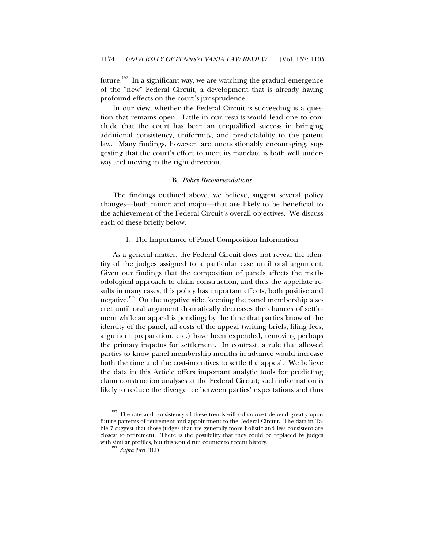future.<sup>192</sup> In a significant way, we are watching the gradual emergence of the "new" Federal Circuit, a development that is already having profound effects on the court's jurisprudence.

In our view, whether the Federal Circuit is succeeding is a question that remains open. Little in our results would lead one to conclude that the court has been an unqualified success in bringing additional consistency, uniformity, and predictability to the patent law. Many findings, however, are unquestionably encouraging, suggesting that the court's effort to meet its mandate is both well underway and moving in the right direction.

#### B. *Policy Recommendations*

The findings outlined above, we believe, suggest several policy changes—both minor and major—that are likely to be beneficial to the achievement of the Federal Circuit's overall objectives. We discuss each of these briefly below.

## 1. The Importance of Panel Composition Information

As a general matter, the Federal Circuit does not reveal the identity of the judges assigned to a particular case until oral argument. Given our findings that the composition of panels affects the methodological approach to claim construction, and thus the appellate results in many cases, this policy has important effects, both positive and negative.<sup>193</sup> On the negative side, keeping the panel membership a secret until oral argument dramatically decreases the chances of settlement while an appeal is pending; by the time that parties know of the identity of the panel, all costs of the appeal (writing briefs, filing fees, argument preparation, etc.) have been expended, removing perhaps the primary impetus for settlement. In contrast, a rule that allowed parties to know panel membership months in advance would increase both the time and the cost-incentives to settle the appeal. We believe the data in this Article offers important analytic tools for predicting claim construction analyses at the Federal Circuit; such information is likely to reduce the divergence between parties' expectations and thus

<sup>&</sup>lt;sup>192</sup> The rate and consistency of these trends will (of course) depend greatly upon future patterns of retirement and appointment to the Federal Circuit. The data in Table 7 suggest that those judges that are generally more holistic and less consistent are closest to retirement. There is the possibility that they could be replaced by judges with similar profiles, but this would run counter to recent history.

<sup>193</sup> *Supra* Part III.D.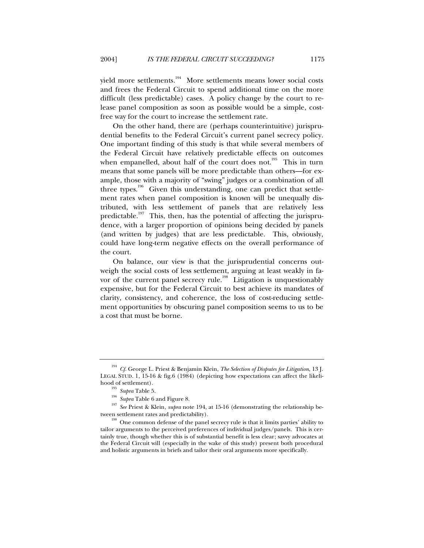yield more settlements.<sup>194</sup> More settlements means lower social costs and frees the Federal Circuit to spend additional time on the more difficult (less predictable) cases. A policy change by the court to release panel composition as soon as possible would be a simple, costfree way for the court to increase the settlement rate.

On the other hand, there are (perhaps counterintuitive) jurisprudential benefits to the Federal Circuit's current panel secrecy policy. One important finding of this study is that while several members of the Federal Circuit have relatively predictable effects on outcomes when empanelled, about half of the court does not.<sup>195</sup> This in turn means that some panels will be more predictable than others—for example, those with a majority of "swing" judges or a combination of all three types.<sup>196</sup> Given this understanding, one can predict that settlement rates when panel composition is known will be unequally distributed, with less settlement of panels that are relatively less predictable.<sup>197</sup> This, then, has the potential of affecting the jurisprudence, with a larger proportion of opinions being decided by panels (and written by judges) that are less predictable. This, obviously, could have long-term negative effects on the overall performance of the court.

On balance, our view is that the jurisprudential concerns outweigh the social costs of less settlement, arguing at least weakly in favor of the current panel secrecy rule.<sup>198</sup> Litigation is unquestionably expensive, but for the Federal Circuit to best achieve its mandates of clarity, consistency, and coherence, the loss of cost-reducing settlement opportunities by obscuring panel composition seems to us to be a cost that must be borne.

<sup>194</sup> *Cf.* George L. Priest & Benjamin Klein, *The Selection of Disputes for Litigation*, 13 J. LEGAL STUD. 1, 15-16 & fig.6 (1984) (depicting how expectations can affect the likelihood of settlement).

<sup>195</sup> *Supra* Table 5.

<sup>196</sup> *Supra* Table 6 and Figure 8.

<sup>197</sup> *See* Priest & Klein, *supra* note 194, at 15-16 (demonstrating the relationship between settlement rates and predictability).

<sup>&</sup>lt;sup>198</sup> One common defense of the panel secrecy rule is that it limits parties' ability to tailor arguments to the perceived preferences of individual judges/panels. This is certainly true, though whether this is of substantial benefit is less clear; savvy advocates at the Federal Circuit will (especially in the wake of this study) present both procedural and holistic arguments in briefs and tailor their oral arguments more specifically.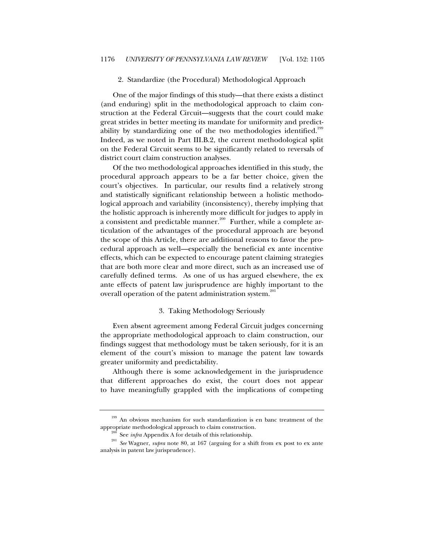## 2. Standardize (the Procedural) Methodological Approach

One of the major findings of this study—that there exists a distinct (and enduring) split in the methodological approach to claim construction at the Federal Circuit—suggests that the court could make great strides in better meeting its mandate for uniformity and predictability by standardizing one of the two methodologies identified.<sup>199</sup> Indeed, as we noted in Part III.B.2, the current methodological split on the Federal Circuit seems to be significantly related to reversals of district court claim construction analyses.

Of the two methodological approaches identified in this study, the procedural approach appears to be a far better choice, given the court's objectives. In particular, our results find a relatively strong and statistically significant relationship between a holistic methodological approach and variability (inconsistency), thereby implying that the holistic approach is inherently more difficult for judges to apply in a consistent and predictable manner. $200$  Further, while a complete articulation of the advantages of the procedural approach are beyond the scope of this Article, there are additional reasons to favor the procedural approach as well—especially the beneficial ex ante incentive effects, which can be expected to encourage patent claiming strategies that are both more clear and more direct, such as an increased use of carefully defined terms. As one of us has argued elsewhere, the ex ante effects of patent law jurisprudence are highly important to the overall operation of the patent administration system.<sup>201</sup>

## 3. Taking Methodology Seriously

Even absent agreement among Federal Circuit judges concerning the appropriate methodological approach to claim construction, our findings suggest that methodology must be taken seriously, for it is an element of the court's mission to manage the patent law towards greater uniformity and predictability.

Although there is some acknowledgement in the jurisprudence that different approaches do exist, the court does not appear to have meaningfully grappled with the implications of competing

<sup>&</sup>lt;sup>199</sup> An obvious mechanism for such standardization is en banc treatment of the appropriate methodological approach to claim construction.

See *infra* Appendix A for details of this relationship.

<sup>&</sup>lt;sup>201</sup> *See* Wagner, *supra* note 80, at 167 (arguing for a shift from ex post to ex ante analysis in patent law jurisprudence).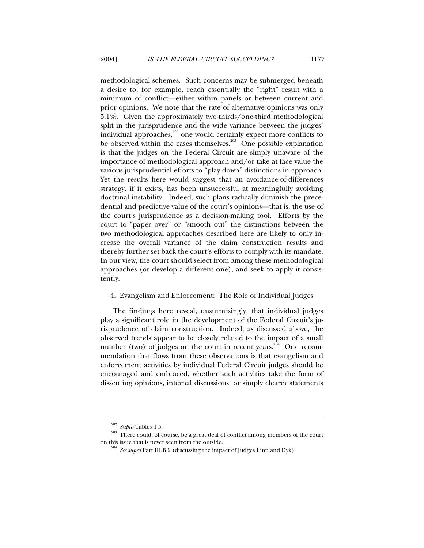methodological schemes. Such concerns may be submerged beneath a desire to, for example, reach essentially the "right" result with a minimum of conflict—either within panels or between current and prior opinions. We note that the rate of alternative opinions was only 5.1%. Given the approximately two-thirds/one-third methodological split in the jurisprudence and the wide variance between the judges' individual approaches,<sup>202</sup> one would certainly expect more conflicts to be observed within the cases themselves.<sup>203</sup> One possible explanation is that the judges on the Federal Circuit are simply unaware of the importance of methodological approach and/or take at face value the various jurisprudential efforts to "play down" distinctions in approach. Yet the results here would suggest that an avoidance-of-differences strategy, if it exists, has been unsuccessful at meaningfully avoiding doctrinal instability. Indeed, such plans radically diminish the precedential and predictive value of the court's opinions—that is, the use of the court's jurisprudence as a decision-making tool. Efforts by the court to "paper over" or "smooth out" the distinctions between the two methodological approaches described here are likely to only increase the overall variance of the claim construction results and thereby further set back the court's efforts to comply with its mandate. In our view, the court should select from among these methodological approaches (or develop a different one), and seek to apply it consistently.

4. Evangelism and Enforcement: The Role of Individual Judges

The findings here reveal, unsurprisingly, that individual judges play a significant role in the development of the Federal Circuit's jurisprudence of claim construction. Indeed, as discussed above, the observed trends appear to be closely related to the impact of a small number (two) of judges on the court in recent years.<sup>204</sup> One recommendation that flows from these observations is that evangelism and enforcement activities by individual Federal Circuit judges should be encouraged and embraced, whether such activities take the form of dissenting opinions, internal discussions, or simply clearer statements

<sup>202</sup> *Supra* Tables 4-5.

<sup>&</sup>lt;sup>203</sup> There could, of course, be a great deal of conflict among members of the court on this issue that is never seen from the outside.

<sup>204</sup> *See supra* Part III.B.2 (discussing the impact of Judges Linn and Dyk).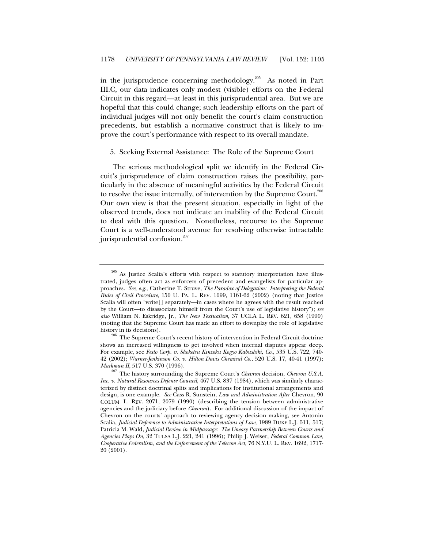in the jurisprudence concerning methodology.<sup>205</sup> As noted in Part III.C, our data indicates only modest (visible) efforts on the Federal Circuit in this regard—at least in this jurisprudential area. But we are hopeful that this could change; such leadership efforts on the part of individual judges will not only benefit the court's claim construction precedents, but establish a normative construct that is likely to improve the court's performance with respect to its overall mandate.

## 5. Seeking External Assistance: The Role of the Supreme Court

The serious methodological split we identify in the Federal Circuit's jurisprudence of claim construction raises the possibility, particularly in the absence of meaningful activities by the Federal Circuit to resolve the issue internally, of intervention by the Supreme Court.<sup>206</sup> Our own view is that the present situation, especially in light of the observed trends, does not indicate an inability of the Federal Circuit to deal with this question. Nonetheless, recourse to the Supreme Court is a well-understood avenue for resolving otherwise intractable jurisprudential confusion.<sup>207</sup>

<sup>&</sup>lt;sup>205</sup> As Justice Scalia's efforts with respect to statutory interpretation have illustrated, judges often act as enforcers of precedent and evangelists for particular approaches. *See, e.g.*, Catherine T. Struve, *The Paradox of Delegation: Interpreting the Federal Rules of Civil Procedure*, 150 U. PA. L. REV. 1099, 1161-62 (2002) (noting that Justice Scalia will often "write[] separately—in cases where he agrees with the result reached by the Court—to disassociate himself from the Court's use of legislative history"); *see also* William N. Eskridge, Jr., *The New Textualism*, 37 UCLA L. REV. 621, 658 (1990) (noting that the Supreme Court has made an effort to downplay the role of legislative history in its decisions).

 $206$  The Supreme Court's recent history of intervention in Federal Circuit doctrine shows an increased willingness to get involved when internal disputes appear deep. For example, see *Festo Corp. v. Shoketsu Kinzoku Kogyo Kabushiki, Co.*, 535 U.S. 722, 740- 42 (2002); *Warner-Jenkinson Co. v. Hilton Davis Chemical Co.*, 520 U.S. 17, 40-41 (1997); *Markman II*, 517 U.S. 370 (1996).

The history surrounding the Supreme Court's *Chevron* decision, *Chevron U.S.A. Inc. v. Natural Resources Defense Council*, 467 U.S. 837 (1984), which was similarly characterized by distinct doctrinal splits and implications for institutional arrangements and design, is one example. *See* Cass R. Sunstein, *Law and Administration After* Chevron, 90 COLUM. L. REV. 2071, 2079 (1990) (describing the tension between administrative agencies and the judiciary before *Chevron*). For additional discussion of the impact of Chevron on the courts' approach to reviewing agency decision making, see Antonin Scalia, *Judicial Deference to Administrative Interpretations of Law*, 1989 DUKE L.J. 511, 517; Patricia M. Wald, *Judicial Review in Midpassage: The Uneasy Partnership Between Courts and Agencies Plays On*, 32 TULSA L.J. 221, 241 (1996); Philip J. Weiser, *Federal Common Law, Cooperative Federalism, and the Enforcement of the Telecom Act*, 76 N.Y.U. L. REV. 1692, 1717- 20 (2001).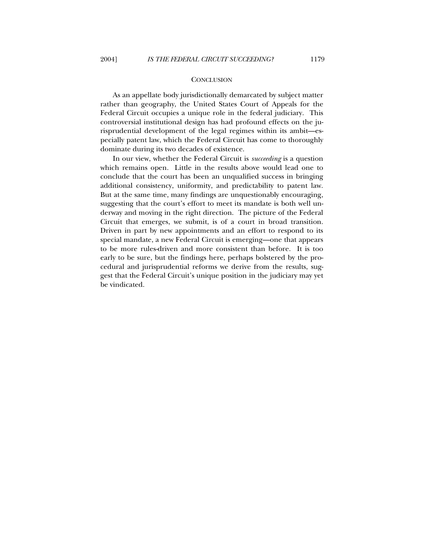## **CONCLUSION**

As an appellate body jurisdictionally demarcated by subject matter rather than geography, the United States Court of Appeals for the Federal Circuit occupies a unique role in the federal judiciary. This controversial institutional design has had profound effects on the jurisprudential development of the legal regimes within its ambit—especially patent law, which the Federal Circuit has come to thoroughly dominate during its two decades of existence.

In our view, whether the Federal Circuit is *succeeding* is a question which remains open. Little in the results above would lead one to conclude that the court has been an unqualified success in bringing additional consistency, uniformity, and predictability to patent law. But at the same time, many findings are unquestionably encouraging, suggesting that the court's effort to meet its mandate is both well underway and moving in the right direction. The picture of the Federal Circuit that emerges, we submit, is of a court in broad transition. Driven in part by new appointments and an effort to respond to its special mandate, a new Federal Circuit is emerging—one that appears to be more rules-driven and more consistent than before. It is too early to be sure, but the findings here, perhaps bolstered by the procedural and jurisprudential reforms we derive from the results, suggest that the Federal Circuit's unique position in the judiciary may yet be vindicated.